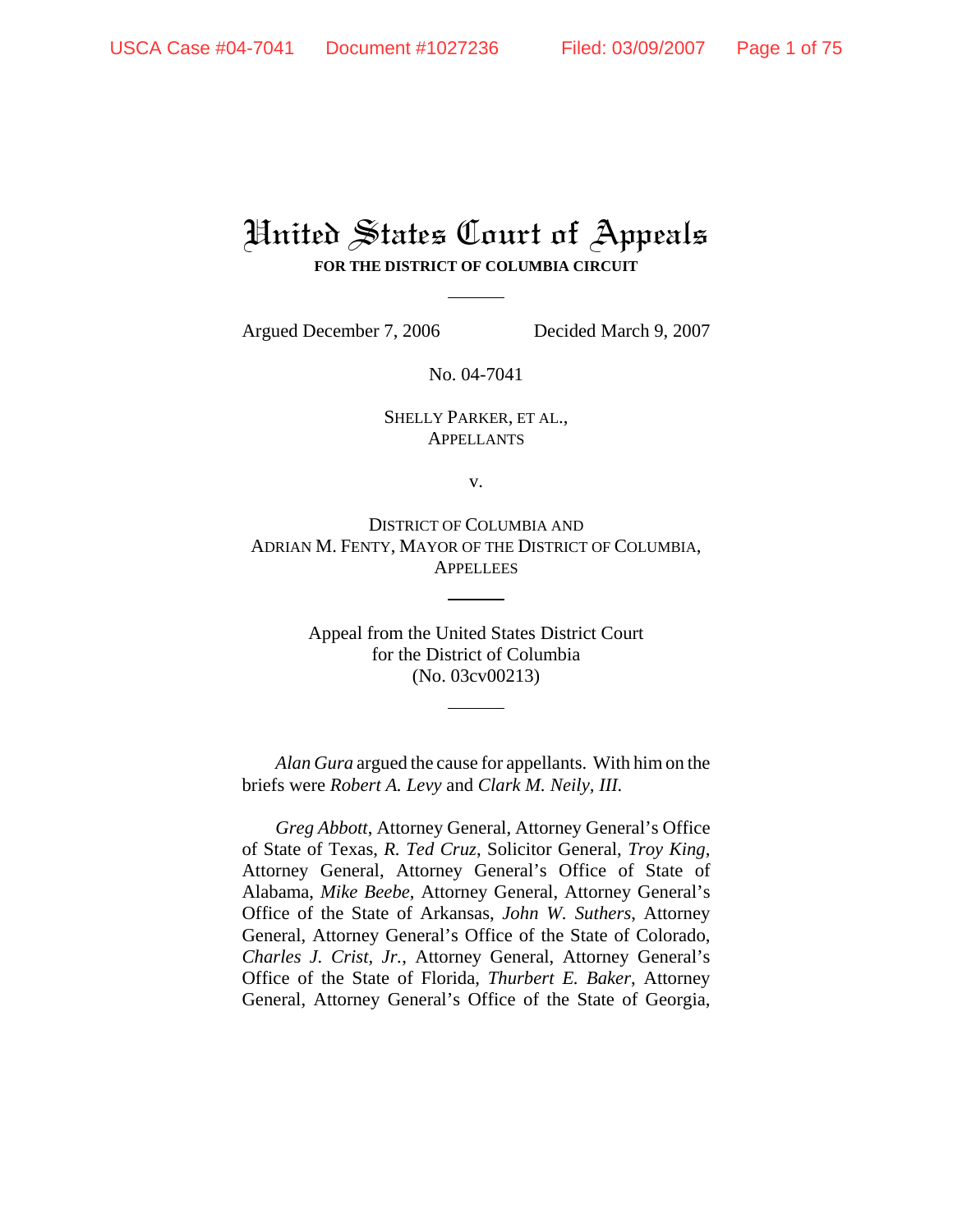## United States Court of Appeals **FOR THE DISTRICT OF COLUMBIA CIRCUIT**

Argued December 7, 2006 Decided March 9, 2007

No. 04-7041

SHELLY PARKER, ET AL., **APPELLANTS** 

v.

DISTRICT OF COLUMBIA AND ADRIAN M. FENTY, MAYOR OF THE DISTRICT OF COLUMBIA, **APPELLEES** 

> Appeal from the United States District Court for the District of Columbia (No. 03cv00213)

*Alan Gura* argued the cause for appellants. With him on the briefs were *Robert A. Levy* and *Clark M. Neily, III.*

*Greg Abbott*, Attorney General, Attorney General's Office of State of Texas, *R. Ted Cruz*, Solicitor General, *Troy King*, Attorney General, Attorney General's Office of State of Alabama, *Mike Beebe*, Attorney General, Attorney General's Office of the State of Arkansas, *John W. Suthers*, Attorney General, Attorney General's Office of the State of Colorado, *Charles J. Crist, Jr.*, Attorney General, Attorney General's Office of the State of Florida, *Thurbert E. Baker*, Attorney General, Attorney General's Office of the State of Georgia,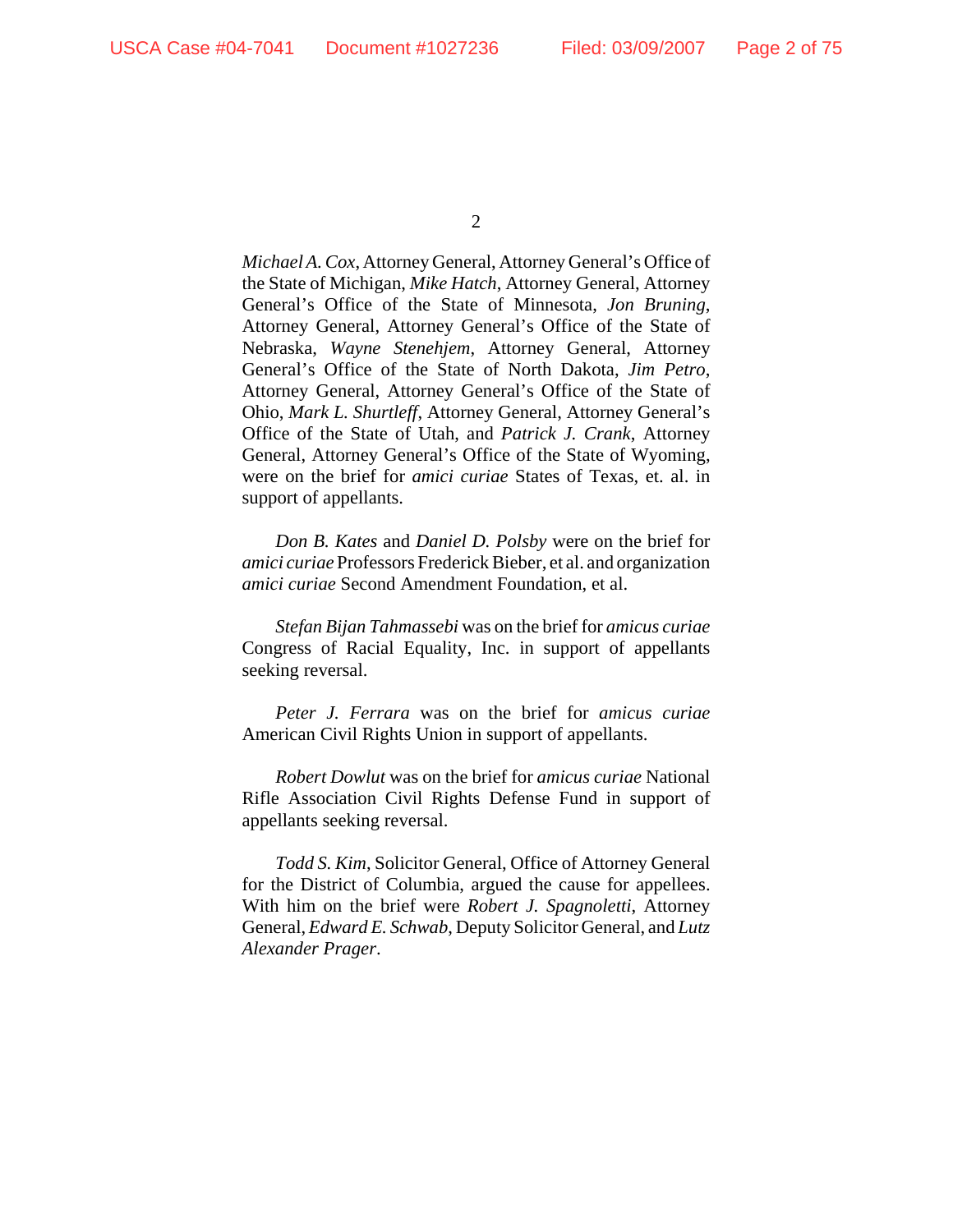*Michael A. Cox*, Attorney General, Attorney General's Office of the State of Michigan, *Mike Hatch*, Attorney General, Attorney General's Office of the State of Minnesota, *Jon Bruning*, Attorney General, Attorney General's Office of the State of Nebraska, *Wayne Stenehjem*, Attorney General, Attorney General's Office of the State of North Dakota, *Jim Petro*, Attorney General, Attorney General's Office of the State of Ohio, *Mark L. Shurtleff*, Attorney General, Attorney General's Office of the State of Utah, and *Patrick J. Crank*, Attorney General, Attorney General's Office of the State of Wyoming, were on the brief for *amici curiae* States of Texas, et. al. in support of appellants.

*Don B. Kates* and *Daniel D. Polsby* were on the brief for *amici curiae* Professors Frederick Bieber, et al. and organization *amici curiae* Second Amendment Foundation, et al.

*Stefan Bijan Tahmassebi* was on the brief for *amicus curiae* Congress of Racial Equality, Inc. in support of appellants seeking reversal.

*Peter J. Ferrara* was on the brief for *amicus curiae* American Civil Rights Union in support of appellants.

*Robert Dowlut* was on the brief for *amicus curiae* National Rifle Association Civil Rights Defense Fund in support of appellants seeking reversal.

*Todd S. Kim*, Solicitor General, Office of Attorney General for the District of Columbia, argued the cause for appellees. With him on the brief were *Robert J. Spagnoletti*, Attorney General, *Edward E. Schwab*, Deputy Solicitor General, and *Lutz Alexander Prager*.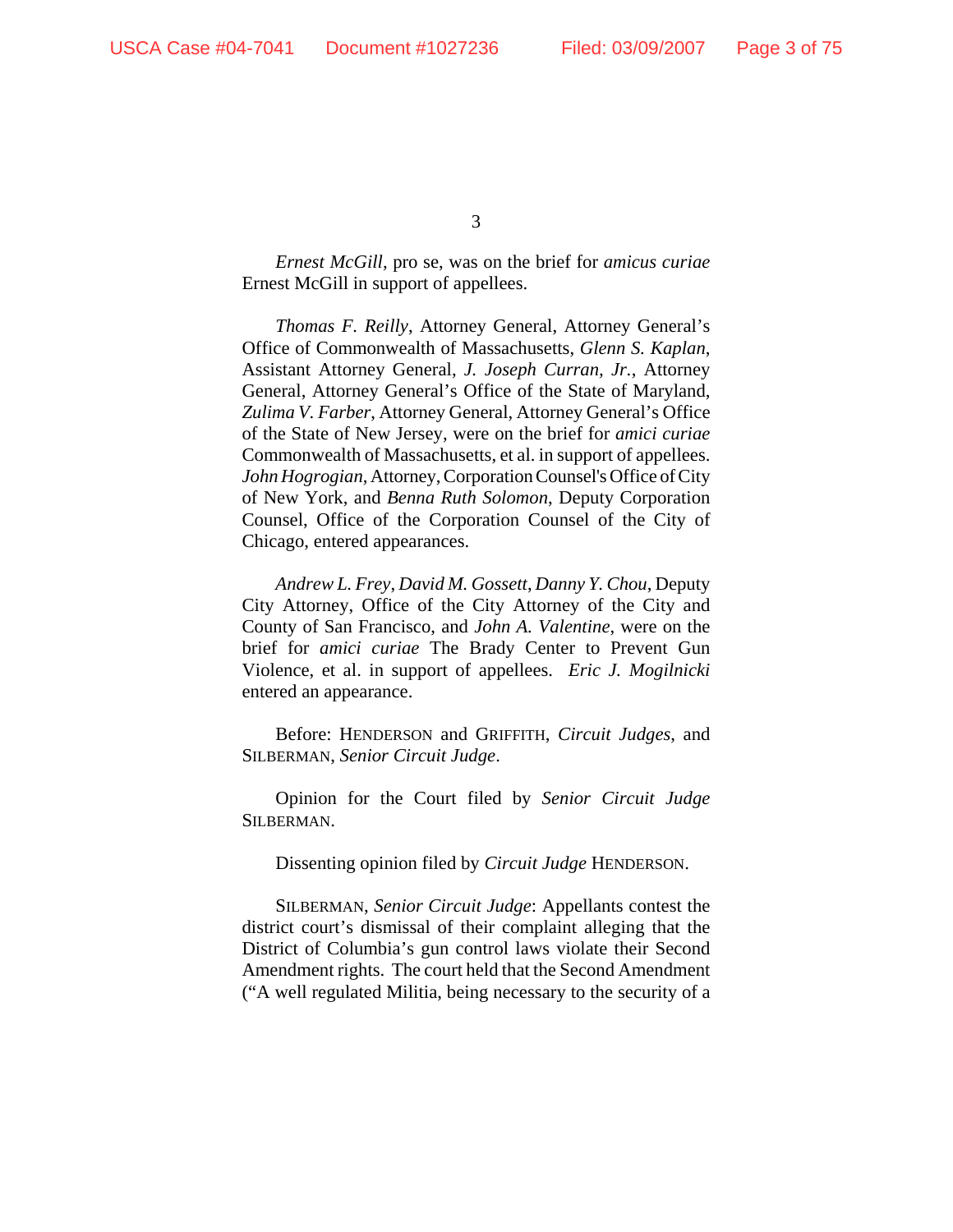*Ernest McGill*, pro se, was on the brief for *amicus curiae* Ernest McGill in support of appellees.

*Thomas F. Reilly*, Attorney General, Attorney General's Office of Commonwealth of Massachusetts, *Glenn S. Kaplan*, Assistant Attorney General, *J. Joseph Curran, Jr.*, Attorney General, Attorney General's Office of the State of Maryland, *Zulima V. Farber*, Attorney General, Attorney General's Office of the State of New Jersey, were on the brief for *amici curiae* Commonwealth of Massachusetts, et al. in support of appellees. *John Hogrogian*, Attorney, Corporation Counsel's Office of City of New York, and *Benna Ruth Solomon*, Deputy Corporation Counsel, Office of the Corporation Counsel of the City of Chicago, entered appearances.

*Andrew L. Frey*, *David M. Gossett*, *Danny Y. Chou*, Deputy City Attorney, Office of the City Attorney of the City and County of San Francisco, and *John A. Valentine*, were on the brief for *amici curiae* The Brady Center to Prevent Gun Violence, et al. in support of appellees. *Eric J. Mogilnicki* entered an appearance.

Before: HENDERSON and GRIFFITH, *Circuit Judges*, and SILBERMAN, *Senior Circuit Judge*.

Opinion for the Court filed by *Senior Circuit Judge* SILBERMAN.

Dissenting opinion filed by *Circuit Judge* HENDERSON.

SILBERMAN, *Senior Circuit Judge*: Appellants contest the district court's dismissal of their complaint alleging that the District of Columbia's gun control laws violate their Second Amendment rights. The court held that the Second Amendment ("A well regulated Militia, being necessary to the security of a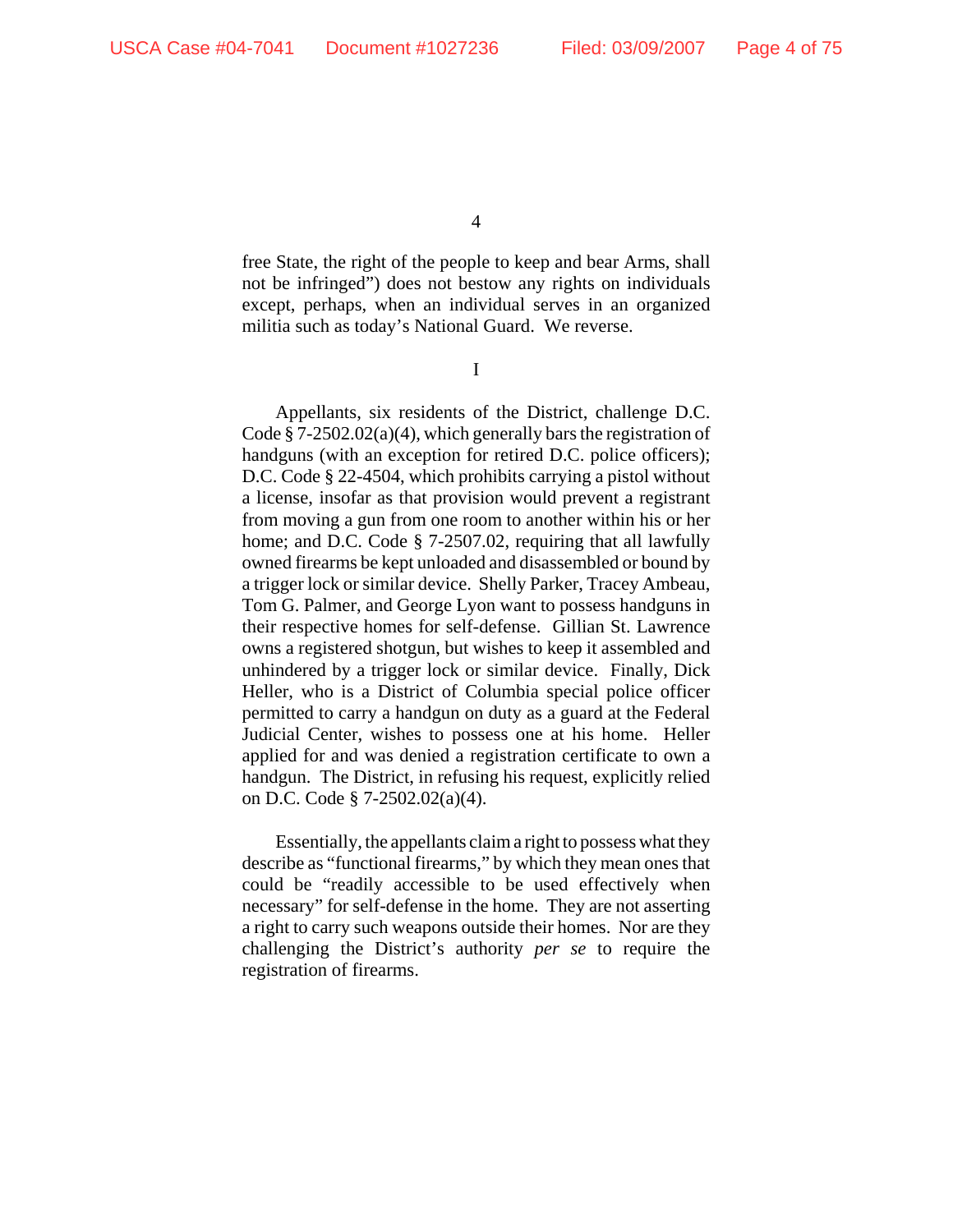free State, the right of the people to keep and bear Arms, shall not be infringed") does not bestow any rights on individuals except, perhaps, when an individual serves in an organized militia such as today's National Guard. We reverse.

I

Appellants, six residents of the District, challenge D.C. Code § 7-2502.02(a)(4), which generally bars the registration of handguns (with an exception for retired D.C. police officers); D.C. Code § 22-4504, which prohibits carrying a pistol without a license, insofar as that provision would prevent a registrant from moving a gun from one room to another within his or her home; and D.C. Code § 7-2507.02, requiring that all lawfully owned firearms be kept unloaded and disassembled or bound by a trigger lock or similar device. Shelly Parker, Tracey Ambeau, Tom G. Palmer, and George Lyon want to possess handguns in their respective homes for self-defense. Gillian St. Lawrence owns a registered shotgun, but wishes to keep it assembled and unhindered by a trigger lock or similar device. Finally, Dick Heller, who is a District of Columbia special police officer permitted to carry a handgun on duty as a guard at the Federal Judicial Center, wishes to possess one at his home. Heller applied for and was denied a registration certificate to own a handgun. The District, in refusing his request, explicitly relied on D.C. Code § 7-2502.02(a)(4).

Essentially, the appellants claim a right to possess what they describe as "functional firearms," by which they mean ones that could be "readily accessible to be used effectively when necessary" for self-defense in the home. They are not asserting a right to carry such weapons outside their homes. Nor are they challenging the District's authority *per se* to require the registration of firearms.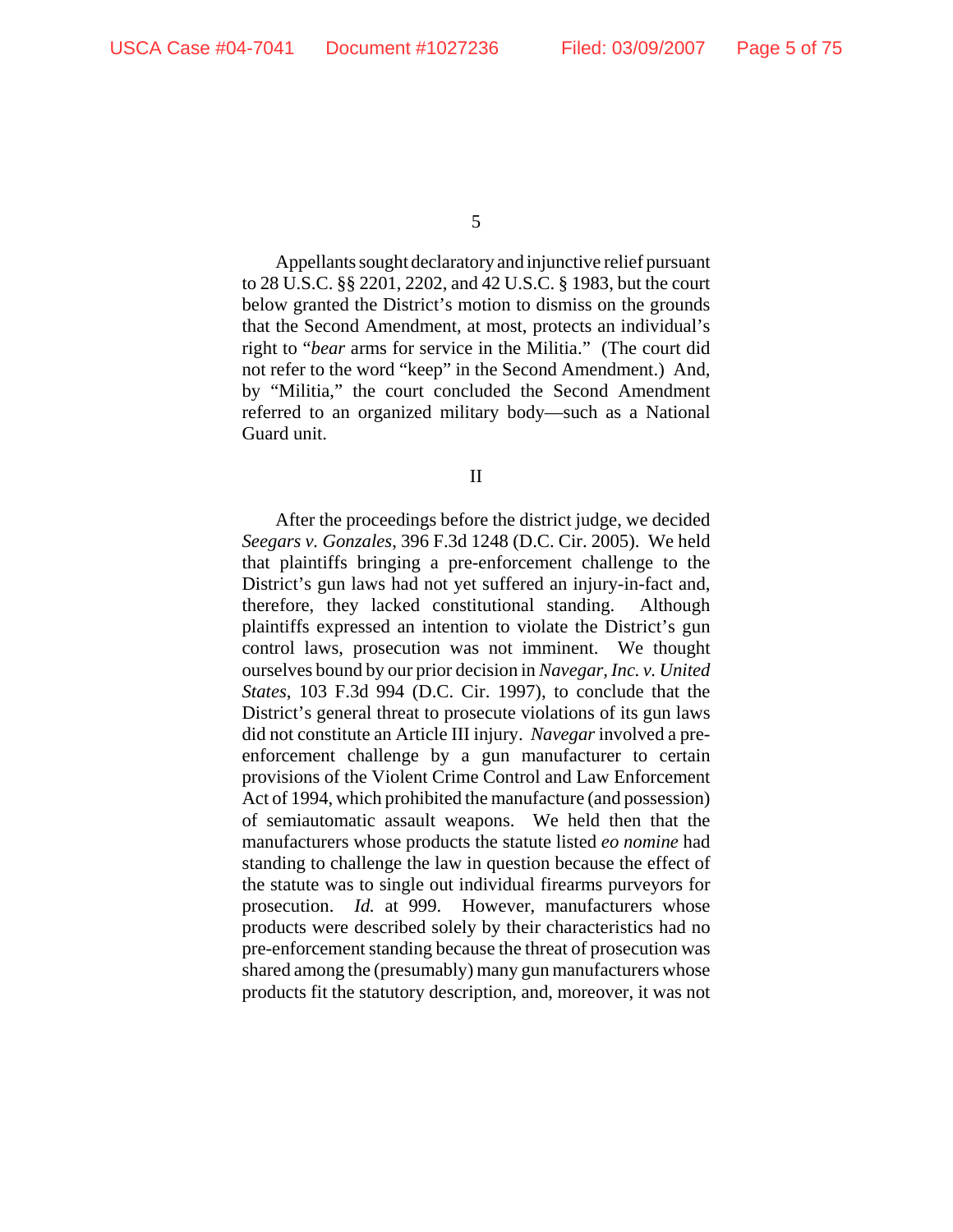Appellants sought declaratory and injunctive relief pursuant to 28 U.S.C. §§ 2201, 2202, and 42 U.S.C. § 1983, but the court below granted the District's motion to dismiss on the grounds that the Second Amendment, at most, protects an individual's right to "*bear* arms for service in the Militia." (The court did not refer to the word "keep" in the Second Amendment.) And, by "Militia," the court concluded the Second Amendment referred to an organized military body—such as a National Guard unit.

II

After the proceedings before the district judge, we decided *Seegars v. Gonzales*, 396 F.3d 1248 (D.C. Cir. 2005). We held that plaintiffs bringing a pre-enforcement challenge to the District's gun laws had not yet suffered an injury-in-fact and, therefore, they lacked constitutional standing. Although plaintiffs expressed an intention to violate the District's gun control laws, prosecution was not imminent. We thought ourselves bound by our prior decision in *Navegar, Inc. v. United States*, 103 F.3d 994 (D.C. Cir. 1997), to conclude that the District's general threat to prosecute violations of its gun laws did not constitute an Article III injury. *Navegar* involved a preenforcement challenge by a gun manufacturer to certain provisions of the Violent Crime Control and Law Enforcement Act of 1994, which prohibited the manufacture (and possession) of semiautomatic assault weapons. We held then that the manufacturers whose products the statute listed *eo nomine* had standing to challenge the law in question because the effect of the statute was to single out individual firearms purveyors for prosecution. *Id.* at 999. However, manufacturers whose products were described solely by their characteristics had no pre-enforcement standing because the threat of prosecution was shared among the (presumably) many gun manufacturers whose products fit the statutory description, and, moreover, it was not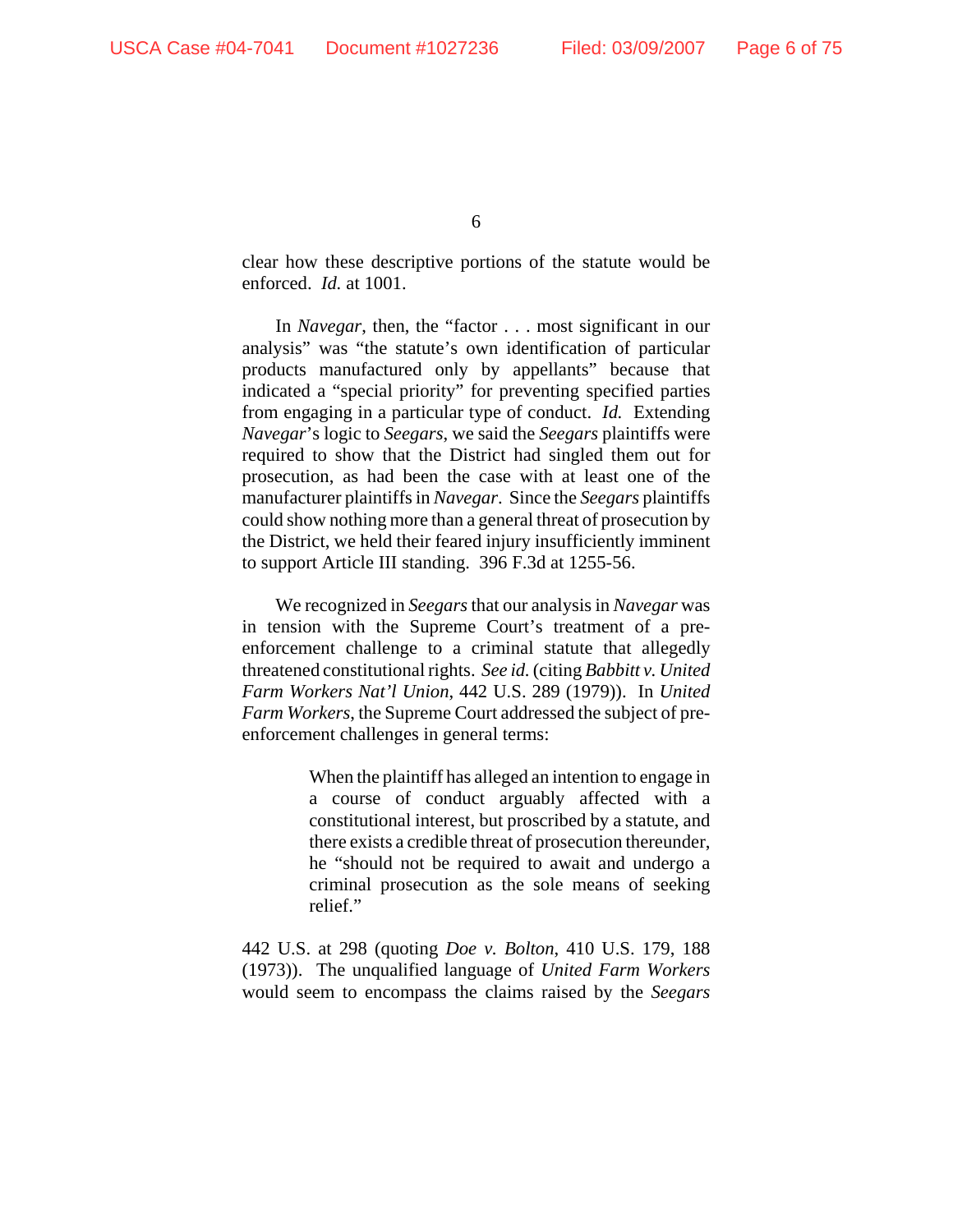clear how these descriptive portions of the statute would be enforced. *Id.* at 1001.

In *Navegar*, then, the "factor . . . most significant in our analysis" was "the statute's own identification of particular products manufactured only by appellants" because that indicated a "special priority" for preventing specified parties from engaging in a particular type of conduct. *Id.* Extending *Navegar*'s logic to *Seegars*, we said the *Seegars* plaintiffs were required to show that the District had singled them out for prosecution, as had been the case with at least one of the manufacturer plaintiffs in *Navegar*. Since the *Seegars* plaintiffs could show nothing more than a general threat of prosecution by the District, we held their feared injury insufficiently imminent to support Article III standing. 396 F.3d at 1255-56.

We recognized in *Seegars* that our analysis in *Navegar* was in tension with the Supreme Court's treatment of a preenforcement challenge to a criminal statute that allegedly threatened constitutional rights. *See id.* (citing *Babbitt v. United Farm Workers Nat'l Union*, 442 U.S. 289 (1979)). In *United Farm Workers*, the Supreme Court addressed the subject of preenforcement challenges in general terms:

> When the plaintiff has alleged an intention to engage in a course of conduct arguably affected with a constitutional interest, but proscribed by a statute, and there exists a credible threat of prosecution thereunder, he "should not be required to await and undergo a criminal prosecution as the sole means of seeking relief."

442 U.S. at 298 (quoting *Doe v. Bolton*, 410 U.S. 179, 188 (1973)). The unqualified language of *United Farm Workers* would seem to encompass the claims raised by the *Seegars*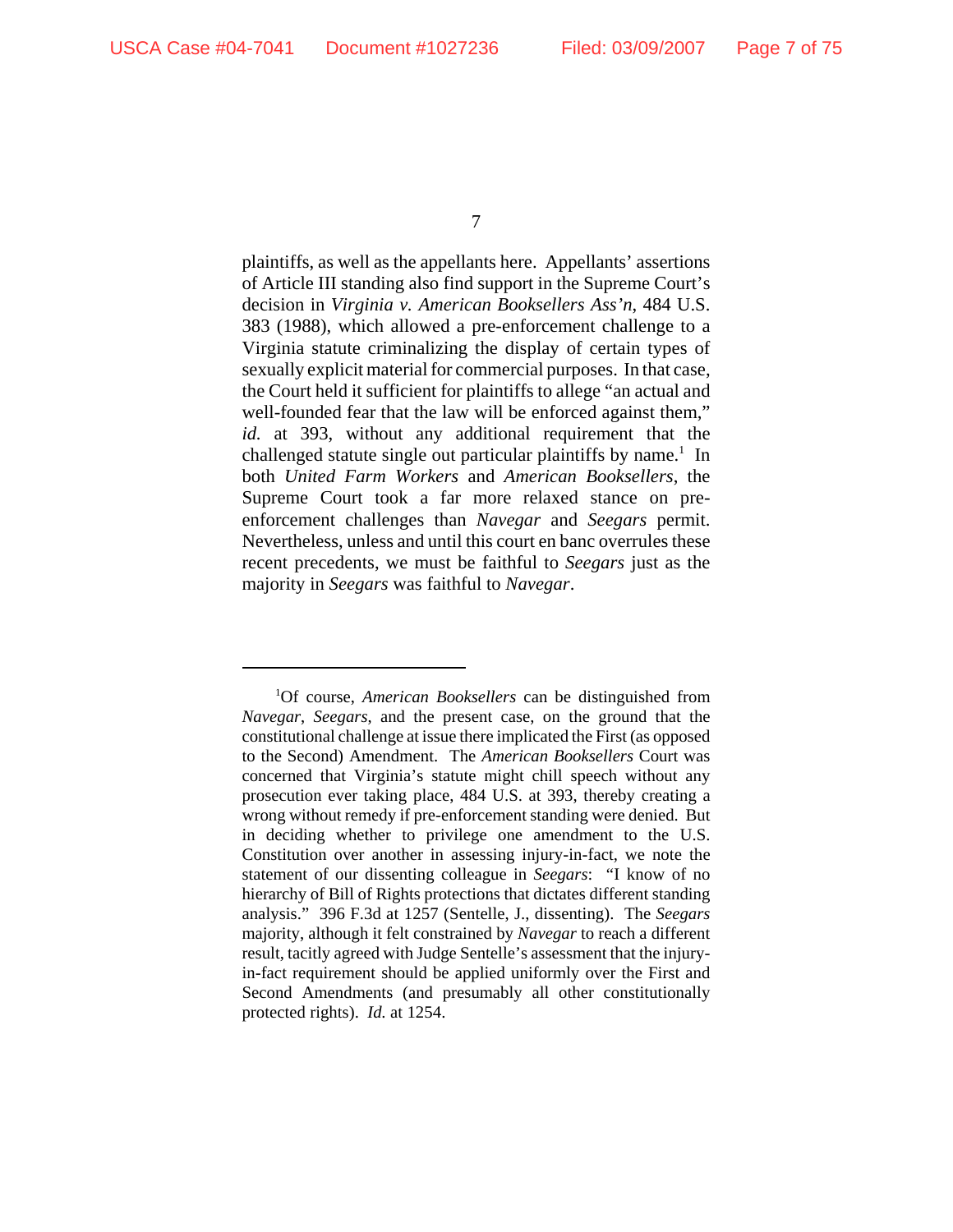plaintiffs, as well as the appellants here. Appellants' assertions of Article III standing also find support in the Supreme Court's decision in *Virginia v. American Booksellers Ass'n*, 484 U.S. 383 (1988), which allowed a pre-enforcement challenge to a Virginia statute criminalizing the display of certain types of sexually explicit material for commercial purposes. In that case, the Court held it sufficient for plaintiffs to allege "an actual and well-founded fear that the law will be enforced against them," *id.* at 393, without any additional requirement that the challenged statute single out particular plaintiffs by name.<sup>1</sup> In both *United Farm Workers* and *American Booksellers*, the Supreme Court took a far more relaxed stance on preenforcement challenges than *Navegar* and *Seegars* permit. Nevertheless, unless and until this court en banc overrules these recent precedents, we must be faithful to *Seegars* just as the majority in *Seegars* was faithful to *Navegar*.

<sup>1</sup> Of course, *American Booksellers* can be distinguished from *Navegar*, *Seegars*, and the present case, on the ground that the constitutional challenge at issue there implicated the First (as opposed to the Second) Amendment. The *American Booksellers* Court was concerned that Virginia's statute might chill speech without any prosecution ever taking place, 484 U.S. at 393, thereby creating a wrong without remedy if pre-enforcement standing were denied. But in deciding whether to privilege one amendment to the U.S. Constitution over another in assessing injury-in-fact, we note the statement of our dissenting colleague in *Seegars*: "I know of no hierarchy of Bill of Rights protections that dictates different standing analysis." 396 F.3d at 1257 (Sentelle, J., dissenting). The *Seegars* majority, although it felt constrained by *Navegar* to reach a different result, tacitly agreed with Judge Sentelle's assessment that the injuryin-fact requirement should be applied uniformly over the First and Second Amendments (and presumably all other constitutionally protected rights). *Id.* at 1254.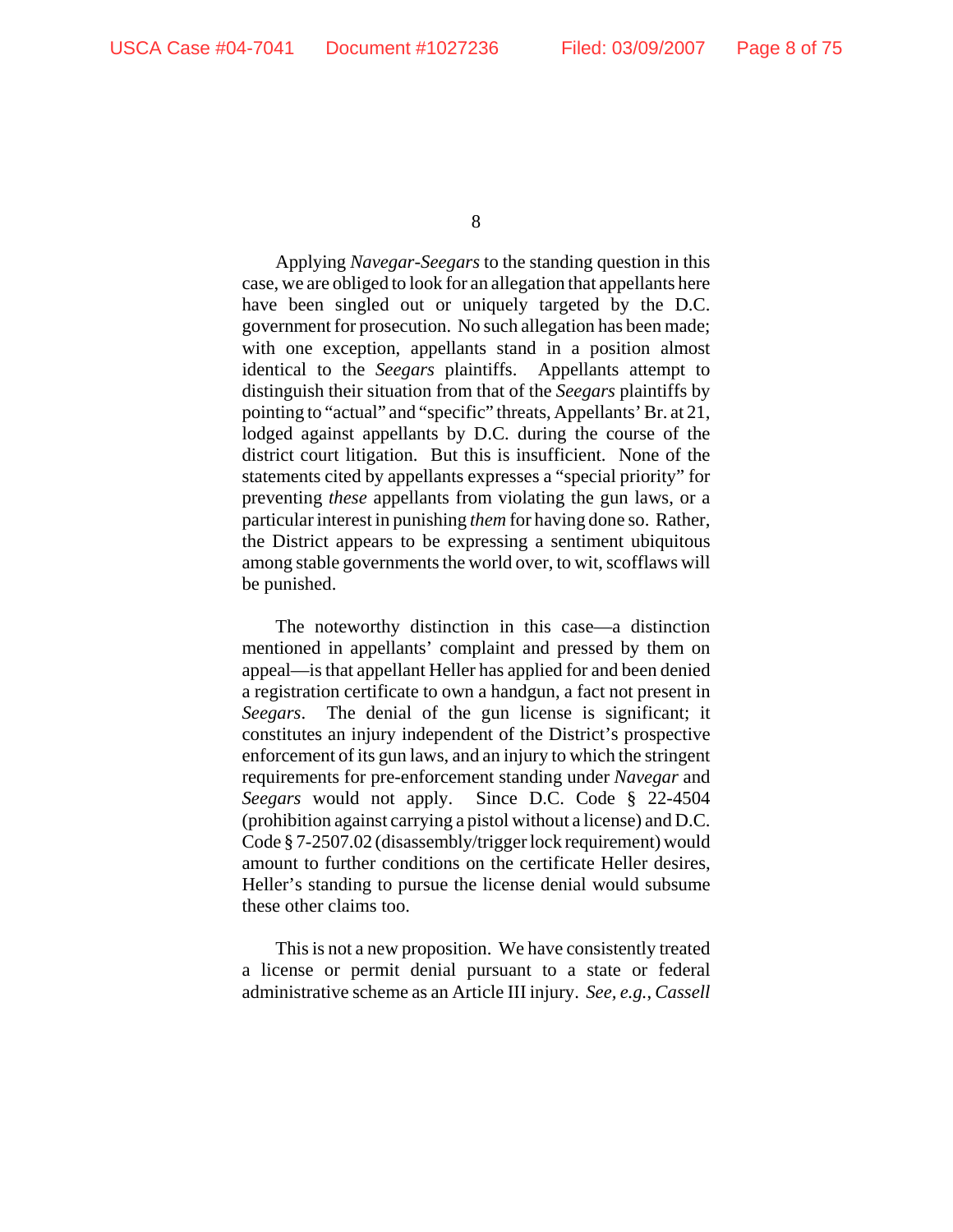Applying *Navegar*-*Seegars* to the standing question in this case, we are obliged to look for an allegation that appellants here have been singled out or uniquely targeted by the D.C. government for prosecution. No such allegation has been made; with one exception, appellants stand in a position almost identical to the *Seegars* plaintiffs. Appellants attempt to distinguish their situation from that of the *Seegars* plaintiffs by pointing to "actual" and "specific" threats, Appellants' Br. at 21, lodged against appellants by D.C. during the course of the district court litigation. But this is insufficient. None of the statements cited by appellants expresses a "special priority" for preventing *these* appellants from violating the gun laws, or a particular interest in punishing *them* for having done so. Rather, the District appears to be expressing a sentiment ubiquitous among stable governments the world over, to wit, scofflaws will be punished.

The noteworthy distinction in this case—a distinction mentioned in appellants' complaint and pressed by them on appeal—is that appellant Heller has applied for and been denied a registration certificate to own a handgun, a fact not present in *Seegars*. The denial of the gun license is significant; it constitutes an injury independent of the District's prospective enforcement of its gun laws, and an injury to which the stringent requirements for pre-enforcement standing under *Navegar* and *Seegars* would not apply. Since D.C. Code § 22-4504 (prohibition against carrying a pistol without a license) and D.C. Code § 7-2507.02 (disassembly/trigger lock requirement) would amount to further conditions on the certificate Heller desires, Heller's standing to pursue the license denial would subsume these other claims too.

This is not a new proposition. We have consistently treated a license or permit denial pursuant to a state or federal administrative scheme as an Article III injury. *See, e.g.*, *Cassell*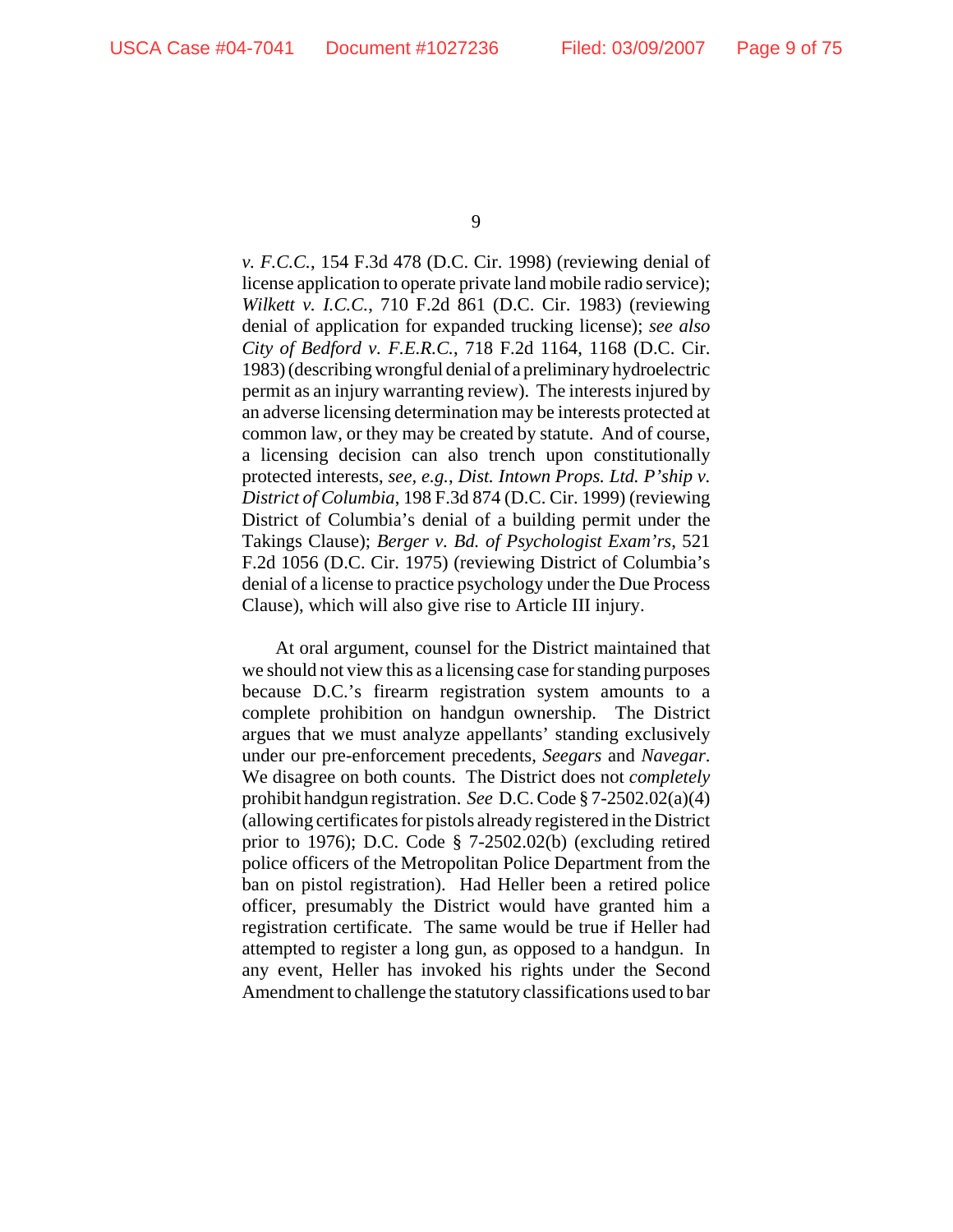*v. F.C.C.*, 154 F.3d 478 (D.C. Cir. 1998) (reviewing denial of license application to operate private land mobile radio service); *Wilkett v. I.C.C.*, 710 F.2d 861 (D.C. Cir. 1983) (reviewing denial of application for expanded trucking license); *see also City of Bedford v. F.E.R.C.*, 718 F.2d 1164, 1168 (D.C. Cir. 1983) (describing wrongful denial of a preliminary hydroelectric permit as an injury warranting review). The interests injured by an adverse licensing determination may be interests protected at common law, or they may be created by statute. And of course, a licensing decision can also trench upon constitutionally protected interests, *see, e.g.*, *Dist. Intown Props. Ltd. P'ship v. District of Columbia*, 198 F.3d 874 (D.C. Cir. 1999) (reviewing District of Columbia's denial of a building permit under the Takings Clause); *Berger v. Bd. of Psychologist Exam'rs*, 521 F.2d 1056 (D.C. Cir. 1975) (reviewing District of Columbia's denial of a license to practice psychology under the Due Process Clause), which will also give rise to Article III injury.

At oral argument, counsel for the District maintained that we should not view this as a licensing case for standing purposes because D.C.'s firearm registration system amounts to a complete prohibition on handgun ownership. The District argues that we must analyze appellants' standing exclusively under our pre-enforcement precedents, *Seegars* and *Navegar*. We disagree on both counts. The District does not *completely* prohibit handgun registration. *See* D.C. Code § 7-2502.02(a)(4) (allowing certificates for pistols already registered in the District prior to 1976); D.C. Code § 7-2502.02(b) (excluding retired police officers of the Metropolitan Police Department from the ban on pistol registration). Had Heller been a retired police officer, presumably the District would have granted him a registration certificate. The same would be true if Heller had attempted to register a long gun, as opposed to a handgun. In any event, Heller has invoked his rights under the Second Amendment to challenge the statutory classifications used to bar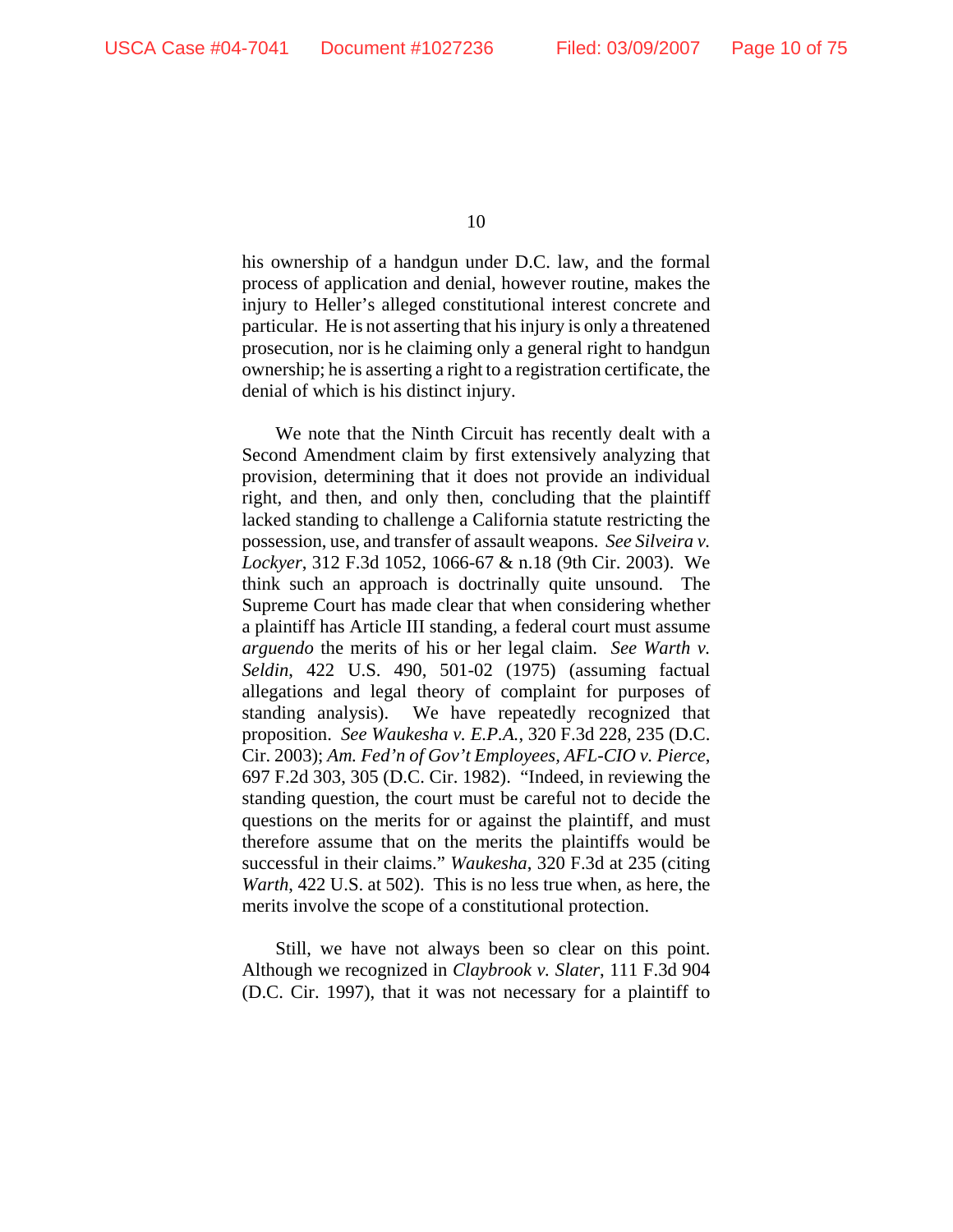his ownership of a handgun under D.C. law, and the formal process of application and denial, however routine, makes the injury to Heller's alleged constitutional interest concrete and particular. He is not asserting that his injury is only a threatened prosecution, nor is he claiming only a general right to handgun ownership; he is asserting a right to a registration certificate, the denial of which is his distinct injury.

We note that the Ninth Circuit has recently dealt with a Second Amendment claim by first extensively analyzing that provision, determining that it does not provide an individual right, and then, and only then, concluding that the plaintiff lacked standing to challenge a California statute restricting the possession, use, and transfer of assault weapons. *See Silveira v. Lockyer*, 312 F.3d 1052, 1066-67 & n.18 (9th Cir. 2003). We think such an approach is doctrinally quite unsound. The Supreme Court has made clear that when considering whether a plaintiff has Article III standing, a federal court must assume *arguendo* the merits of his or her legal claim. *See Warth v. Seldin*, 422 U.S. 490, 501-02 (1975) (assuming factual allegations and legal theory of complaint for purposes of standing analysis). We have repeatedly recognized that proposition. *See Waukesha v. E.P.A.*, 320 F.3d 228, 235 (D.C. Cir. 2003); *Am. Fed'n of Gov't Employees, AFL-CIO v. Pierce*, 697 F.2d 303, 305 (D.C. Cir. 1982). "Indeed, in reviewing the standing question, the court must be careful not to decide the questions on the merits for or against the plaintiff, and must therefore assume that on the merits the plaintiffs would be successful in their claims." *Waukesha*, 320 F.3d at 235 (citing *Warth*, 422 U.S. at 502). This is no less true when, as here, the merits involve the scope of a constitutional protection.

Still, we have not always been so clear on this point. Although we recognized in *Claybrook v. Slater*, 111 F.3d 904 (D.C. Cir. 1997), that it was not necessary for a plaintiff to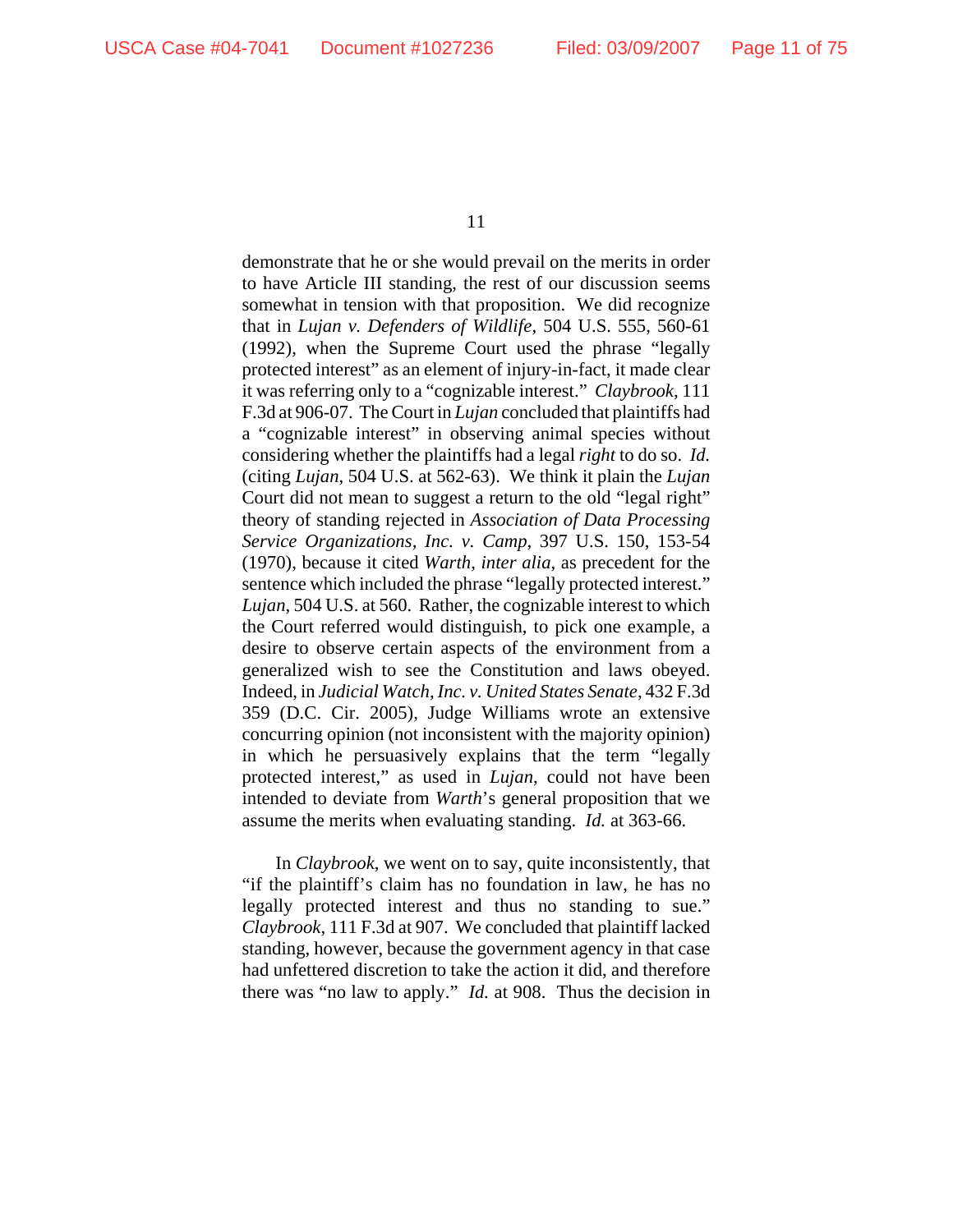demonstrate that he or she would prevail on the merits in order to have Article III standing, the rest of our discussion seems somewhat in tension with that proposition. We did recognize that in *Lujan v. Defenders of Wildlife*, 504 U.S. 555, 560-61 (1992), when the Supreme Court used the phrase "legally protected interest" as an element of injury-in-fact, it made clear it was referring only to a "cognizable interest." *Claybrook*, 111 F.3d at 906-07. The Court in *Lujan* concluded that plaintiffs had a "cognizable interest" in observing animal species without considering whether the plaintiffs had a legal *right* to do so. *Id.* (citing *Lujan*, 504 U.S. at 562-63). We think it plain the *Lujan* Court did not mean to suggest a return to the old "legal right" theory of standing rejected in *Association of Data Processing Service Organizations, Inc. v. Camp*, 397 U.S. 150, 153-54 (1970), because it cited *Warth*, *inter alia*, as precedent for the sentence which included the phrase "legally protected interest." *Lujan*, 504 U.S. at 560. Rather, the cognizable interest to which the Court referred would distinguish, to pick one example, a desire to observe certain aspects of the environment from a generalized wish to see the Constitution and laws obeyed. Indeed, in *Judicial Watch, Inc. v. United States Senate*, 432 F.3d 359 (D.C. Cir. 2005), Judge Williams wrote an extensive concurring opinion (not inconsistent with the majority opinion) in which he persuasively explains that the term "legally protected interest," as used in *Lujan*, could not have been intended to deviate from *Warth*'s general proposition that we assume the merits when evaluating standing. *Id.* at 363-66.

In *Claybrook*, we went on to say, quite inconsistently, that "if the plaintiff's claim has no foundation in law, he has no legally protected interest and thus no standing to sue." *Claybrook*, 111 F.3d at 907. We concluded that plaintiff lacked standing, however, because the government agency in that case had unfettered discretion to take the action it did, and therefore there was "no law to apply." *Id.* at 908. Thus the decision in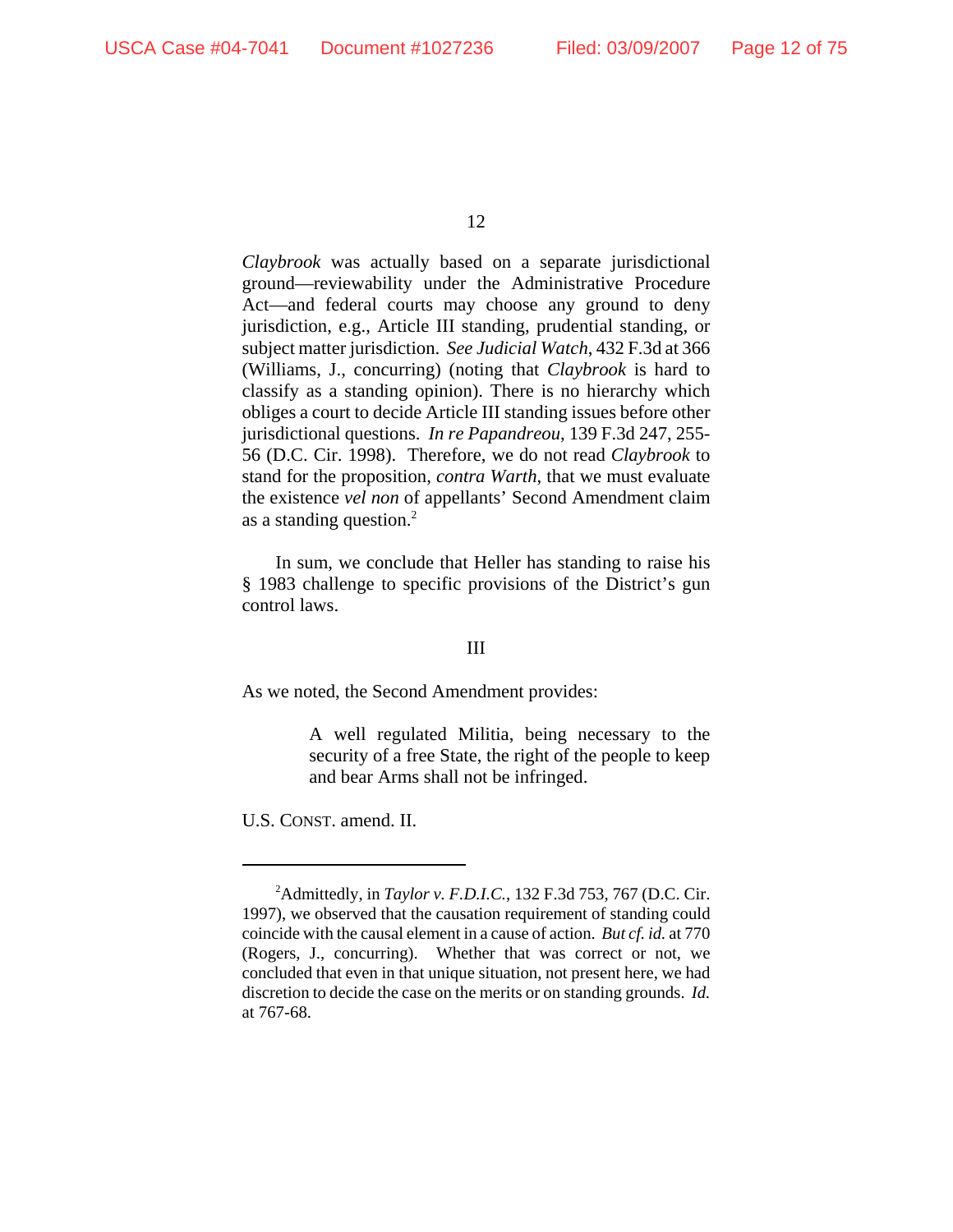*Claybrook* was actually based on a separate jurisdictional ground—reviewability under the Administrative Procedure Act—and federal courts may choose any ground to deny jurisdiction, e.g., Article III standing, prudential standing, or subject matter jurisdiction. *See Judicial Watch*, 432 F.3d at 366 (Williams, J., concurring) (noting that *Claybrook* is hard to classify as a standing opinion). There is no hierarchy which obliges a court to decide Article III standing issues before other jurisdictional questions. *In re Papandreou*, 139 F.3d 247, 255- 56 (D.C. Cir. 1998). Therefore, we do not read *Claybrook* to stand for the proposition, *contra Warth*, that we must evaluate the existence *vel non* of appellants' Second Amendment claim as a standing question.<sup>2</sup>

In sum, we conclude that Heller has standing to raise his § 1983 challenge to specific provisions of the District's gun control laws.

## III

As we noted, the Second Amendment provides:

A well regulated Militia, being necessary to the security of a free State, the right of the people to keep and bear Arms shall not be infringed.

U.S. CONST. amend. II.

<sup>2</sup> Admittedly, in *Taylor v. F.D.I.C.*, 132 F.3d 753, 767 (D.C. Cir. 1997), we observed that the causation requirement of standing could coincide with the causal element in a cause of action. *But cf. id.* at 770 (Rogers, J., concurring). Whether that was correct or not, we concluded that even in that unique situation, not present here, we had discretion to decide the case on the merits or on standing grounds. *Id.* at 767-68.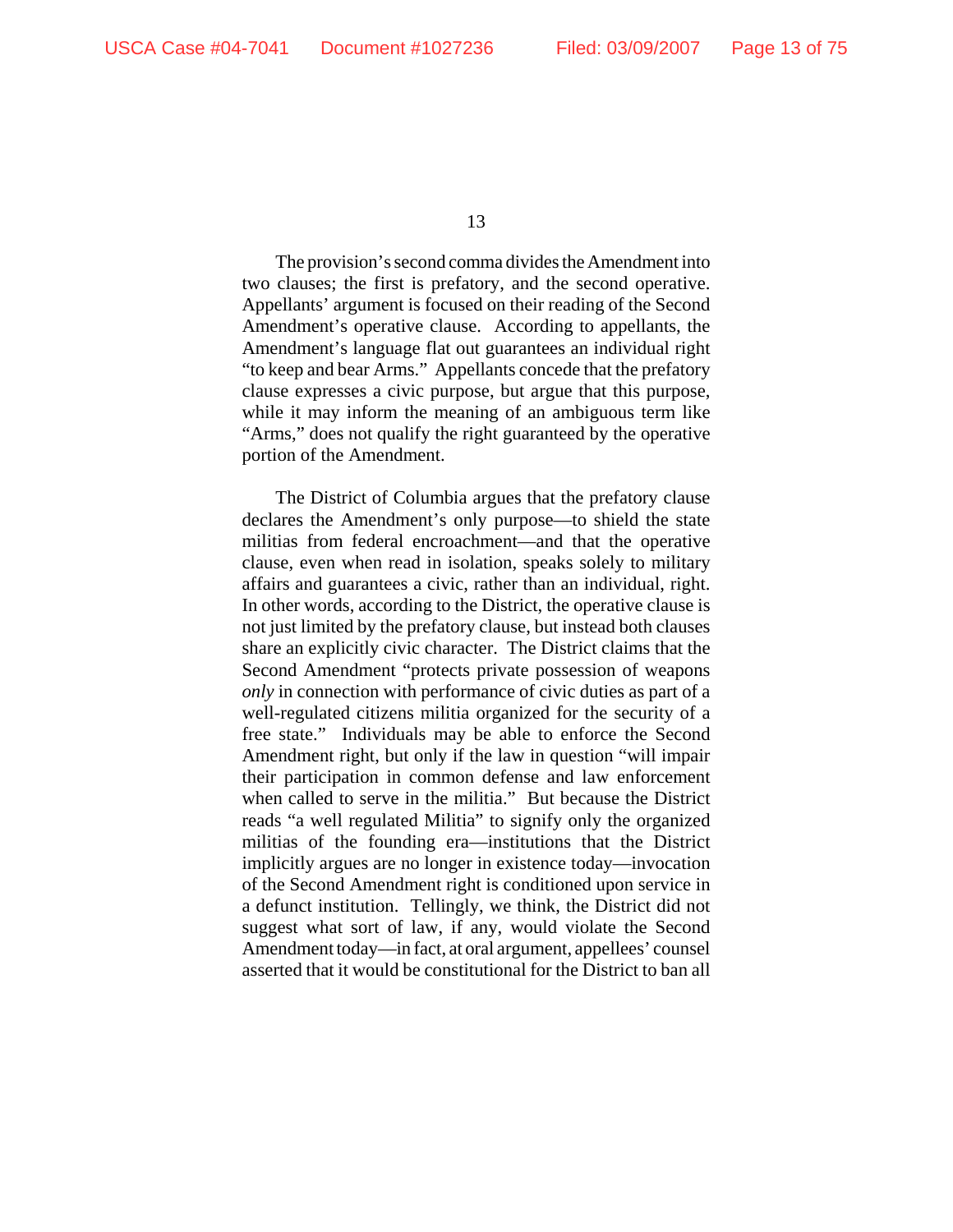The provision's second comma divides the Amendment into two clauses; the first is prefatory, and the second operative. Appellants' argument is focused on their reading of the Second Amendment's operative clause. According to appellants, the Amendment's language flat out guarantees an individual right "to keep and bear Arms." Appellants concede that the prefatory clause expresses a civic purpose, but argue that this purpose, while it may inform the meaning of an ambiguous term like "Arms," does not qualify the right guaranteed by the operative portion of the Amendment.

The District of Columbia argues that the prefatory clause declares the Amendment's only purpose—to shield the state militias from federal encroachment—and that the operative clause, even when read in isolation, speaks solely to military affairs and guarantees a civic, rather than an individual, right. In other words, according to the District, the operative clause is not just limited by the prefatory clause, but instead both clauses share an explicitly civic character. The District claims that the Second Amendment "protects private possession of weapons *only* in connection with performance of civic duties as part of a well-regulated citizens militia organized for the security of a free state." Individuals may be able to enforce the Second Amendment right, but only if the law in question "will impair their participation in common defense and law enforcement when called to serve in the militia." But because the District reads "a well regulated Militia" to signify only the organized militias of the founding era—institutions that the District implicitly argues are no longer in existence today—invocation of the Second Amendment right is conditioned upon service in a defunct institution. Tellingly, we think, the District did not suggest what sort of law, if any, would violate the Second Amendment today—in fact, at oral argument, appellees' counsel asserted that it would be constitutional for the District to ban all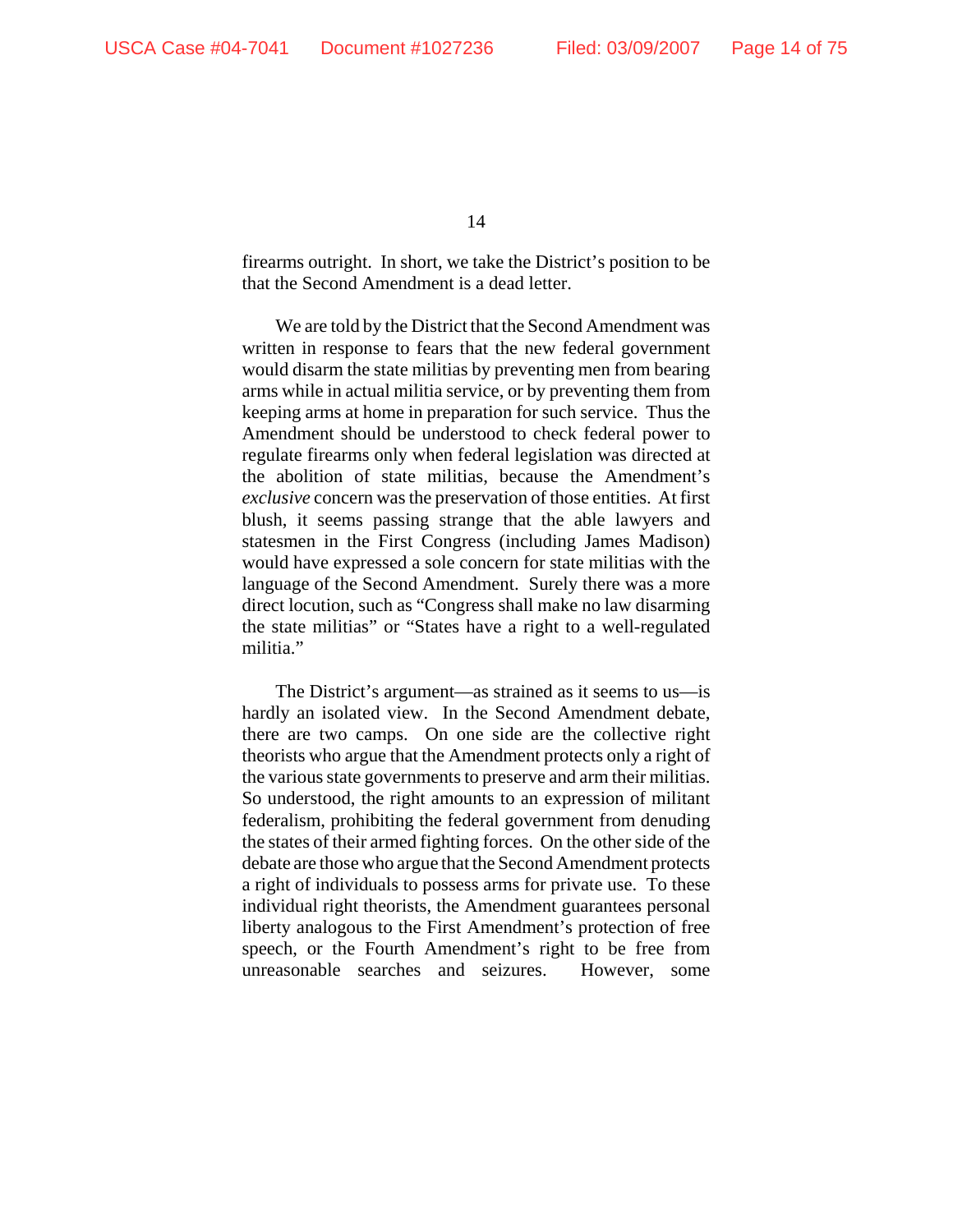firearms outright. In short, we take the District's position to be that the Second Amendment is a dead letter.

We are told by the District that the Second Amendment was written in response to fears that the new federal government would disarm the state militias by preventing men from bearing arms while in actual militia service, or by preventing them from keeping arms at home in preparation for such service. Thus the Amendment should be understood to check federal power to regulate firearms only when federal legislation was directed at the abolition of state militias, because the Amendment's *exclusive* concern was the preservation of those entities. At first blush, it seems passing strange that the able lawyers and statesmen in the First Congress (including James Madison) would have expressed a sole concern for state militias with the language of the Second Amendment. Surely there was a more direct locution, such as "Congress shall make no law disarming the state militias" or "States have a right to a well-regulated militia."

The District's argument—as strained as it seems to us—is hardly an isolated view. In the Second Amendment debate, there are two camps. On one side are the collective right theorists who argue that the Amendment protects only a right of the various state governments to preserve and arm their militias. So understood, the right amounts to an expression of militant federalism, prohibiting the federal government from denuding the states of their armed fighting forces. On the other side of the debate are those who argue that the Second Amendment protects a right of individuals to possess arms for private use. To these individual right theorists, the Amendment guarantees personal liberty analogous to the First Amendment's protection of free speech, or the Fourth Amendment's right to be free from unreasonable searches and seizures. However, some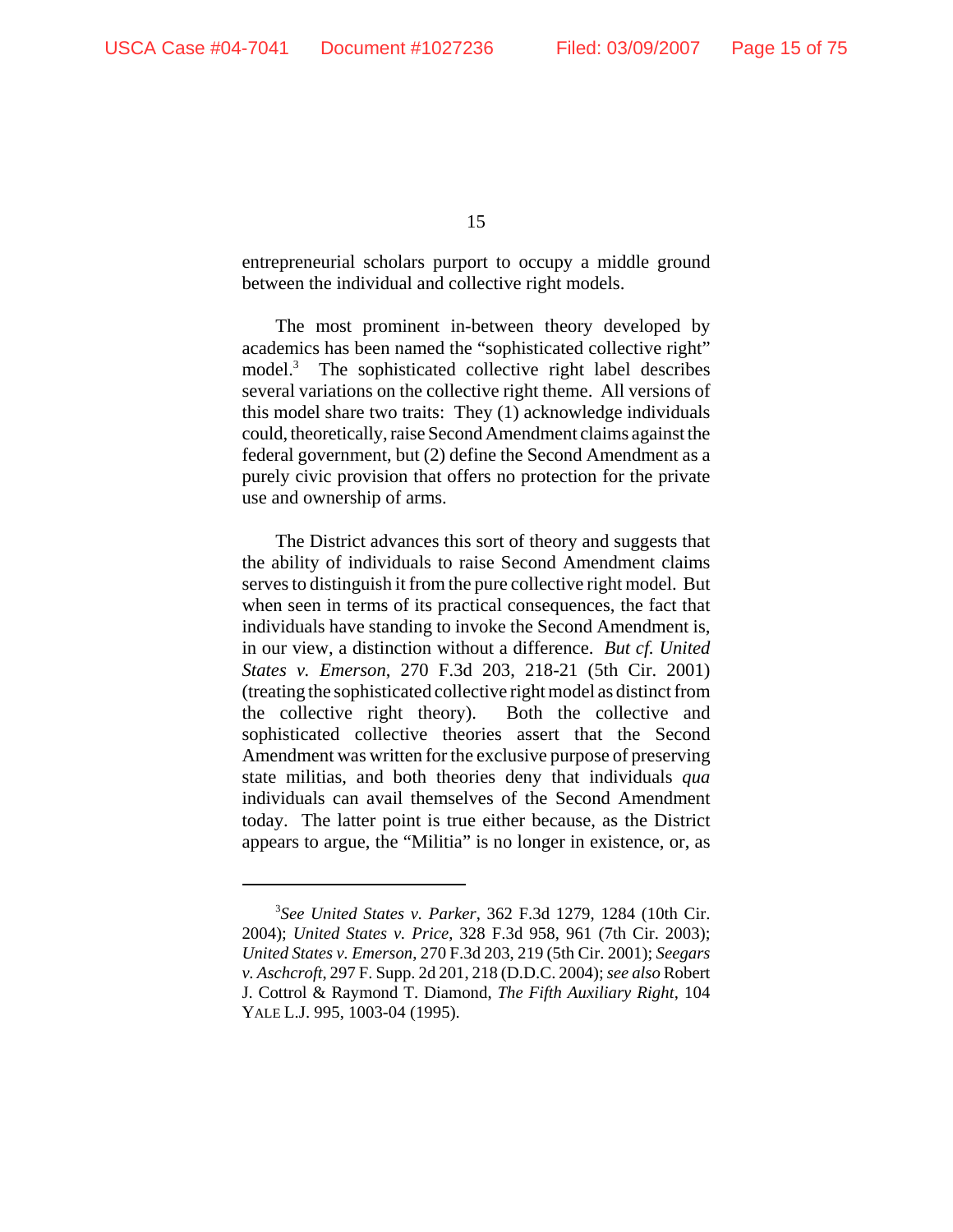entrepreneurial scholars purport to occupy a middle ground between the individual and collective right models.

The most prominent in-between theory developed by academics has been named the "sophisticated collective right" model.<sup>3</sup> The sophisticated collective right label describes several variations on the collective right theme. All versions of this model share two traits: They (1) acknowledge individuals could, theoretically, raise Second Amendment claims against the federal government, but (2) define the Second Amendment as a purely civic provision that offers no protection for the private use and ownership of arms.

The District advances this sort of theory and suggests that the ability of individuals to raise Second Amendment claims serves to distinguish it from the pure collective right model. But when seen in terms of its practical consequences, the fact that individuals have standing to invoke the Second Amendment is, in our view, a distinction without a difference. *But cf. United States v. Emerson*, 270 F.3d 203, 218-21 (5th Cir. 2001) (treating the sophisticated collective right model as distinct from the collective right theory). Both the collective and sophisticated collective theories assert that the Second Amendment was written for the exclusive purpose of preserving state militias, and both theories deny that individuals *qua* individuals can avail themselves of the Second Amendment today. The latter point is true either because, as the District appears to argue, the "Militia" is no longer in existence, or, as

<sup>3</sup> *See United States v. Parker*, 362 F.3d 1279, 1284 (10th Cir. 2004); *United States v. Price*, 328 F.3d 958, 961 (7th Cir. 2003); *United States v. Emerson*, 270 F.3d 203, 219 (5th Cir. 2001); *Seegars v. Aschcroft*, 297 F. Supp. 2d 201, 218 (D.D.C. 2004); *see also* Robert J. Cottrol & Raymond T. Diamond, *The Fifth Auxiliary Right*, 104 YALE L.J. 995, 1003-04 (1995).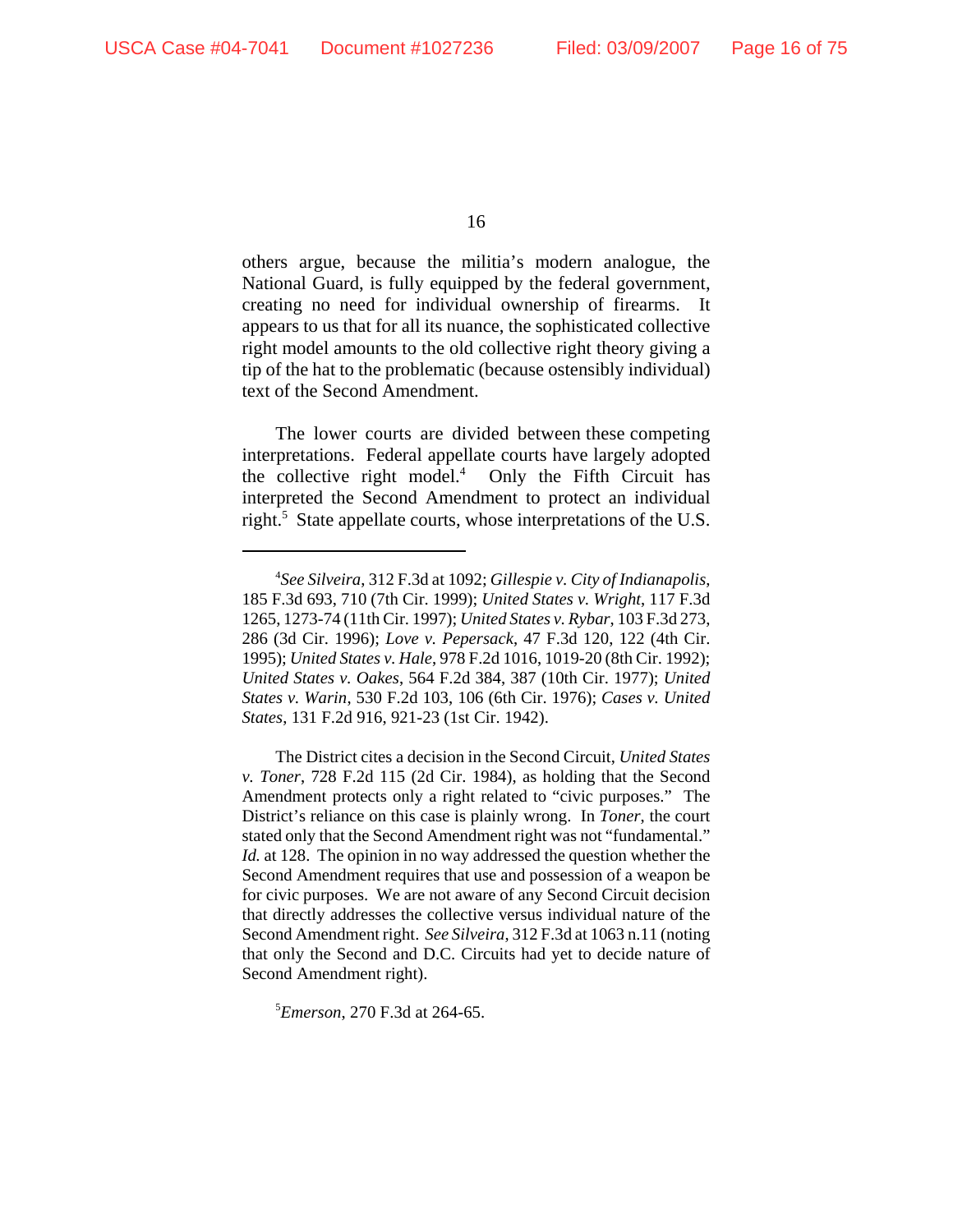others argue, because the militia's modern analogue, the National Guard, is fully equipped by the federal government, creating no need for individual ownership of firearms. It appears to us that for all its nuance, the sophisticated collective right model amounts to the old collective right theory giving a tip of the hat to the problematic (because ostensibly individual) text of the Second Amendment.

 The lower courts are divided between these competing interpretations. Federal appellate courts have largely adopted the collective right model. $4$  Only the Fifth Circuit has interpreted the Second Amendment to protect an individual right.<sup>5</sup> State appellate courts, whose interpretations of the U.S.

The District cites a decision in the Second Circuit, *United States v. Toner*, 728 F.2d 115 (2d Cir. 1984), as holding that the Second Amendment protects only a right related to "civic purposes." The District's reliance on this case is plainly wrong. In *Toner*, the court stated only that the Second Amendment right was not "fundamental." *Id.* at 128. The opinion in no way addressed the question whether the Second Amendment requires that use and possession of a weapon be for civic purposes. We are not aware of any Second Circuit decision that directly addresses the collective versus individual nature of the Second Amendment right. *See Silveira*, 312 F.3d at 1063 n.11 (noting that only the Second and D.C. Circuits had yet to decide nature of Second Amendment right).

5 *Emerson*, 270 F.3d at 264-65.

<sup>4</sup> *See Silveira*, 312 F.3d at 1092; *Gillespie v. City of Indianapolis*, 185 F.3d 693, 710 (7th Cir. 1999); *United States v. Wright*, 117 F.3d 1265, 1273-74 (11th Cir. 1997); *United States v. Rybar*, 103 F.3d 273, 286 (3d Cir. 1996); *Love v. Pepersack*, 47 F.3d 120, 122 (4th Cir. 1995); *United States v. Hale*, 978 F.2d 1016, 1019-20 (8th Cir. 1992); *United States v. Oakes*, 564 F.2d 384, 387 (10th Cir. 1977); *United States v. Warin*, 530 F.2d 103, 106 (6th Cir. 1976); *Cases v. United States*, 131 F.2d 916, 921-23 (1st Cir. 1942).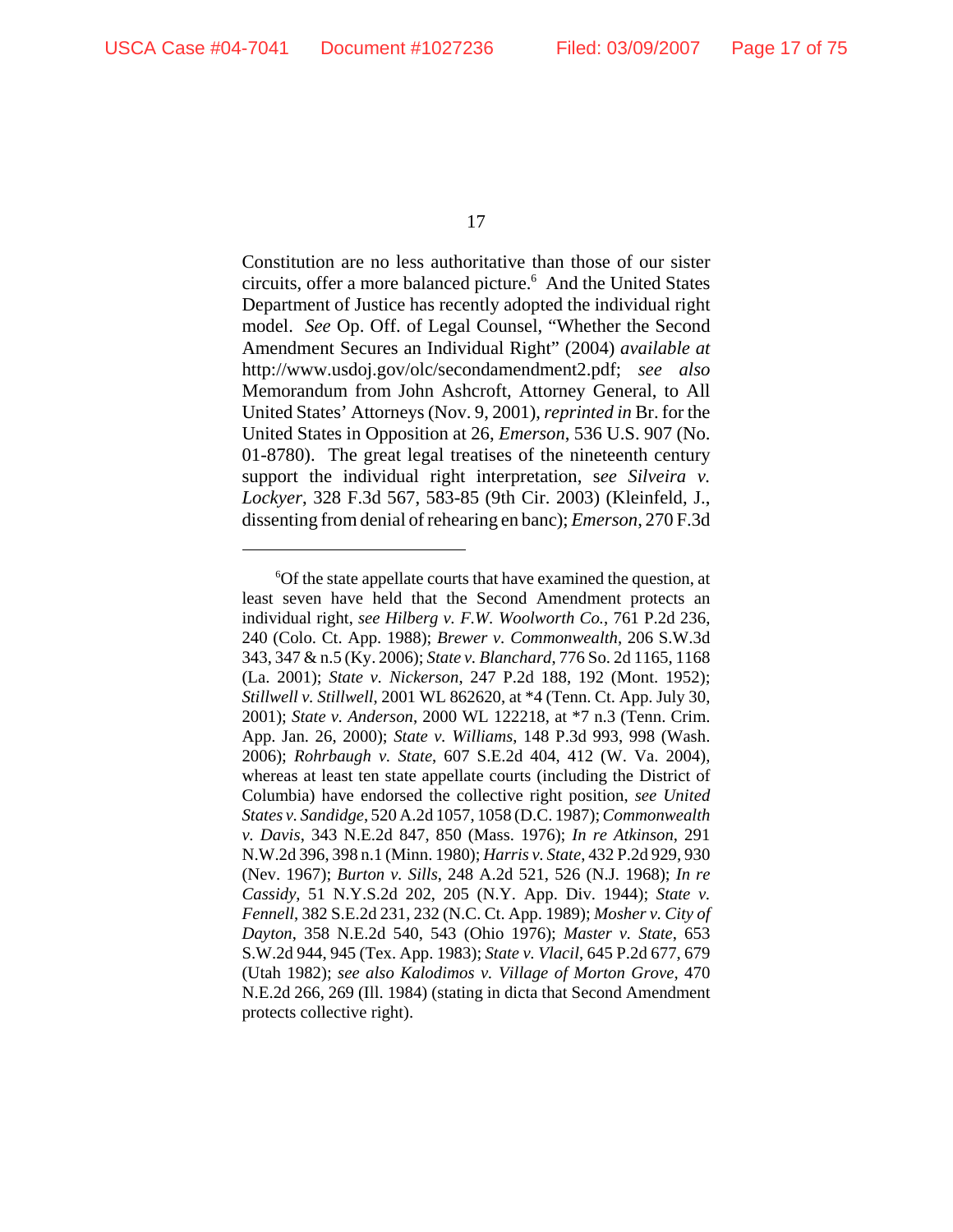Constitution are no less authoritative than those of our sister circuits, offer a more balanced picture.<sup>6</sup> And the United States Department of Justice has recently adopted the individual right model. *See* Op. Off. of Legal Counsel, "Whether the Second Amendment Secures an Individual Right" (2004) *available at* http://www.usdoj.gov/olc/secondamendment2.pdf; *see also* Memorandum from John Ashcroft, Attorney General, to All United States' Attorneys (Nov. 9, 2001), *reprinted in* Br. for the United States in Opposition at 26, *Emerson*, 536 U.S. 907 (No. 01-8780). The great legal treatises of the nineteenth century support the individual right interpretation, s*ee Silveira v. Lockyer*, 328 F.3d 567, 583-85 (9th Cir. 2003) (Kleinfeld, J., dissenting from denial of rehearing en banc); *Emerson*, 270 F.3d

<sup>6</sup> Of the state appellate courts that have examined the question, at least seven have held that the Second Amendment protects an individual right, *see Hilberg v. F.W. Woolworth Co.*, 761 P.2d 236, 240 (Colo. Ct. App. 1988); *Brewer v. Commonwealth*, 206 S.W.3d 343, 347 & n.5 (Ky. 2006); *State v. Blanchard*, 776 So. 2d 1165, 1168 (La. 2001); *State v. Nickerson*, 247 P.2d 188, 192 (Mont. 1952); *Stillwell v. Stillwell*, 2001 WL 862620, at \*4 (Tenn. Ct. App. July 30, 2001); *State v. Anderson*, 2000 WL 122218, at \*7 n.3 (Tenn. Crim. App. Jan. 26, 2000); *State v. Williams*, 148 P.3d 993, 998 (Wash. 2006); *Rohrbaugh v. State*, 607 S.E.2d 404, 412 (W. Va. 2004), whereas at least ten state appellate courts (including the District of Columbia) have endorsed the collective right position, *see United States v. Sandidge*, 520 A.2d 1057, 1058 (D.C. 1987); *Commonwealth v. Davis*, 343 N.E.2d 847, 850 (Mass. 1976); *In re Atkinson*, 291 N.W.2d 396, 398 n.1 (Minn. 1980); *Harris v. State*, 432 P.2d 929, 930 (Nev. 1967); *Burton v. Sills*, 248 A.2d 521, 526 (N.J. 1968); *In re Cassidy*, 51 N.Y.S.2d 202, 205 (N.Y. App. Div. 1944); *State v. Fennell*, 382 S.E.2d 231, 232 (N.C. Ct. App. 1989); *Mosher v. City of Dayton*, 358 N.E.2d 540, 543 (Ohio 1976); *Master v. State*, 653 S.W.2d 944, 945 (Tex. App. 1983); *State v. Vlacil*, 645 P.2d 677, 679 (Utah 1982); *see also Kalodimos v. Village of Morton Grove*, 470 N.E.2d 266, 269 (Ill. 1984) (stating in dicta that Second Amendment protects collective right).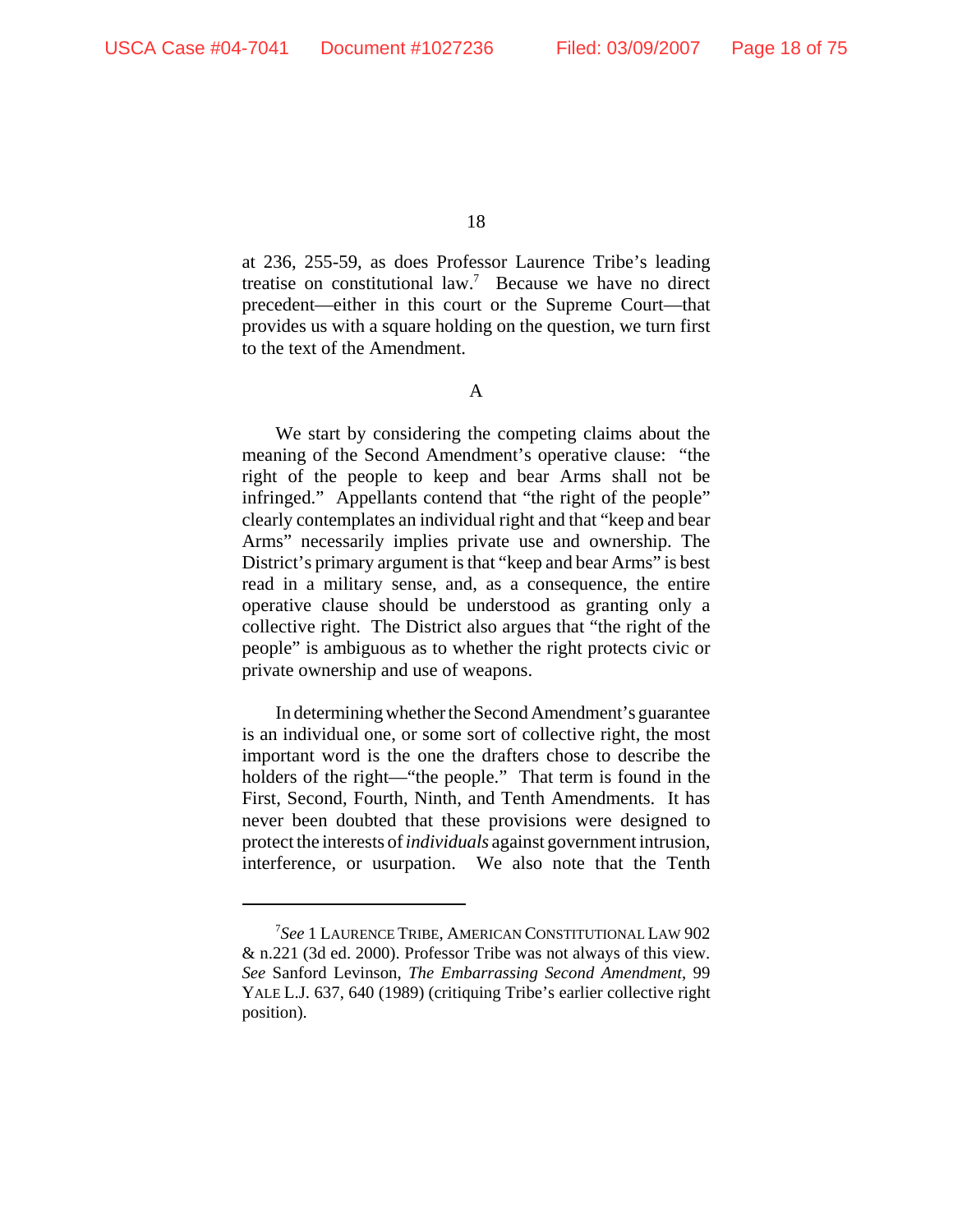at 236, 255-59, as does Professor Laurence Tribe's leading treatise on constitutional law.7 Because we have no direct precedent—either in this court or the Supreme Court—that provides us with a square holding on the question, we turn first to the text of the Amendment.

A

We start by considering the competing claims about the meaning of the Second Amendment's operative clause: "the right of the people to keep and bear Arms shall not be infringed." Appellants contend that "the right of the people" clearly contemplates an individual right and that "keep and bear Arms" necessarily implies private use and ownership. The District's primary argument is that "keep and bear Arms" is best read in a military sense, and, as a consequence, the entire operative clause should be understood as granting only a collective right. The District also argues that "the right of the people" is ambiguous as to whether the right protects civic or private ownership and use of weapons.

In determining whether the Second Amendment's guarantee is an individual one, or some sort of collective right, the most important word is the one the drafters chose to describe the holders of the right—"the people." That term is found in the First, Second, Fourth, Ninth, and Tenth Amendments. It has never been doubted that these provisions were designed to protect the interests of *individuals* against government intrusion, interference, or usurpation. We also note that the Tenth

<sup>7</sup> *See* 1 LAURENCE TRIBE, AMERICAN CONSTITUTIONAL LAW 902 & n.221 (3d ed. 2000). Professor Tribe was not always of this view. *See* Sanford Levinson, *The Embarrassing Second Amendment*, 99 YALE L.J. 637, 640 (1989) (critiquing Tribe's earlier collective right position).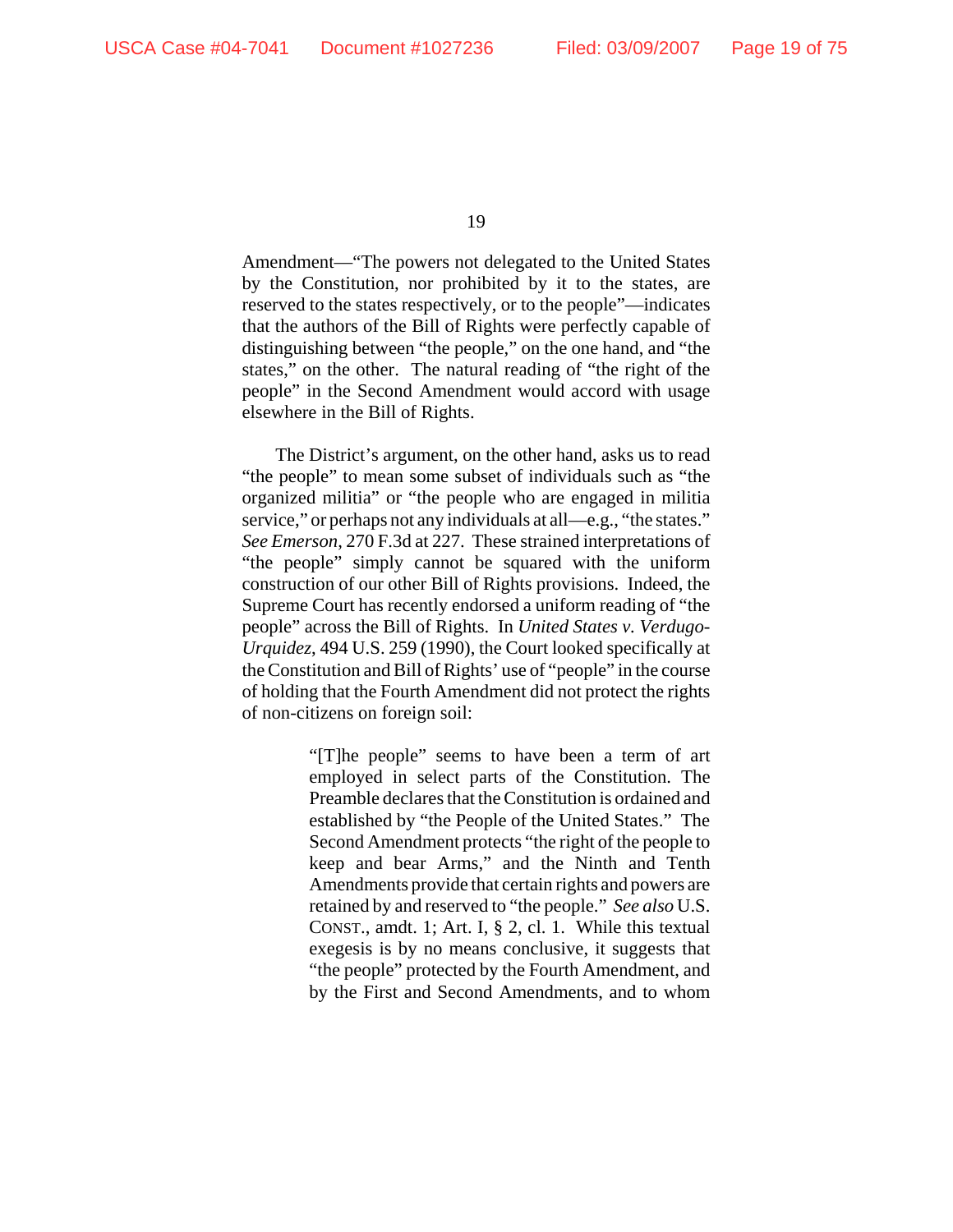Amendment—"The powers not delegated to the United States by the Constitution, nor prohibited by it to the states, are reserved to the states respectively, or to the people"—indicates that the authors of the Bill of Rights were perfectly capable of distinguishing between "the people," on the one hand, and "the states," on the other. The natural reading of "the right of the people" in the Second Amendment would accord with usage elsewhere in the Bill of Rights.

The District's argument, on the other hand, asks us to read "the people" to mean some subset of individuals such as "the organized militia" or "the people who are engaged in militia service," or perhaps not any individuals at all—e.g., "the states." *See Emerson*, 270 F.3d at 227. These strained interpretations of "the people" simply cannot be squared with the uniform construction of our other Bill of Rights provisions. Indeed, the Supreme Court has recently endorsed a uniform reading of "the people" across the Bill of Rights. In *United States v. Verdugo-Urquidez*, 494 U.S. 259 (1990), the Court looked specifically at the Constitution and Bill of Rights' use of "people" in the course of holding that the Fourth Amendment did not protect the rights of non-citizens on foreign soil:

> "[T]he people" seems to have been a term of art employed in select parts of the Constitution. The Preamble declares that the Constitution is ordained and established by "the People of the United States." The Second Amendment protects "the right of the people to keep and bear Arms," and the Ninth and Tenth Amendments provide that certain rights and powers are retained by and reserved to "the people." *See also* U.S. CONST., amdt. 1; Art. I, § 2, cl. 1. While this textual exegesis is by no means conclusive, it suggests that "the people" protected by the Fourth Amendment, and by the First and Second Amendments, and to whom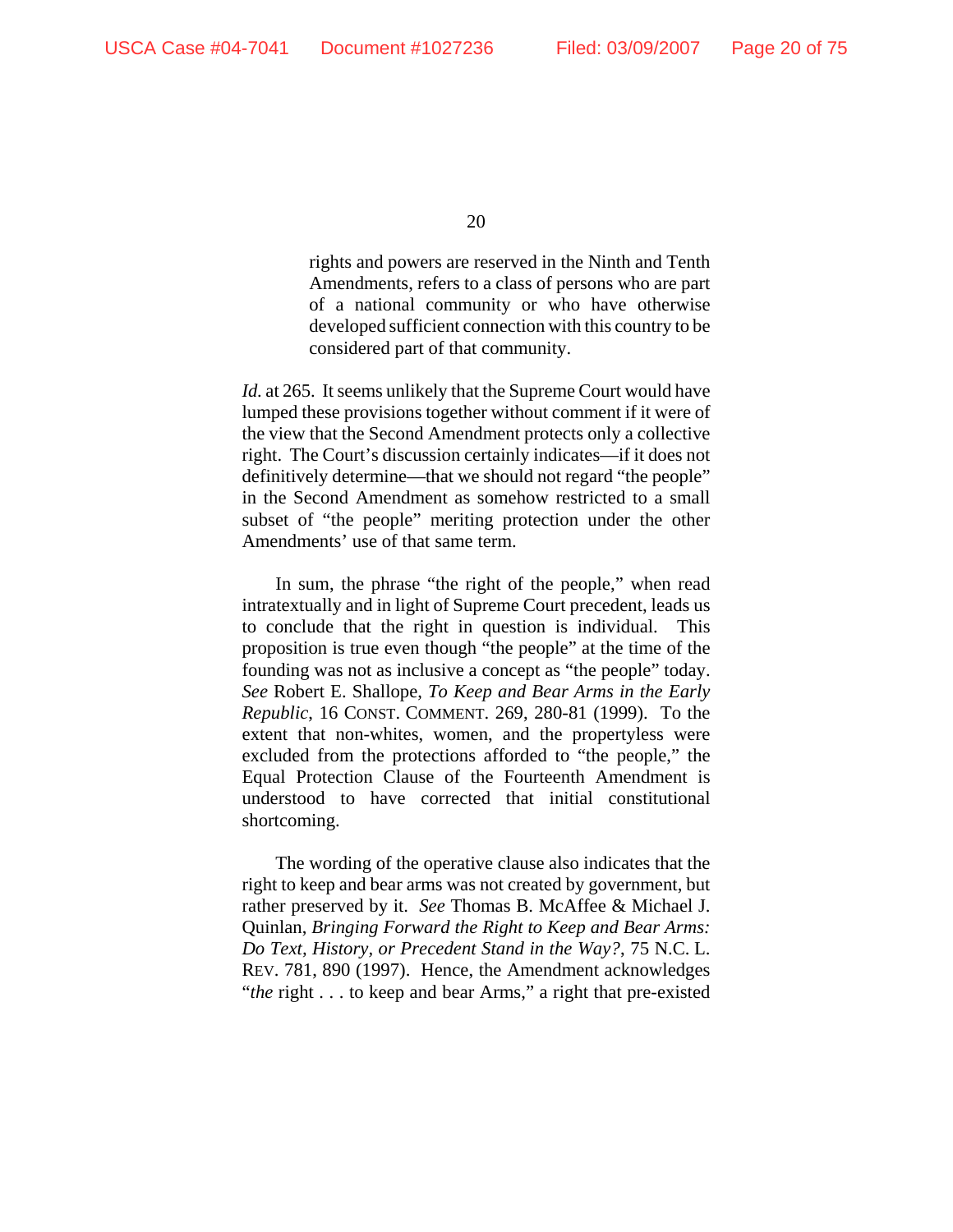rights and powers are reserved in the Ninth and Tenth Amendments, refers to a class of persons who are part of a national community or who have otherwise developed sufficient connection with this country to be considered part of that community.

*Id.* at 265. It seems unlikely that the Supreme Court would have lumped these provisions together without comment if it were of the view that the Second Amendment protects only a collective right. The Court's discussion certainly indicates—if it does not definitively determine—that we should not regard "the people" in the Second Amendment as somehow restricted to a small subset of "the people" meriting protection under the other Amendments' use of that same term.

In sum, the phrase "the right of the people," when read intratextually and in light of Supreme Court precedent, leads us to conclude that the right in question is individual. This proposition is true even though "the people" at the time of the founding was not as inclusive a concept as "the people" today. *See* Robert E. Shallope, *To Keep and Bear Arms in the Early Republic*, 16 CONST. COMMENT. 269, 280-81 (1999). To the extent that non-whites, women, and the propertyless were excluded from the protections afforded to "the people," the Equal Protection Clause of the Fourteenth Amendment is understood to have corrected that initial constitutional shortcoming.

The wording of the operative clause also indicates that the right to keep and bear arms was not created by government, but rather preserved by it. *See* Thomas B. McAffee & Michael J. Quinlan, *Bringing Forward the Right to Keep and Bear Arms: Do Text, History, or Precedent Stand in the Way?*, 75 N.C. L. REV. 781, 890 (1997). Hence, the Amendment acknowledges "*the* right . . . to keep and bear Arms," a right that pre-existed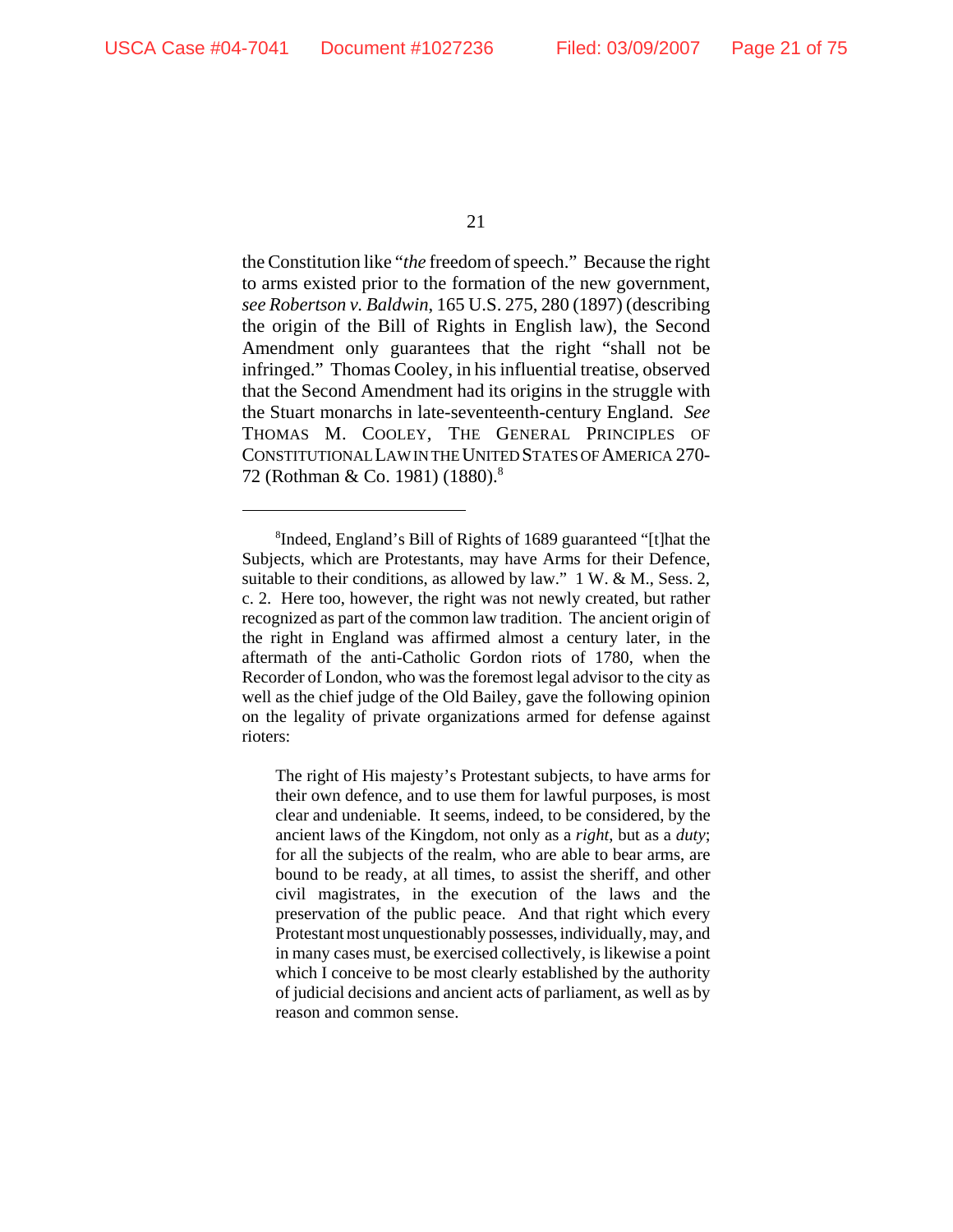the Constitution like "*the* freedom of speech." Because the right to arms existed prior to the formation of the new government, *see Robertson v. Baldwin*, 165 U.S. 275, 280 (1897) (describing the origin of the Bill of Rights in English law), the Second Amendment only guarantees that the right "shall not be infringed." Thomas Cooley, in his influential treatise, observed that the Second Amendment had its origins in the struggle with the Stuart monarchs in late-seventeenth-century England. *See* THOMAS M. COOLEY, THE GENERAL PRINCIPLES OF CONSTITUTIONAL LAW IN THE UNITED STATES OF AMERICA 270- 72 (Rothman & Co. 1981) (1880).<sup>8</sup>

<sup>&</sup>lt;sup>8</sup>Indeed, England's Bill of Rights of 1689 guaranteed "[t]hat the Subjects, which are Protestants, may have Arms for their Defence, suitable to their conditions, as allowed by law." 1 W. & M., Sess. 2, c. 2. Here too, however, the right was not newly created, but rather recognized as part of the common law tradition. The ancient origin of the right in England was affirmed almost a century later, in the aftermath of the anti-Catholic Gordon riots of 1780, when the Recorder of London, who was the foremost legal advisor to the city as well as the chief judge of the Old Bailey, gave the following opinion on the legality of private organizations armed for defense against rioters:

The right of His majesty's Protestant subjects, to have arms for their own defence, and to use them for lawful purposes, is most clear and undeniable. It seems, indeed, to be considered, by the ancient laws of the Kingdom, not only as a *right*, but as a *duty*; for all the subjects of the realm, who are able to bear arms, are bound to be ready, at all times, to assist the sheriff, and other civil magistrates, in the execution of the laws and the preservation of the public peace. And that right which every Protestant most unquestionably possesses, individually, may, and in many cases must, be exercised collectively, is likewise a point which I conceive to be most clearly established by the authority of judicial decisions and ancient acts of parliament, as well as by reason and common sense.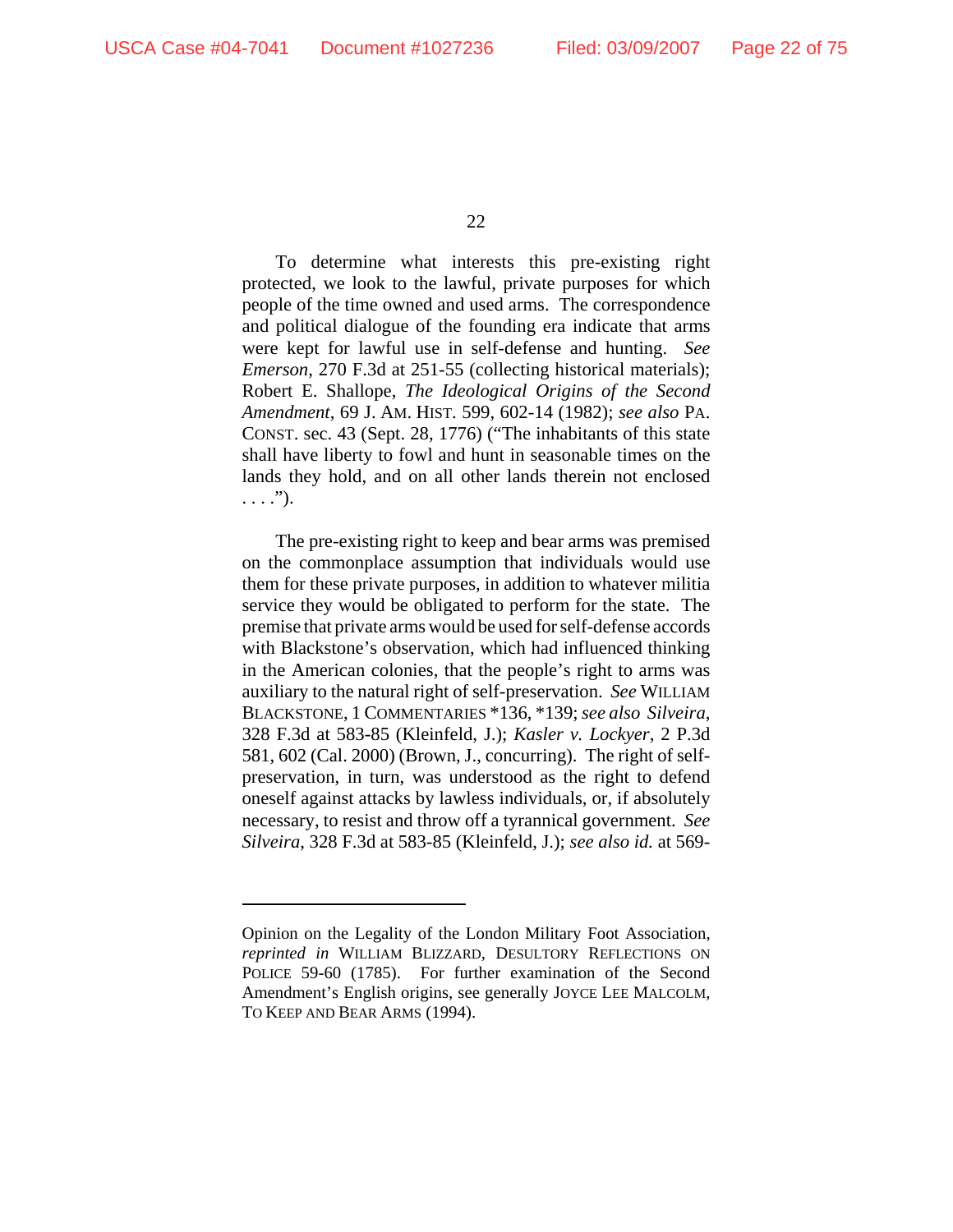To determine what interests this pre-existing right protected, we look to the lawful, private purposes for which people of the time owned and used arms. The correspondence and political dialogue of the founding era indicate that arms were kept for lawful use in self-defense and hunting. *See Emerson*, 270 F.3d at 251-55 (collecting historical materials); Robert E. Shallope, *The Ideological Origins of the Second Amendment*, 69 J. AM. HIST. 599, 602-14 (1982); *see also* PA. CONST. sec. 43 (Sept. 28, 1776) ("The inhabitants of this state shall have liberty to fowl and hunt in seasonable times on the lands they hold, and on all other lands therein not enclosed  $\ldots$ .").

The pre-existing right to keep and bear arms was premised on the commonplace assumption that individuals would use them for these private purposes, in addition to whatever militia service they would be obligated to perform for the state. The premise that private arms would be used for self-defense accords with Blackstone's observation, which had influenced thinking in the American colonies, that the people's right to arms was auxiliary to the natural right of self-preservation. *See* WILLIAM BLACKSTONE, 1 COMMENTARIES \*136, \*139; *see also Silveira*, 328 F.3d at 583-85 (Kleinfeld, J.); *Kasler v. Lockyer*, 2 P.3d 581, 602 (Cal. 2000) (Brown, J., concurring). The right of selfpreservation, in turn, was understood as the right to defend oneself against attacks by lawless individuals, or, if absolutely necessary, to resist and throw off a tyrannical government. *See Silveira*, 328 F.3d at 583-85 (Kleinfeld, J.); *see also id.* at 569-

Opinion on the Legality of the London Military Foot Association, *reprinted in* WILLIAM BLIZZARD, DESULTORY REFLECTIONS ON POLICE 59-60 (1785). For further examination of the Second Amendment's English origins, see generally JOYCE LEE MALCOLM, TO KEEP AND BEAR ARMS (1994).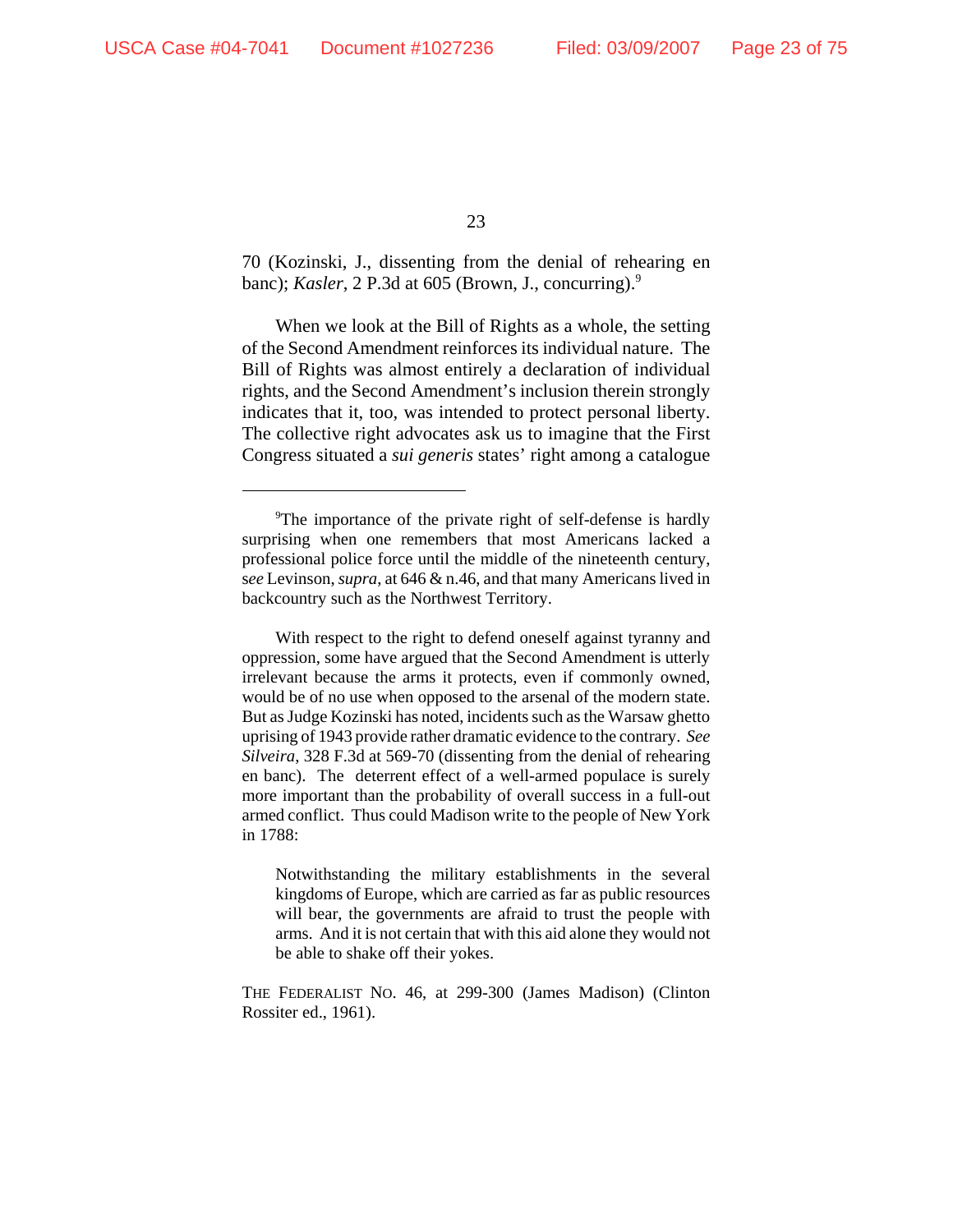70 (Kozinski, J., dissenting from the denial of rehearing en banc); *Kasler*, 2 P.3d at 605 (Brown, J., concurring).<sup>9</sup>

When we look at the Bill of Rights as a whole, the setting of the Second Amendment reinforces its individual nature. The Bill of Rights was almost entirely a declaration of individual rights, and the Second Amendment's inclusion therein strongly indicates that it, too, was intended to protect personal liberty. The collective right advocates ask us to imagine that the First Congress situated a *sui generis* states' right among a catalogue

<sup>&</sup>lt;sup>9</sup>The importance of the private right of self-defense is hardly surprising when one remembers that most Americans lacked a professional police force until the middle of the nineteenth century, s*ee* Levinson, *supra*, at 646 & n.46, and that many Americans lived in backcountry such as the Northwest Territory.

With respect to the right to defend oneself against tyranny and oppression, some have argued that the Second Amendment is utterly irrelevant because the arms it protects, even if commonly owned, would be of no use when opposed to the arsenal of the modern state. But as Judge Kozinski has noted, incidents such as the Warsaw ghetto uprising of 1943 provide rather dramatic evidence to the contrary. *See Silveira*, 328 F.3d at 569-70 (dissenting from the denial of rehearing en banc). The deterrent effect of a well-armed populace is surely more important than the probability of overall success in a full-out armed conflict. Thus could Madison write to the people of New York in 1788:

Notwithstanding the military establishments in the several kingdoms of Europe, which are carried as far as public resources will bear, the governments are afraid to trust the people with arms. And it is not certain that with this aid alone they would not be able to shake off their yokes.

THE FEDERALIST NO. 46, at 299-300 (James Madison) (Clinton Rossiter ed., 1961).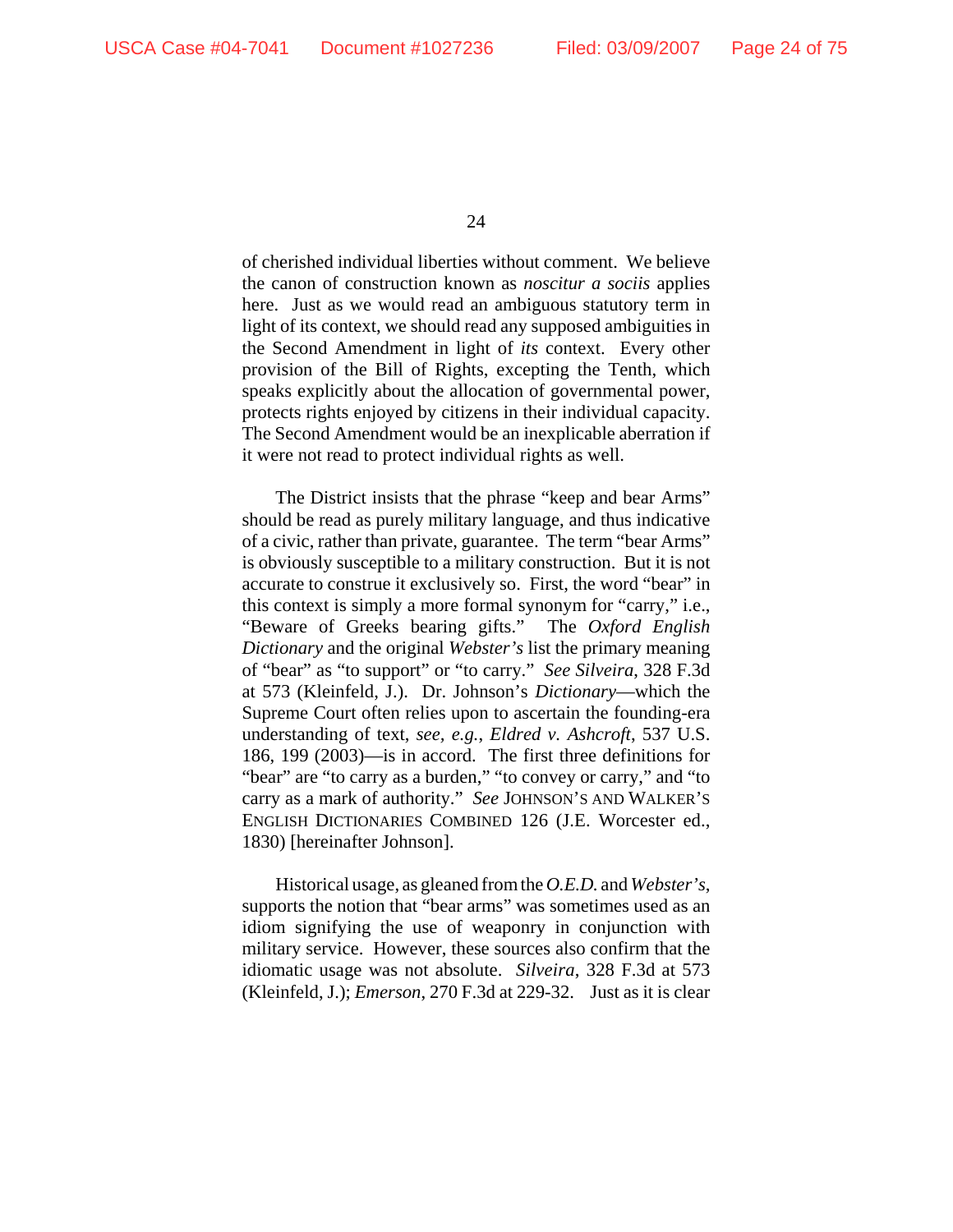of cherished individual liberties without comment. We believe the canon of construction known as *noscitur a sociis* applies here. Just as we would read an ambiguous statutory term in light of its context, we should read any supposed ambiguities in the Second Amendment in light of *its* context. Every other provision of the Bill of Rights, excepting the Tenth, which speaks explicitly about the allocation of governmental power, protects rights enjoyed by citizens in their individual capacity. The Second Amendment would be an inexplicable aberration if it were not read to protect individual rights as well.

The District insists that the phrase "keep and bear Arms" should be read as purely military language, and thus indicative of a civic, rather than private, guarantee. The term "bear Arms" is obviously susceptible to a military construction. But it is not accurate to construe it exclusively so. First, the word "bear" in this context is simply a more formal synonym for "carry," i.e., "Beware of Greeks bearing gifts." The *Oxford English Dictionary* and the original *Webster's* list the primary meaning of "bear" as "to support" or "to carry." *See Silveira*, 328 F.3d at 573 (Kleinfeld, J.). Dr. Johnson's *Dictionary*—which the Supreme Court often relies upon to ascertain the founding-era understanding of text, *see, e.g.*, *Eldred v. Ashcroft*, 537 U.S. 186, 199 (2003)—is in accord. The first three definitions for "bear" are "to carry as a burden," "to convey or carry," and "to carry as a mark of authority." *See* JOHNSON'S AND WALKER'S ENGLISH DICTIONARIES COMBINED 126 (J.E. Worcester ed., 1830) [hereinafter Johnson].

Historical usage, as gleaned from the *O.E.D.* and *Webster's*, supports the notion that "bear arms" was sometimes used as an idiom signifying the use of weaponry in conjunction with military service. However, these sources also confirm that the idiomatic usage was not absolute. *Silveira*, 328 F.3d at 573 (Kleinfeld, J.); *Emerson*, 270 F.3d at 229-32. Just as it is clear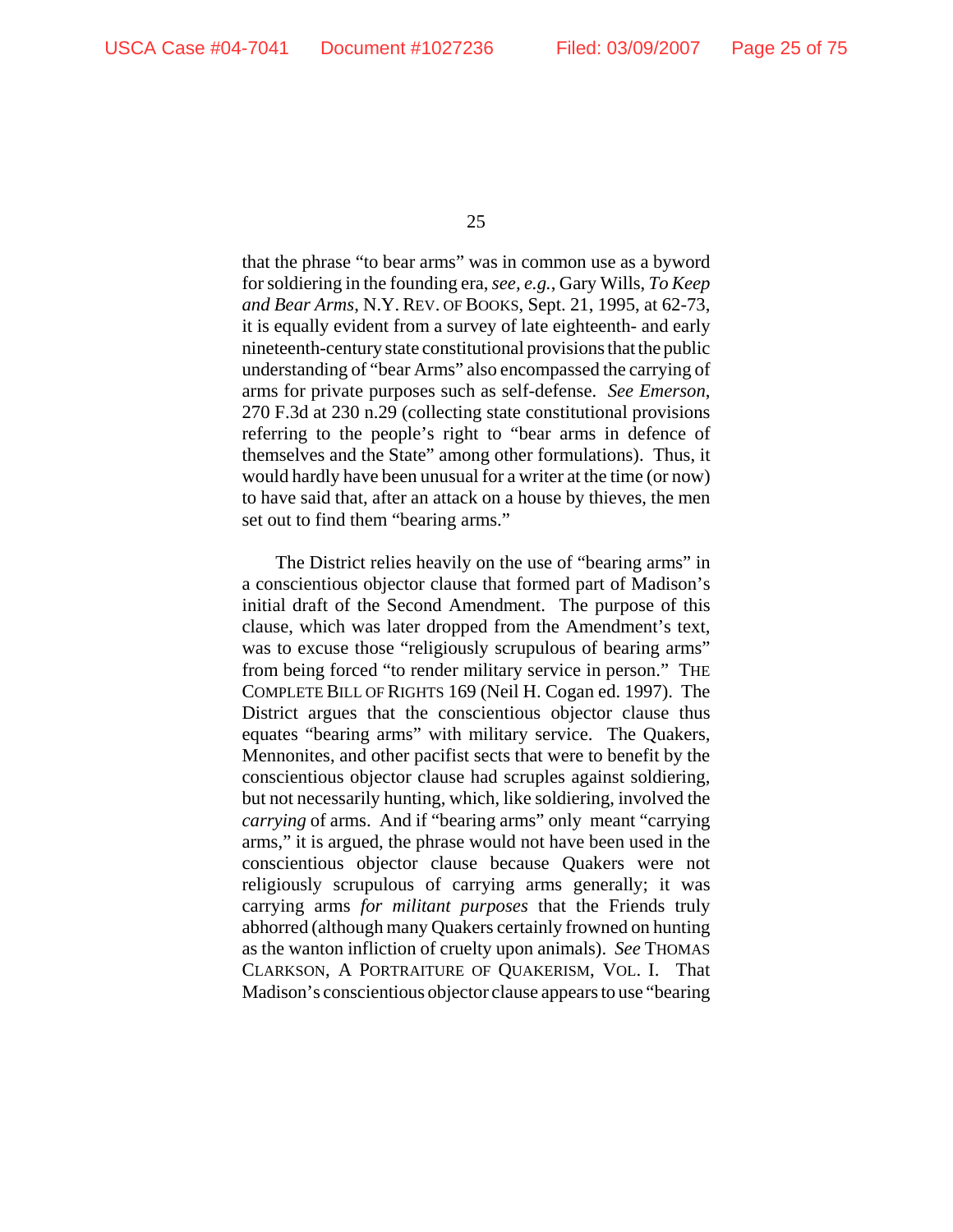that the phrase "to bear arms" was in common use as a byword for soldiering in the founding era, *see, e.g.*, Gary Wills, *To Keep and Bear Arms*, N.Y. REV. OF BOOKS, Sept. 21, 1995, at 62-73, it is equally evident from a survey of late eighteenth- and early nineteenth-century state constitutional provisions that the public understanding of "bear Arms" also encompassed the carrying of arms for private purposes such as self-defense. *See Emerson*, 270 F.3d at 230 n.29 (collecting state constitutional provisions referring to the people's right to "bear arms in defence of themselves and the State" among other formulations). Thus, it would hardly have been unusual for a writer at the time (or now) to have said that, after an attack on a house by thieves, the men set out to find them "bearing arms."

The District relies heavily on the use of "bearing arms" in a conscientious objector clause that formed part of Madison's initial draft of the Second Amendment. The purpose of this clause, which was later dropped from the Amendment's text, was to excuse those "religiously scrupulous of bearing arms" from being forced "to render military service in person." THE COMPLETE BILL OF RIGHTS 169 (Neil H. Cogan ed. 1997). The District argues that the conscientious objector clause thus equates "bearing arms" with military service. The Quakers, Mennonites, and other pacifist sects that were to benefit by the conscientious objector clause had scruples against soldiering, but not necessarily hunting, which, like soldiering, involved the *carrying* of arms. And if "bearing arms" only meant "carrying arms," it is argued, the phrase would not have been used in the conscientious objector clause because Quakers were not religiously scrupulous of carrying arms generally; it was carrying arms *for militant purposes* that the Friends truly abhorred (although many Quakers certainly frowned on hunting as the wanton infliction of cruelty upon animals). *See* THOMAS CLARKSON, A PORTRAITURE OF QUAKERISM, VOL. I. That Madison's conscientious objector clause appears to use "bearing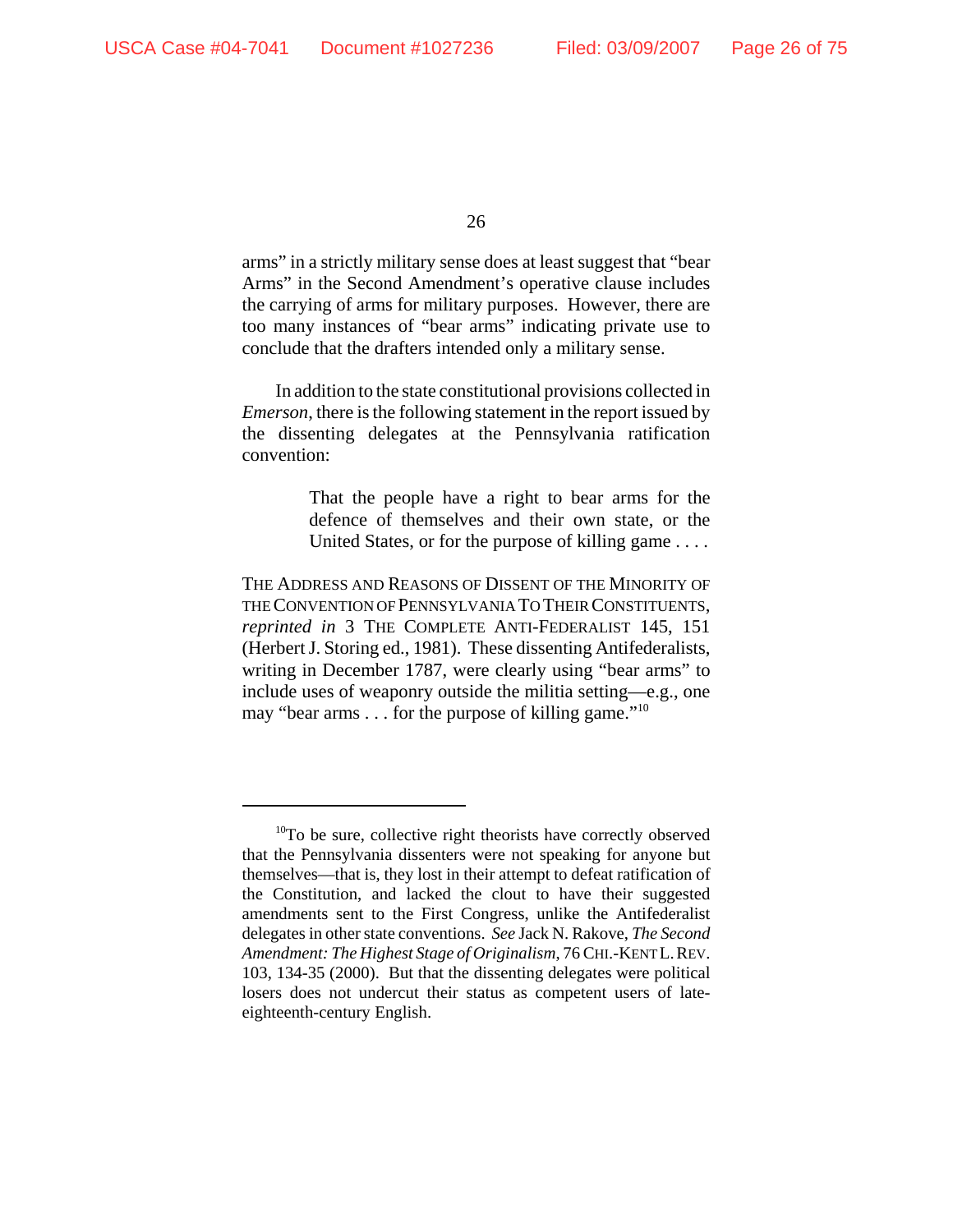arms" in a strictly military sense does at least suggest that "bear Arms" in the Second Amendment's operative clause includes the carrying of arms for military purposes. However, there are too many instances of "bear arms" indicating private use to conclude that the drafters intended only a military sense.

In addition to the state constitutional provisions collected in *Emerson*, there is the following statement in the report issued by the dissenting delegates at the Pennsylvania ratification convention:

> That the people have a right to bear arms for the defence of themselves and their own state, or the United States, or for the purpose of killing game . . . .

THE ADDRESS AND REASONS OF DISSENT OF THE MINORITY OF THE CONVENTION OF PENNSYLVANIA TO THEIR CONSTITUENTS, *reprinted in* 3 THE COMPLETE ANTI-FEDERALIST 145, 151 (Herbert J. Storing ed., 1981). These dissenting Antifederalists, writing in December 1787, were clearly using "bear arms" to include uses of weaponry outside the militia setting—e.g., one may "bear arms . . . for the purpose of killing game."10

<sup>&</sup>lt;sup>10</sup>To be sure, collective right theorists have correctly observed that the Pennsylvania dissenters were not speaking for anyone but themselves—that is, they lost in their attempt to defeat ratification of the Constitution, and lacked the clout to have their suggested amendments sent to the First Congress, unlike the Antifederalist delegates in other state conventions. *See* Jack N. Rakove, *The Second Amendment: The Highest Stage of Originalism*, 76 CHI.-KENT L.REV. 103, 134-35 (2000). But that the dissenting delegates were political losers does not undercut their status as competent users of lateeighteenth-century English.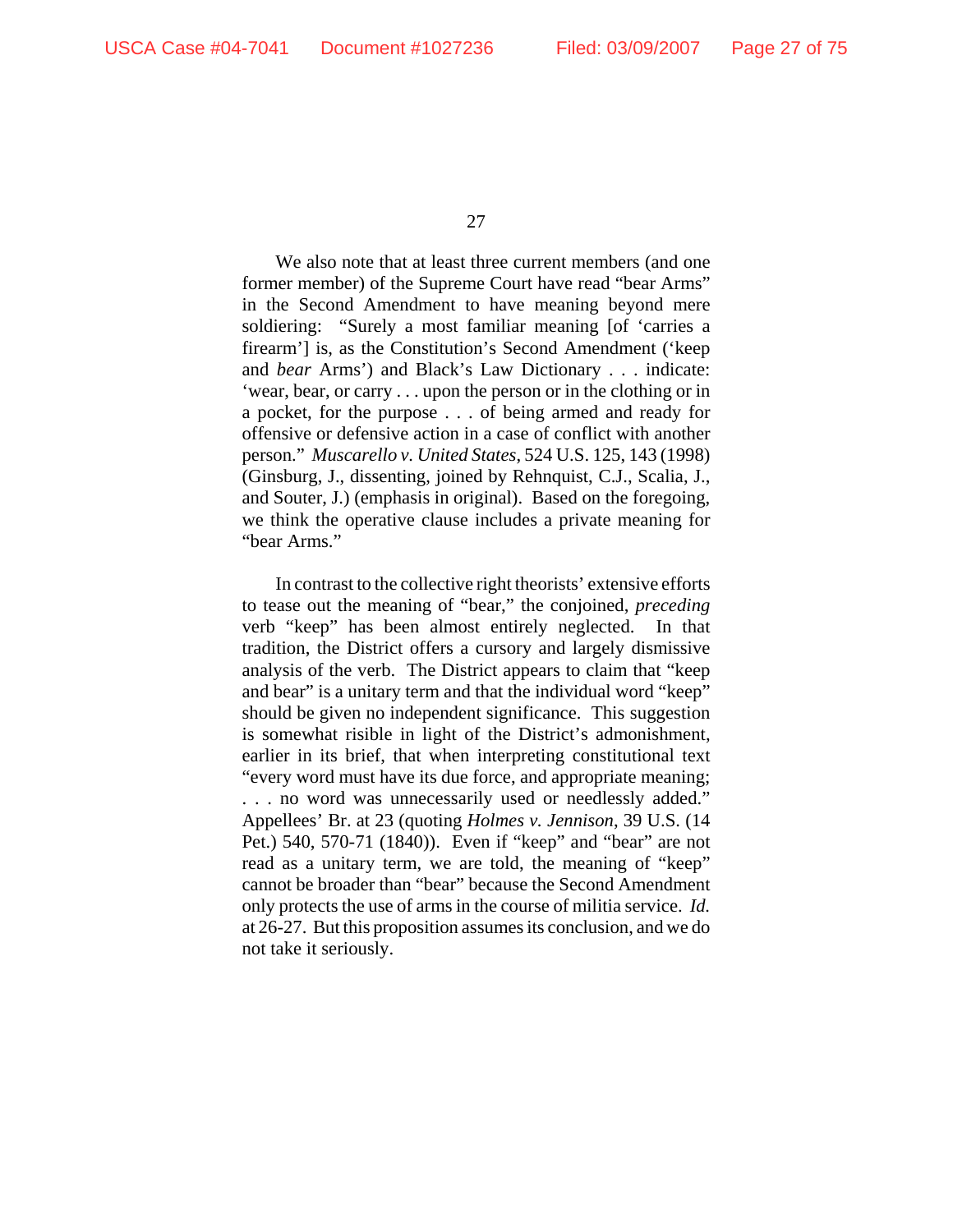We also note that at least three current members (and one former member) of the Supreme Court have read "bear Arms" in the Second Amendment to have meaning beyond mere soldiering: "Surely a most familiar meaning [of 'carries a firearm'] is, as the Constitution's Second Amendment ('keep and *bear* Arms') and Black's Law Dictionary . . . indicate: 'wear, bear, or carry . . . upon the person or in the clothing or in a pocket, for the purpose . . . of being armed and ready for offensive or defensive action in a case of conflict with another person." *Muscarello v. United States*, 524 U.S. 125, 143 (1998) (Ginsburg, J., dissenting, joined by Rehnquist, C.J., Scalia, J., and Souter, J.) (emphasis in original). Based on the foregoing, we think the operative clause includes a private meaning for "bear Arms."

In contrast to the collective right theorists' extensive efforts to tease out the meaning of "bear," the conjoined, *preceding* verb "keep" has been almost entirely neglected. In that tradition, the District offers a cursory and largely dismissive analysis of the verb. The District appears to claim that "keep and bear" is a unitary term and that the individual word "keep" should be given no independent significance.This suggestion is somewhat risible in light of the District's admonishment, earlier in its brief, that when interpreting constitutional text "every word must have its due force, and appropriate meaning; . . . no word was unnecessarily used or needlessly added." Appellees' Br. at 23 (quoting *Holmes v. Jennison*, 39 U.S. (14 Pet.) 540, 570-71 (1840)). Even if "keep" and "bear" are not read as a unitary term, we are told, the meaning of "keep" cannot be broader than "bear" because the Second Amendment only protects the use of arms in the course of militia service. *Id.* at 26-27. But this proposition assumes its conclusion, and we do not take it seriously.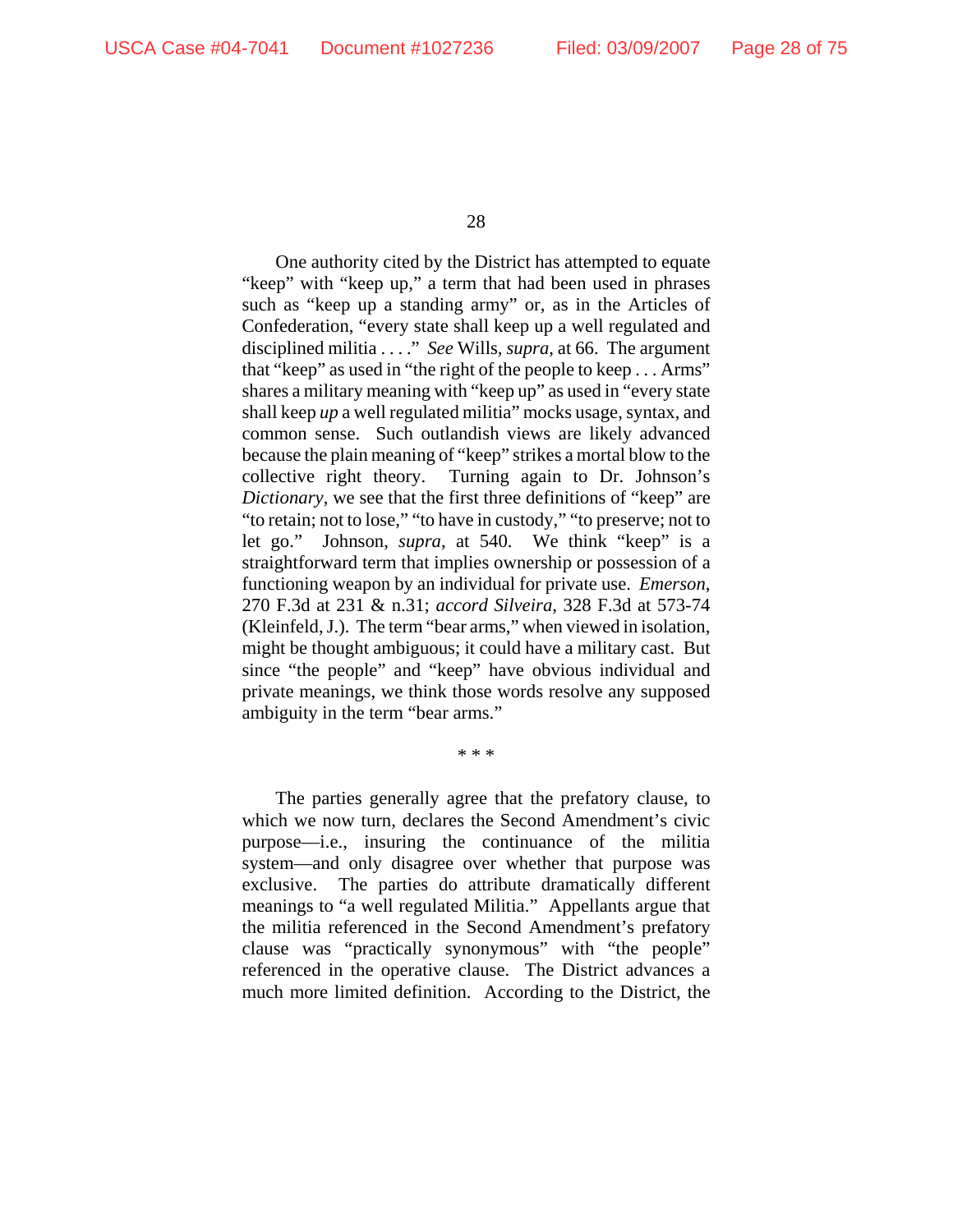One authority cited by the District has attempted to equate "keep" with "keep up," a term that had been used in phrases such as "keep up a standing army" or, as in the Articles of Confederation, "every state shall keep up a well regulated and disciplined militia . . . ." *See* Wills, *supra*, at 66. The argument that "keep" as used in "the right of the people to keep . . . Arms" shares a military meaning with "keep up" as used in "every state shall keep *up* a well regulated militia" mocks usage, syntax, and common sense. Such outlandish views are likely advanced because the plain meaning of "keep" strikes a mortal blow to the collective right theory. Turning again to Dr. Johnson's *Dictionary*, we see that the first three definitions of "keep" are "to retain; not to lose," "to have in custody," "to preserve; not to let go." Johnson, *supra*, at 540. We think "keep" is a straightforward term that implies ownership or possession of a functioning weapon by an individual for private use. *Emerson*, 270 F.3d at 231 & n.31; *accord Silveira*, 328 F.3d at 573-74 (Kleinfeld, J.). The term "bear arms," when viewed in isolation, might be thought ambiguous; it could have a military cast. But since "the people" and "keep" have obvious individual and private meanings, we think those words resolve any supposed ambiguity in the term "bear arms."

\* \* \*

The parties generally agree that the prefatory clause, to which we now turn, declares the Second Amendment's civic purpose—i.e., insuring the continuance of the militia system—and only disagree over whether that purpose was exclusive. The parties do attribute dramatically different meanings to "a well regulated Militia." Appellants argue that the militia referenced in the Second Amendment's prefatory clause was "practically synonymous" with "the people" referenced in the operative clause. The District advances a much more limited definition. According to the District, the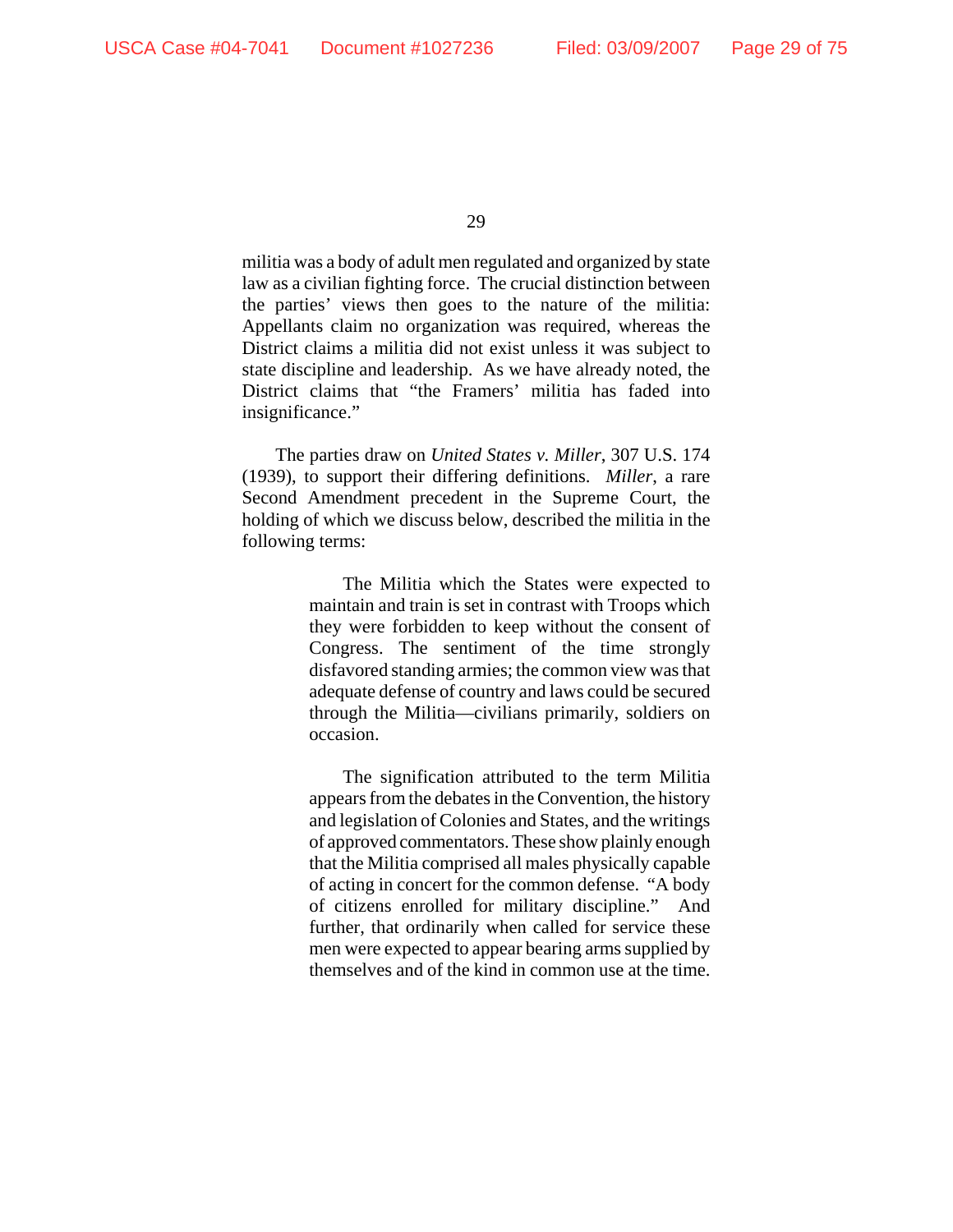militia was a body of adult men regulated and organized by state law as a civilian fighting force. The crucial distinction between the parties' views then goes to the nature of the militia: Appellants claim no organization was required, whereas the District claims a militia did not exist unless it was subject to state discipline and leadership. As we have already noted, the District claims that "the Framers' militia has faded into insignificance."

The parties draw on *United States v. Miller*, 307 U.S. 174 (1939), to support their differing definitions. *Miller*, a rare Second Amendment precedent in the Supreme Court, the holding of which we discuss below, described the militia in the following terms:

> The Militia which the States were expected to maintain and train is set in contrast with Troops which they were forbidden to keep without the consent of Congress. The sentiment of the time strongly disfavored standing armies; the common view was that adequate defense of country and laws could be secured through the Militia—civilians primarily, soldiers on occasion.

> The signification attributed to the term Militia appears from the debates in the Convention, the history and legislation of Colonies and States, and the writings of approved commentators. These show plainly enough that the Militia comprised all males physically capable of acting in concert for the common defense. "A body of citizens enrolled for military discipline." And further, that ordinarily when called for service these men were expected to appear bearing arms supplied by themselves and of the kind in common use at the time.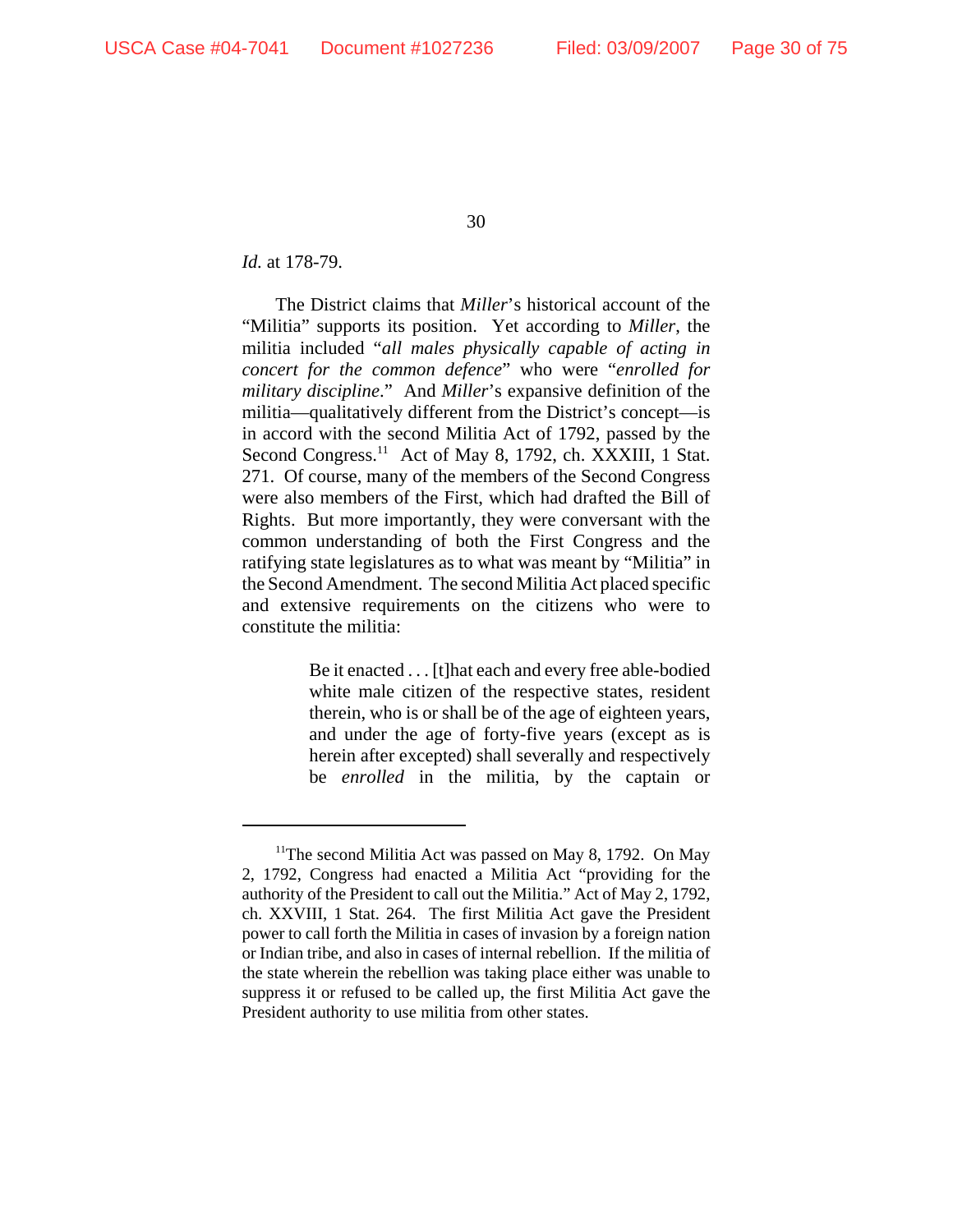*Id.* at 178-79.

The District claims that *Miller*'s historical account of the "Militia" supports its position. Yet according to *Miller*, the militia included "*all males physically capable of acting in concert for the common defence*" who were "*enrolled for military discipline*." And *Miller*'s expansive definition of the militia—qualitatively different from the District's concept—is in accord with the second Militia Act of 1792, passed by the Second Congress.<sup>11</sup> Act of May 8, 1792, ch. XXXIII, 1 Stat. 271. Of course, many of the members of the Second Congress were also members of the First, which had drafted the Bill of Rights. But more importantly, they were conversant with the common understanding of both the First Congress and the ratifying state legislatures as to what was meant by "Militia" in the Second Amendment. The second Militia Act placed specific and extensive requirements on the citizens who were to constitute the militia:

> Be it enacted . . . [t]hat each and every free able-bodied white male citizen of the respective states, resident therein, who is or shall be of the age of eighteen years, and under the age of forty-five years (except as is herein after excepted) shall severally and respectively be *enrolled* in the militia, by the captain or

<sup>&</sup>lt;sup>11</sup>The second Militia Act was passed on May 8, 1792. On May 2, 1792, Congress had enacted a Militia Act "providing for the authority of the President to call out the Militia." Act of May 2, 1792, ch. XXVIII, 1 Stat. 264. The first Militia Act gave the President power to call forth the Militia in cases of invasion by a foreign nation or Indian tribe, and also in cases of internal rebellion. If the militia of the state wherein the rebellion was taking place either was unable to suppress it or refused to be called up, the first Militia Act gave the President authority to use militia from other states.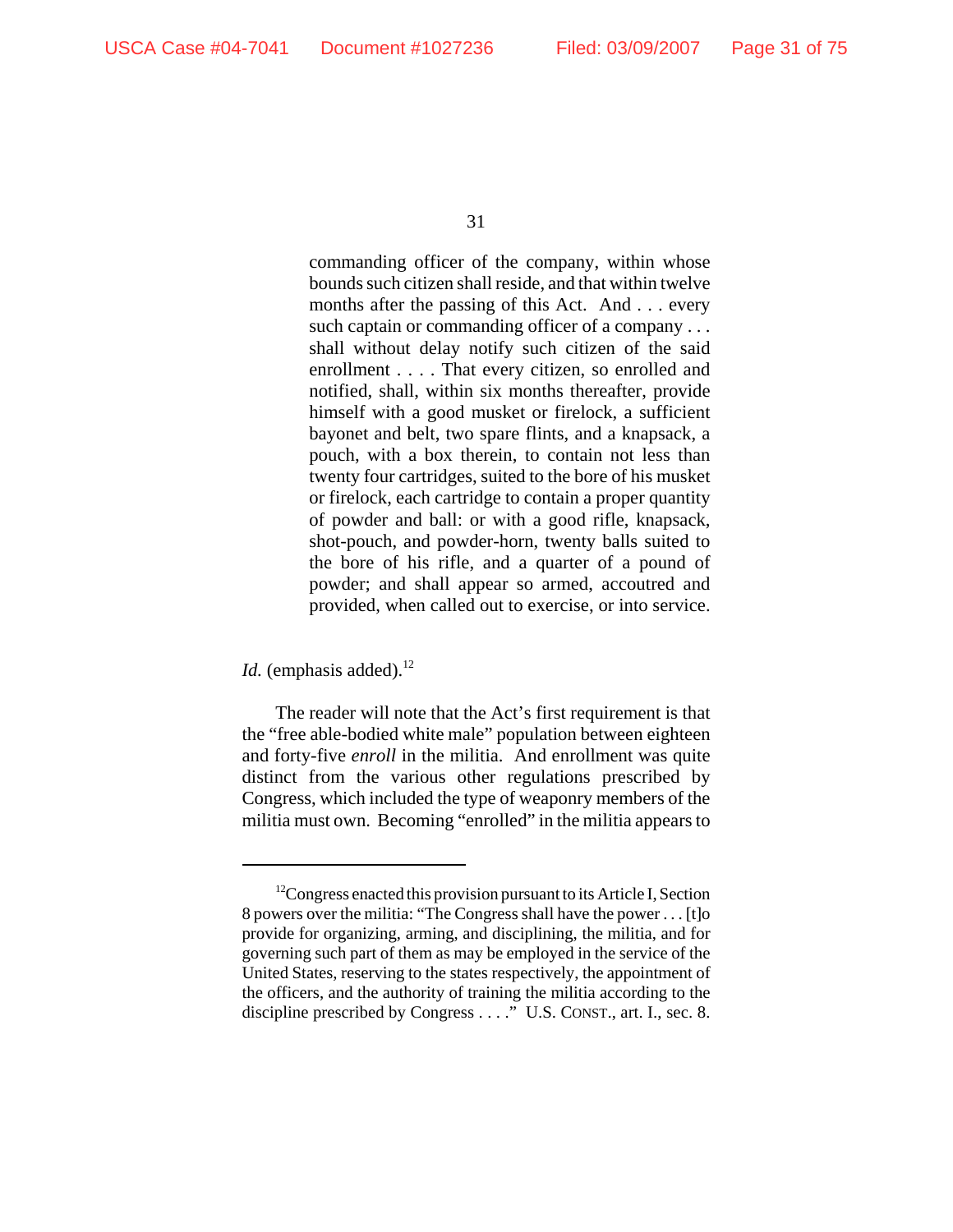commanding officer of the company, within whose bounds such citizen shall reside, and that within twelve months after the passing of this Act. And . . . every such captain or commanding officer of a company . . . shall without delay notify such citizen of the said enrollment . . . . That every citizen, so enrolled and notified, shall, within six months thereafter, provide himself with a good musket or firelock, a sufficient bayonet and belt, two spare flints, and a knapsack, a pouch, with a box therein, to contain not less than twenty four cartridges, suited to the bore of his musket or firelock, each cartridge to contain a proper quantity of powder and ball: or with a good rifle, knapsack, shot-pouch, and powder-horn, twenty balls suited to the bore of his rifle, and a quarter of a pound of powder; and shall appear so armed, accoutred and provided, when called out to exercise, or into service.

## *Id.* (emphasis added).<sup>12</sup>

The reader will note that the Act's first requirement is that the "free able-bodied white male" population between eighteen and forty-five *enroll* in the militia. And enrollment was quite distinct from the various other regulations prescribed by Congress, which included the type of weaponry members of the militia must own. Becoming "enrolled" in the militia appears to

 $12$ Congress enacted this provision pursuant to its Article I, Section 8 powers over the militia: "The Congress shall have the power . . . [t]o provide for organizing, arming, and disciplining, the militia, and for governing such part of them as may be employed in the service of the United States, reserving to the states respectively, the appointment of the officers, and the authority of training the militia according to the discipline prescribed by Congress . . . ." U.S. CONST., art. I., sec. 8.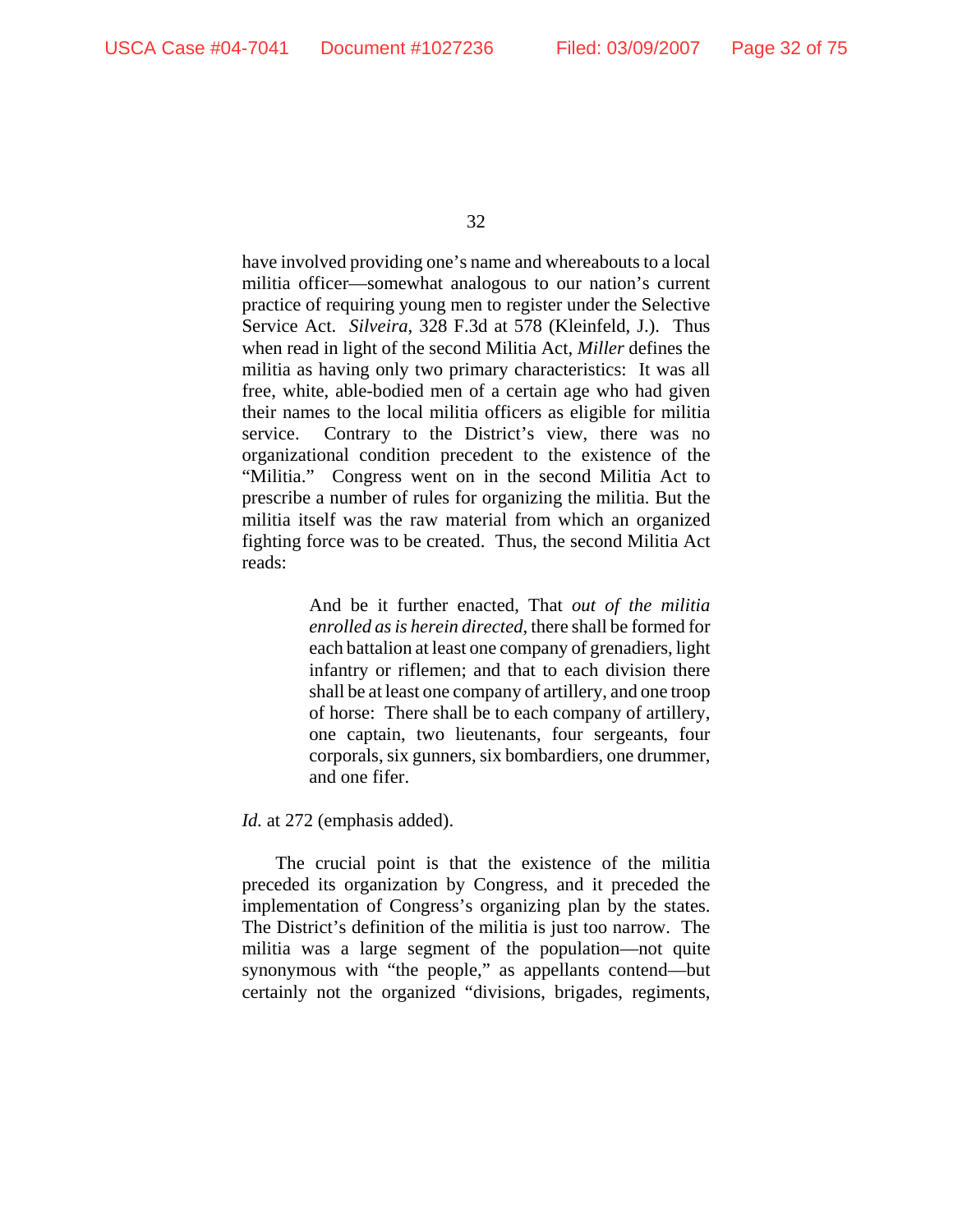have involved providing one's name and whereabouts to a local militia officer—somewhat analogous to our nation's current practice of requiring young men to register under the Selective Service Act. *Silveira*, 328 F.3d at 578 (Kleinfeld, J.). Thus when read in light of the second Militia Act, *Miller* defines the militia as having only two primary characteristics: It was all free, white, able-bodied men of a certain age who had given their names to the local militia officers as eligible for militia service. Contrary to the District's view, there was no organizational condition precedent to the existence of the "Militia." Congress went on in the second Militia Act to prescribe a number of rules for organizing the militia. But the militia itself was the raw material from which an organized fighting force was to be created. Thus, the second Militia Act reads:

> And be it further enacted, That *out of the militia enrolled as is herein directed*, there shall be formed for each battalion at least one company of grenadiers, light infantry or riflemen; and that to each division there shall be at least one company of artillery, and one troop of horse: There shall be to each company of artillery, one captain, two lieutenants, four sergeants, four corporals, six gunners, six bombardiers, one drummer, and one fifer.

*Id.* at 272 (emphasis added).

The crucial point is that the existence of the militia preceded its organization by Congress, and it preceded the implementation of Congress's organizing plan by the states. The District's definition of the militia is just too narrow. The militia was a large segment of the population—not quite synonymous with "the people," as appellants contend—but certainly not the organized "divisions, brigades, regiments,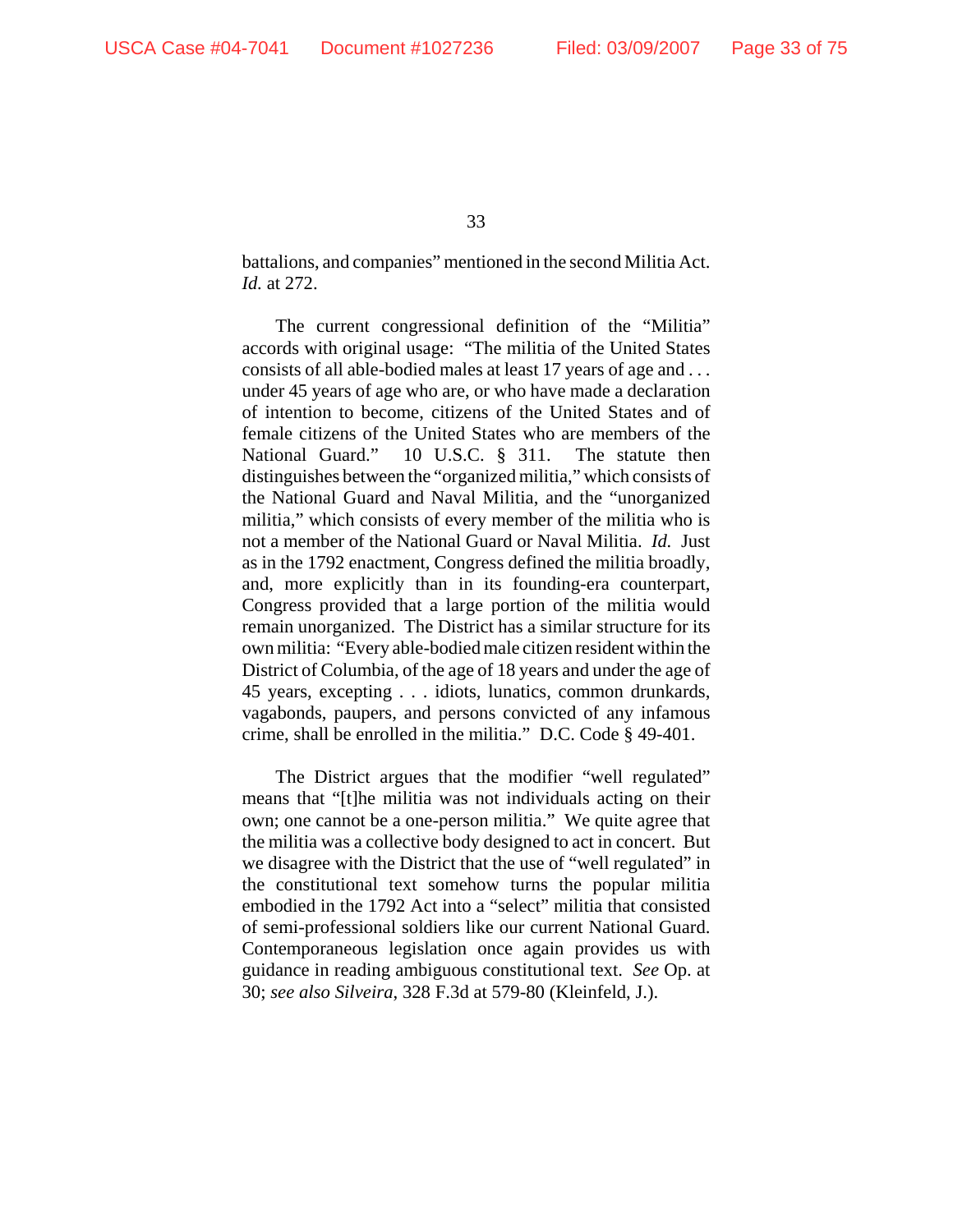battalions, and companies" mentioned in the second Militia Act. *Id.* at 272.

The current congressional definition of the "Militia" accords with original usage: "The militia of the United States consists of all able-bodied males at least 17 years of age and . . . under 45 years of age who are, or who have made a declaration of intention to become, citizens of the United States and of female citizens of the United States who are members of the National Guard." 10 U.S.C. § 311. The statute then distinguishes between the "organized militia," which consists of the National Guard and Naval Militia, and the "unorganized militia," which consists of every member of the militia who is not a member of the National Guard or Naval Militia. *Id.* Just as in the 1792 enactment, Congress defined the militia broadly, and, more explicitly than in its founding-era counterpart, Congress provided that a large portion of the militia would remain unorganized. The District has a similar structure for its own militia: "Every able-bodied male citizen resident within the District of Columbia, of the age of 18 years and under the age of 45 years, excepting . . . idiots, lunatics, common drunkards, vagabonds, paupers, and persons convicted of any infamous crime, shall be enrolled in the militia." D.C. Code § 49-401.

The District argues that the modifier "well regulated" means that "[t]he militia was not individuals acting on their own; one cannot be a one-person militia." We quite agree that the militia was a collective body designed to act in concert. But we disagree with the District that the use of "well regulated" in the constitutional text somehow turns the popular militia embodied in the 1792 Act into a "select" militia that consisted of semi-professional soldiers like our current National Guard. Contemporaneous legislation once again provides us with guidance in reading ambiguous constitutional text. *See* Op. at 30; *see also Silveira*, 328 F.3d at 579-80 (Kleinfeld, J.).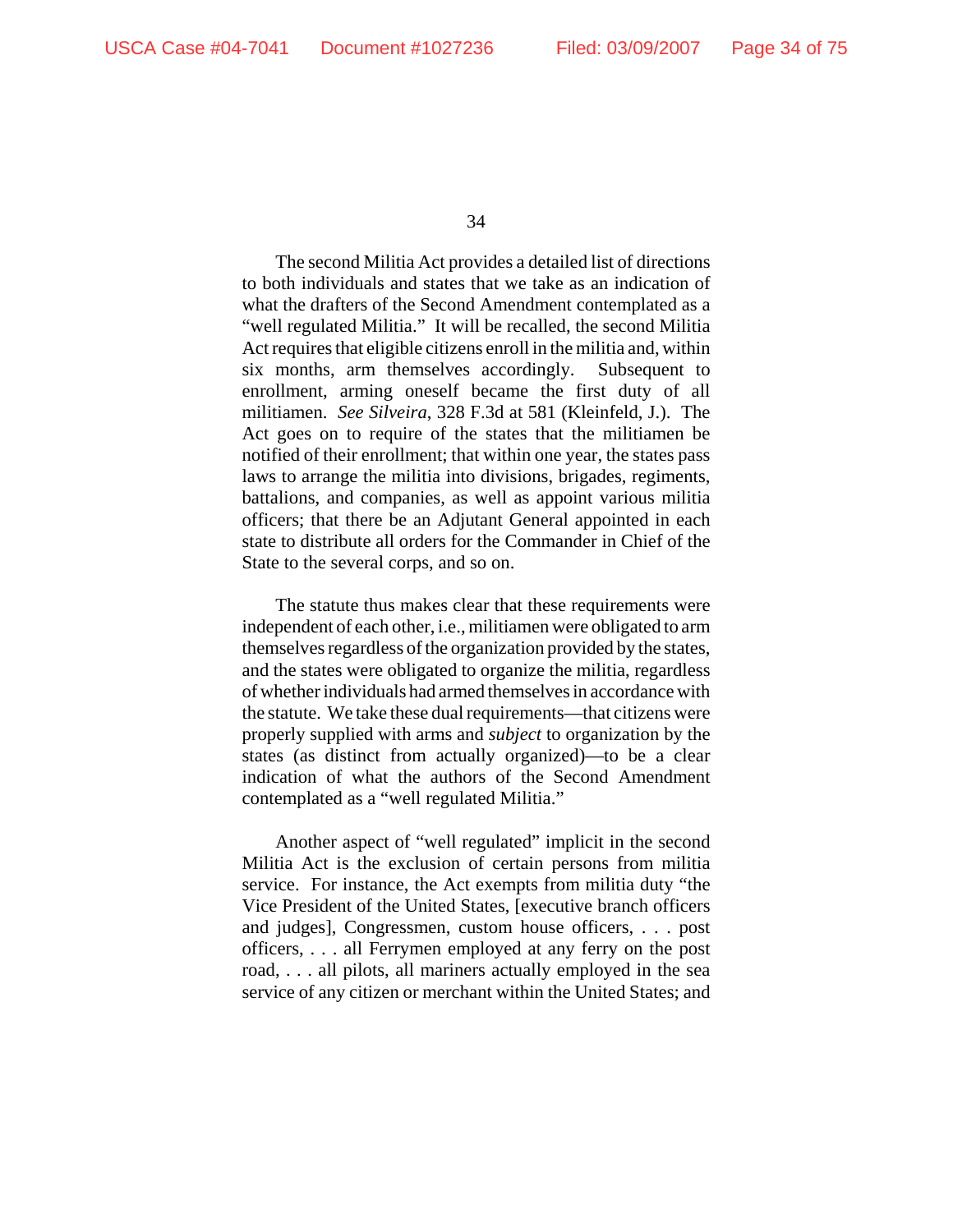The second Militia Act provides a detailed list of directions to both individuals and states that we take as an indication of what the drafters of the Second Amendment contemplated as a "well regulated Militia." It will be recalled, the second Militia Act requires that eligible citizens enroll in the militia and, within six months, arm themselves accordingly. Subsequent to enrollment, arming oneself became the first duty of all militiamen. *See Silveira*, 328 F.3d at 581 (Kleinfeld, J.). The Act goes on to require of the states that the militiamen be notified of their enrollment; that within one year, the states pass laws to arrange the militia into divisions, brigades, regiments, battalions, and companies, as well as appoint various militia officers; that there be an Adjutant General appointed in each state to distribute all orders for the Commander in Chief of the State to the several corps, and so on.

The statute thus makes clear that these requirements were independent of each other, i.e., militiamen were obligated to arm themselves regardless of the organization provided by the states, and the states were obligated to organize the militia, regardless of whether individuals had armed themselves in accordance with the statute. We take these dual requirements—that citizens were properly supplied with arms and *subject* to organization by the states (as distinct from actually organized)—to be a clear indication of what the authors of the Second Amendment contemplated as a "well regulated Militia."

Another aspect of "well regulated" implicit in the second Militia Act is the exclusion of certain persons from militia service. For instance, the Act exempts from militia duty "the Vice President of the United States, [executive branch officers and judges], Congressmen, custom house officers, . . . post officers, . . . all Ferrymen employed at any ferry on the post road, . . . all pilots, all mariners actually employed in the sea service of any citizen or merchant within the United States; and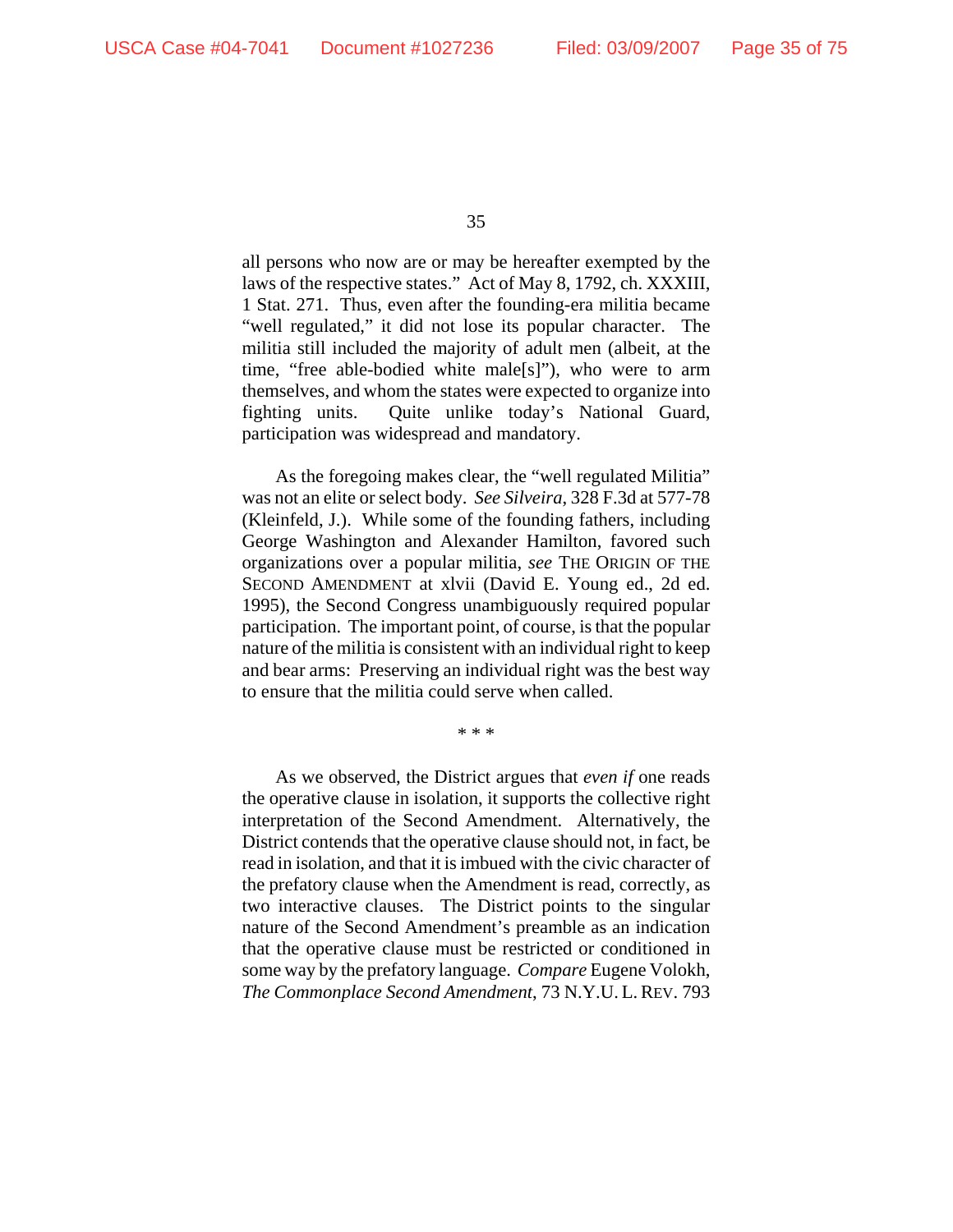all persons who now are or may be hereafter exempted by the laws of the respective states." Act of May 8, 1792, ch. XXXIII, 1 Stat. 271. Thus, even after the founding-era militia became "well regulated," it did not lose its popular character. The militia still included the majority of adult men (albeit, at the time, "free able-bodied white male[s]"), who were to arm themselves, and whom the states were expected to organize into fighting units. Quite unlike today's National Guard, participation was widespread and mandatory.

As the foregoing makes clear, the "well regulated Militia" was not an elite or select body. *See Silveira*, 328 F.3d at 577-78 (Kleinfeld, J.). While some of the founding fathers, including George Washington and Alexander Hamilton, favored such organizations over a popular militia, *see* THE ORIGIN OF THE SECOND AMENDMENT at xlvii (David E. Young ed., 2d ed. 1995), the Second Congress unambiguously required popular participation. The important point, of course, is that the popular nature of the militia is consistent with an individual right to keep and bear arms: Preserving an individual right was the best way to ensure that the militia could serve when called.

\* \* \*

As we observed, the District argues that *even if* one reads the operative clause in isolation, it supports the collective right interpretation of the Second Amendment. Alternatively, the District contends that the operative clause should not, in fact, be read in isolation, and that it is imbued with the civic character of the prefatory clause when the Amendment is read, correctly, as two interactive clauses. The District points to the singular nature of the Second Amendment's preamble as an indication that the operative clause must be restricted or conditioned in some way by the prefatory language. *Compare* Eugene Volokh, *The Commonplace Second Amendment*, 73 N.Y.U. L. REV. 793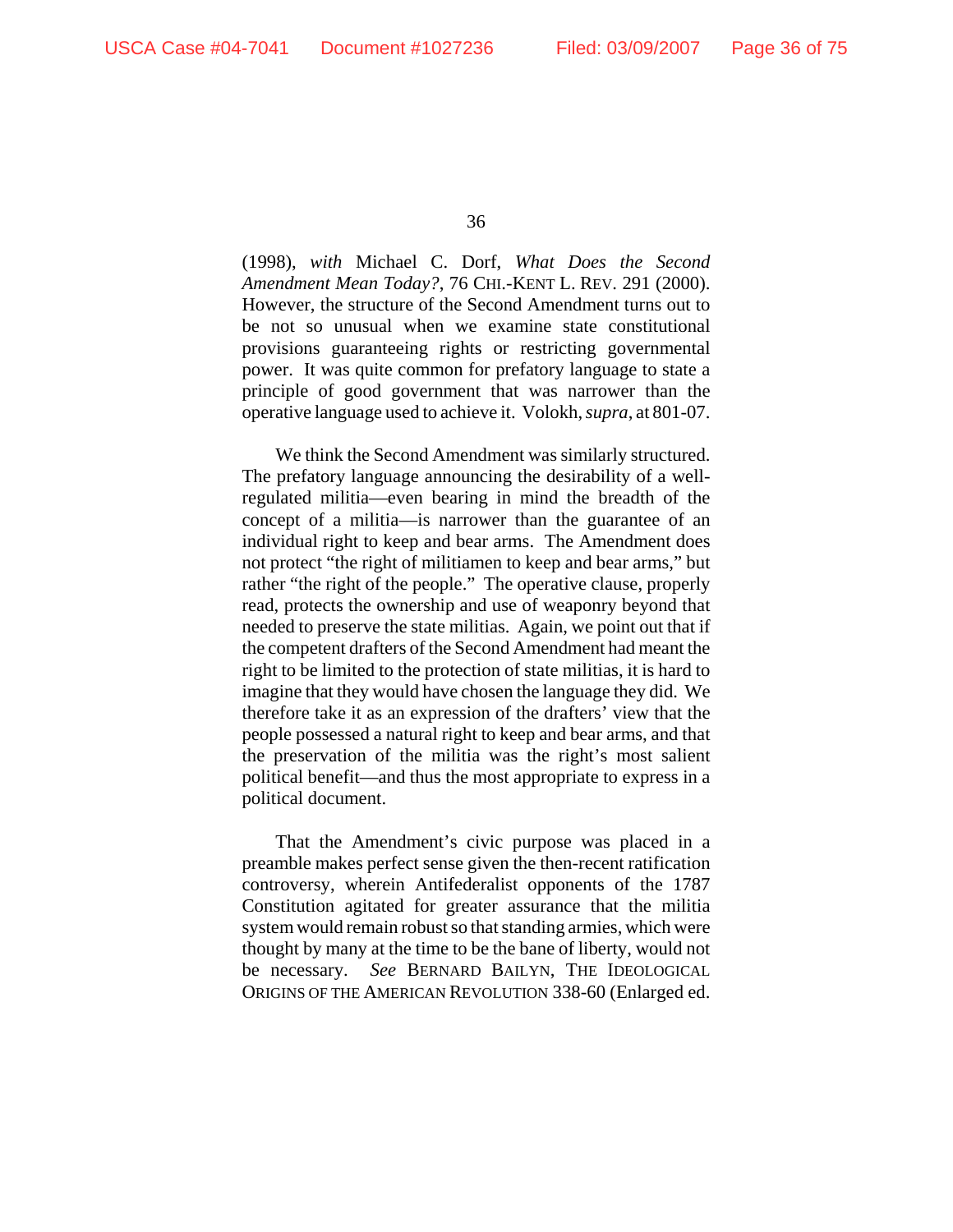(1998), *with* Michael C. Dorf, *What Does the Second Amendment Mean Today?*, 76 CHI.-KENT L. REV. 291 (2000). However, the structure of the Second Amendment turns out to be not so unusual when we examine state constitutional provisions guaranteeing rights or restricting governmental power. It was quite common for prefatory language to state a principle of good government that was narrower than the operative language used to achieve it. Volokh, *supra*, at 801-07.

We think the Second Amendment was similarly structured. The prefatory language announcing the desirability of a wellregulated militia—even bearing in mind the breadth of the concept of a militia—is narrower than the guarantee of an individual right to keep and bear arms. The Amendment does not protect "the right of militiamen to keep and bear arms," but rather "the right of the people." The operative clause, properly read, protects the ownership and use of weaponry beyond that needed to preserve the state militias. Again, we point out that if the competent drafters of the Second Amendment had meant the right to be limited to the protection of state militias, it is hard to imagine that they would have chosen the language they did. We therefore take it as an expression of the drafters' view that the people possessed a natural right to keep and bear arms, and that the preservation of the militia was the right's most salient political benefit—and thus the most appropriate to express in a political document.

That the Amendment's civic purpose was placed in a preamble makes perfect sense given the then-recent ratification controversy, wherein Antifederalist opponents of the 1787 Constitution agitated for greater assurance that the militia system would remain robust so that standing armies, which were thought by many at the time to be the bane of liberty, would not be necessary. *See* BERNARD BAILYN, THE IDEOLOGICAL ORIGINS OF THE AMERICAN REVOLUTION 338-60 (Enlarged ed.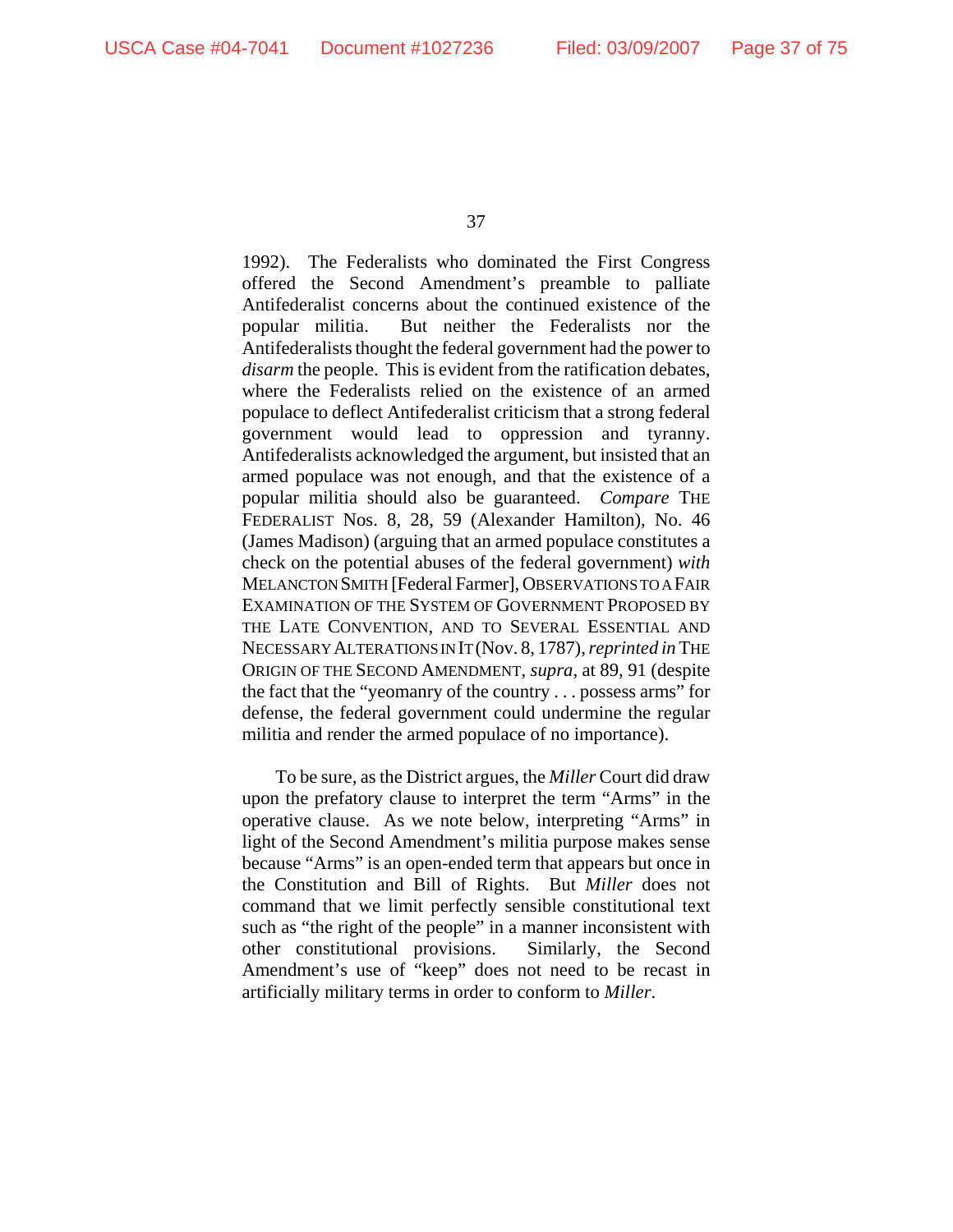1992). The Federalists who dominated the First Congress offered the Second Amendment's preamble to palliate Antifederalist concerns about the continued existence of the popular militia. But neither the Federalists nor the Antifederalists thought the federal government had the power to *disarm* the people. This is evident from the ratification debates, where the Federalists relied on the existence of an armed populace to deflect Antifederalist criticism that a strong federal government would lead to oppression and tyranny. Antifederalists acknowledged the argument, but insisted that an armed populace was not enough, and that the existence of a popular militia should also be guaranteed. *Compare* THE FEDERALIST Nos. 8, 28, 59 (Alexander Hamilton), No. 46 (James Madison) (arguing that an armed populace constitutes a check on the potential abuses of the federal government) *with* MELANCTON SMITH [Federal Farmer], OBSERVATIONS TO A FAIR EXAMINATION OF THE SYSTEM OF GOVERNMENT PROPOSED BY THE LATE CONVENTION, AND TO SEVERAL ESSENTIAL AND NECESSARY ALTERATIONS IN IT (Nov. 8, 1787), *reprinted in* THE ORIGIN OF THE SECOND AMENDMENT, *supra*, at 89, 91 (despite the fact that the "yeomanry of the country . . . possess arms" for defense, the federal government could undermine the regular militia and render the armed populace of no importance).

To be sure, as the District argues, the *Miller* Court did draw upon the prefatory clause to interpret the term "Arms" in the operative clause. As we note below, interpreting "Arms" in light of the Second Amendment's militia purpose makes sense because "Arms" is an open-ended term that appears but once in the Constitution and Bill of Rights. But *Miller* does not command that we limit perfectly sensible constitutional text such as "the right of the people" in a manner inconsistent with other constitutional provisions. Similarly, the Second Amendment's use of "keep" does not need to be recast in artificially military terms in order to conform to *Miller*.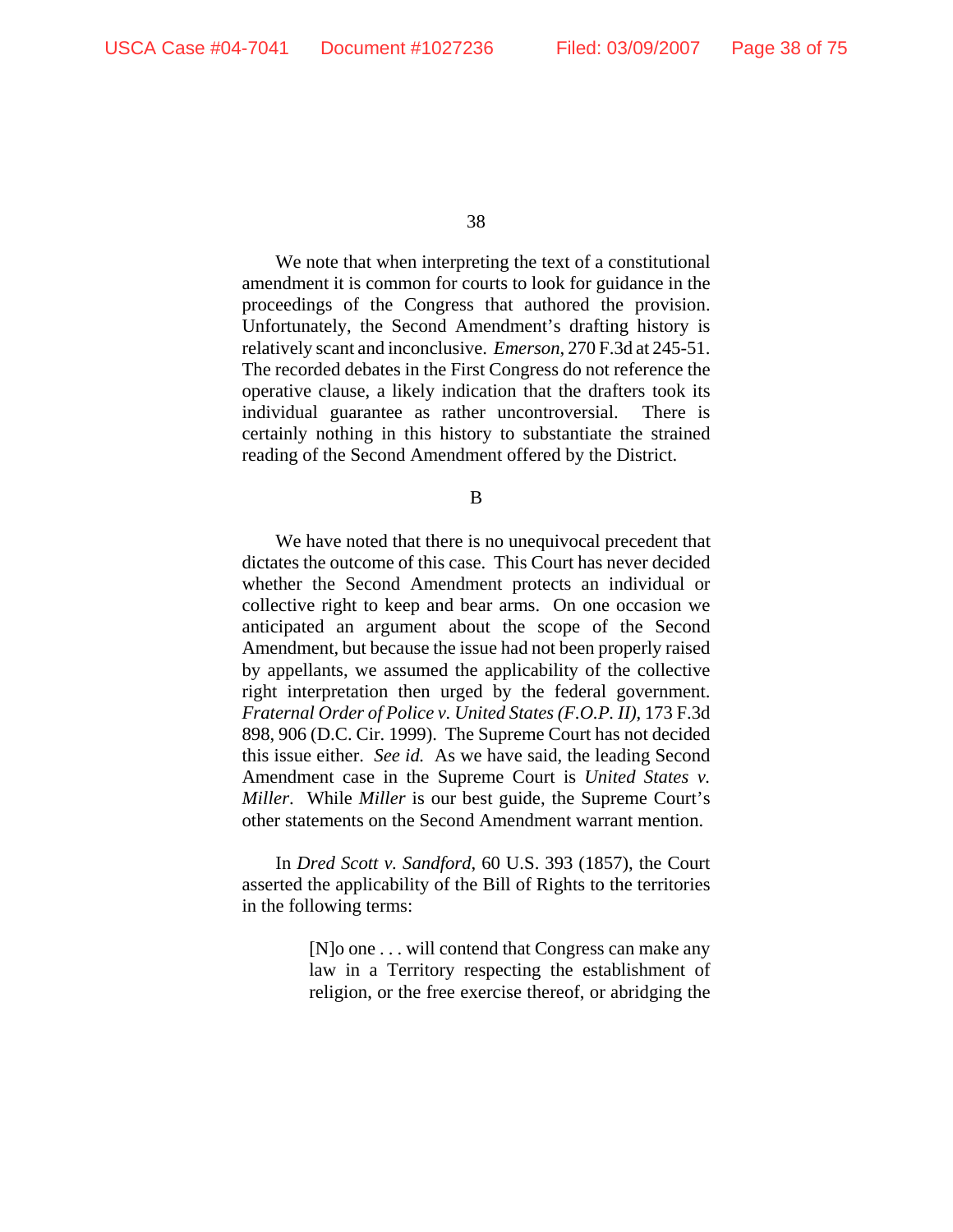We note that when interpreting the text of a constitutional amendment it is common for courts to look for guidance in the proceedings of the Congress that authored the provision. Unfortunately, the Second Amendment's drafting history is relatively scant and inconclusive. *Emerson*, 270 F.3d at 245-51. The recorded debates in the First Congress do not reference the operative clause, a likely indication that the drafters took its individual guarantee as rather uncontroversial. There is certainly nothing in this history to substantiate the strained reading of the Second Amendment offered by the District.

B

We have noted that there is no unequivocal precedent that dictates the outcome of this case. This Court has never decided whether the Second Amendment protects an individual or collective right to keep and bear arms. On one occasion we anticipated an argument about the scope of the Second Amendment, but because the issue had not been properly raised by appellants, we assumed the applicability of the collective right interpretation then urged by the federal government. *Fraternal Order of Police v. United States (F.O.P. II)*, 173 F.3d 898, 906 (D.C. Cir. 1999). The Supreme Court has not decided this issue either. *See id.* As we have said, the leading Second Amendment case in the Supreme Court is *United States v. Miller*. While *Miller* is our best guide, the Supreme Court's other statements on the Second Amendment warrant mention.

In *Dred Scott v. Sandford*, 60 U.S. 393 (1857), the Court asserted the applicability of the Bill of Rights to the territories in the following terms:

> [N]o one . . . will contend that Congress can make any law in a Territory respecting the establishment of religion, or the free exercise thereof, or abridging the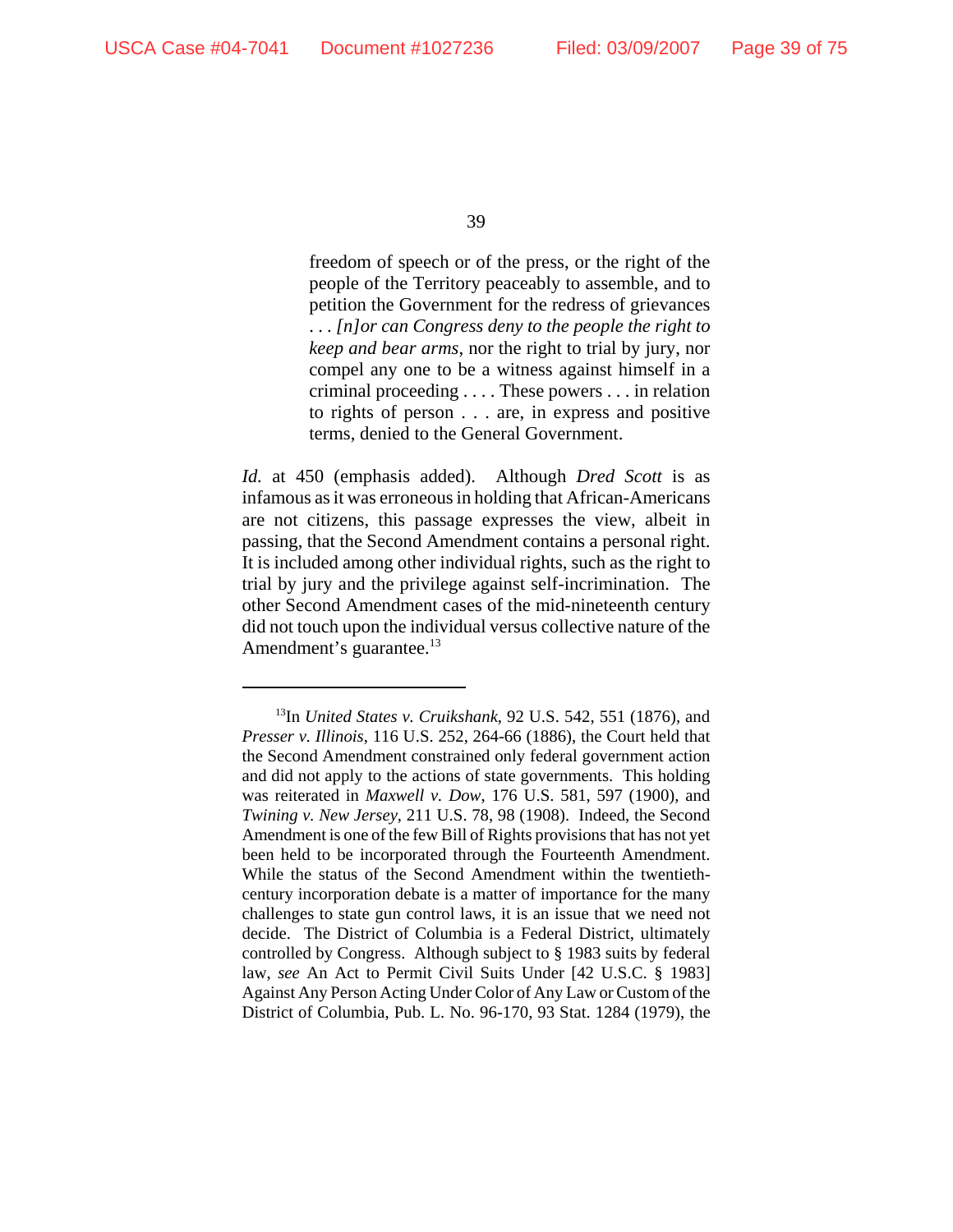freedom of speech or of the press, or the right of the people of the Territory peaceably to assemble, and to petition the Government for the redress of grievances . . . *[n]or can Congress deny to the people the right to keep and bear arms*, nor the right to trial by jury, nor compel any one to be a witness against himself in a criminal proceeding . . . . These powers . . . in relation to rights of person . . . are, in express and positive terms, denied to the General Government.

*Id.* at 450 (emphasis added). Although *Dred Scott* is as infamous as it was erroneous in holding that African-Americans are not citizens, this passage expresses the view, albeit in passing, that the Second Amendment contains a personal right. It is included among other individual rights, such as the right to trial by jury and the privilege against self-incrimination. The other Second Amendment cases of the mid-nineteenth century did not touch upon the individual versus collective nature of the Amendment's guarantee.<sup>13</sup>

<sup>39</sup>

<sup>13</sup>In *United States v. Cruikshank*, 92 U.S. 542, 551 (1876), and *Presser v. Illinois*, 116 U.S. 252, 264-66 (1886), the Court held that the Second Amendment constrained only federal government action and did not apply to the actions of state governments. This holding was reiterated in *Maxwell v. Dow*, 176 U.S. 581, 597 (1900), and *Twining v. New Jersey*, 211 U.S. 78, 98 (1908). Indeed, the Second Amendment is one of the few Bill of Rights provisions that has not yet been held to be incorporated through the Fourteenth Amendment. While the status of the Second Amendment within the twentiethcentury incorporation debate is a matter of importance for the many challenges to state gun control laws, it is an issue that we need not decide. The District of Columbia is a Federal District, ultimately controlled by Congress. Although subject to § 1983 suits by federal law, *see* An Act to Permit Civil Suits Under [42 U.S.C. § 1983] Against Any Person Acting Under Color of Any Law or Custom of the District of Columbia, Pub. L. No. 96-170, 93 Stat. 1284 (1979), the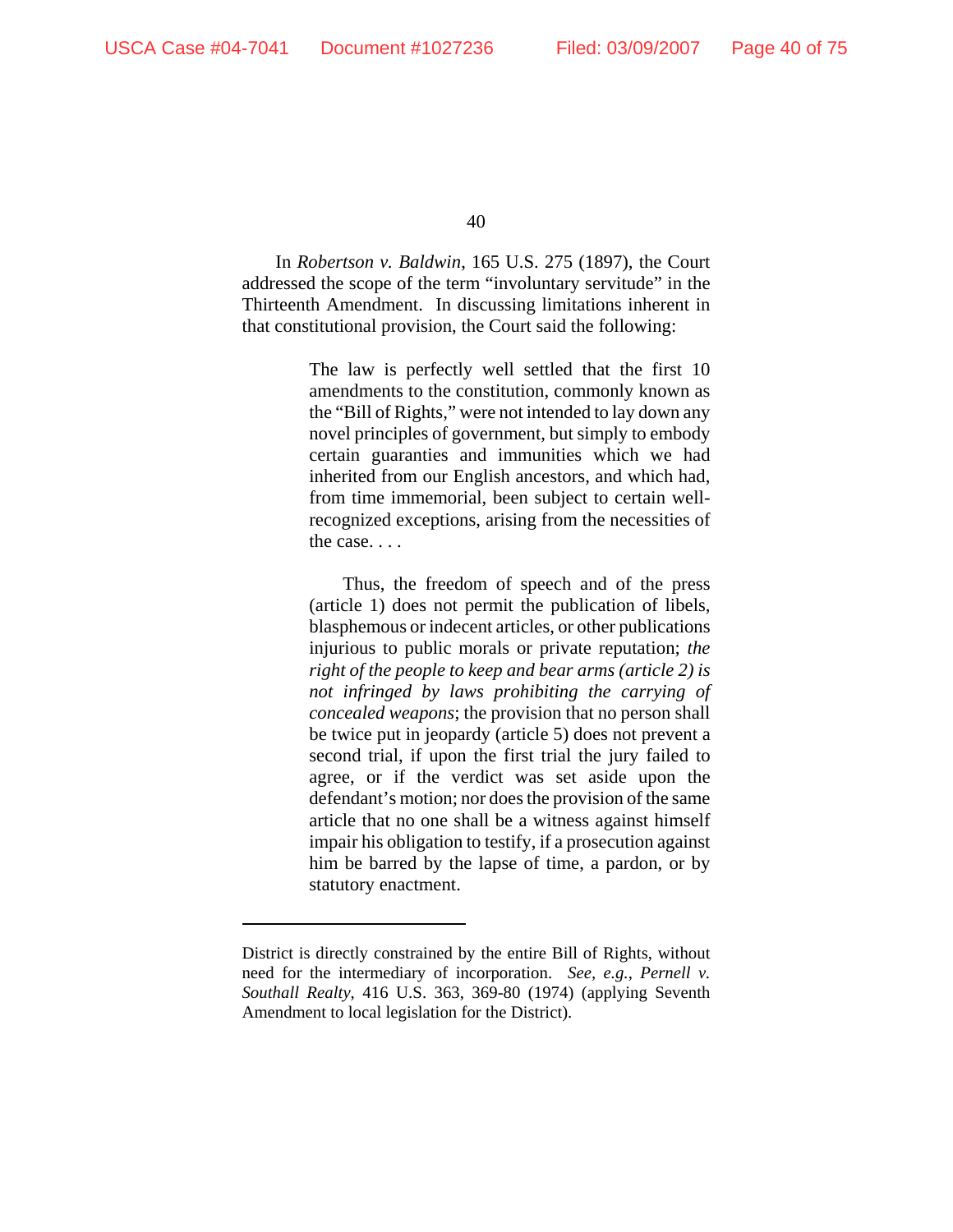In *Robertson v. Baldwin*, 165 U.S. 275 (1897), the Court addressed the scope of the term "involuntary servitude" in the Thirteenth Amendment. In discussing limitations inherent in that constitutional provision, the Court said the following:

> The law is perfectly well settled that the first 10 amendments to the constitution, commonly known as the "Bill of Rights," were not intended to lay down any novel principles of government, but simply to embody certain guaranties and immunities which we had inherited from our English ancestors, and which had, from time immemorial, been subject to certain wellrecognized exceptions, arising from the necessities of the case. . . .

> Thus, the freedom of speech and of the press (article 1) does not permit the publication of libels, blasphemous or indecent articles, or other publications injurious to public morals or private reputation; *the right of the people to keep and bear arms (article 2) is not infringed by laws prohibiting the carrying of concealed weapons*; the provision that no person shall be twice put in jeopardy (article 5) does not prevent a second trial, if upon the first trial the jury failed to agree, or if the verdict was set aside upon the defendant's motion; nor does the provision of the same article that no one shall be a witness against himself impair his obligation to testify, if a prosecution against him be barred by the lapse of time, a pardon, or by statutory enactment.

District is directly constrained by the entire Bill of Rights, without need for the intermediary of incorporation. *See, e.g.*, *Pernell v. Southall Realty*, 416 U.S. 363, 369-80 (1974) (applying Seventh Amendment to local legislation for the District).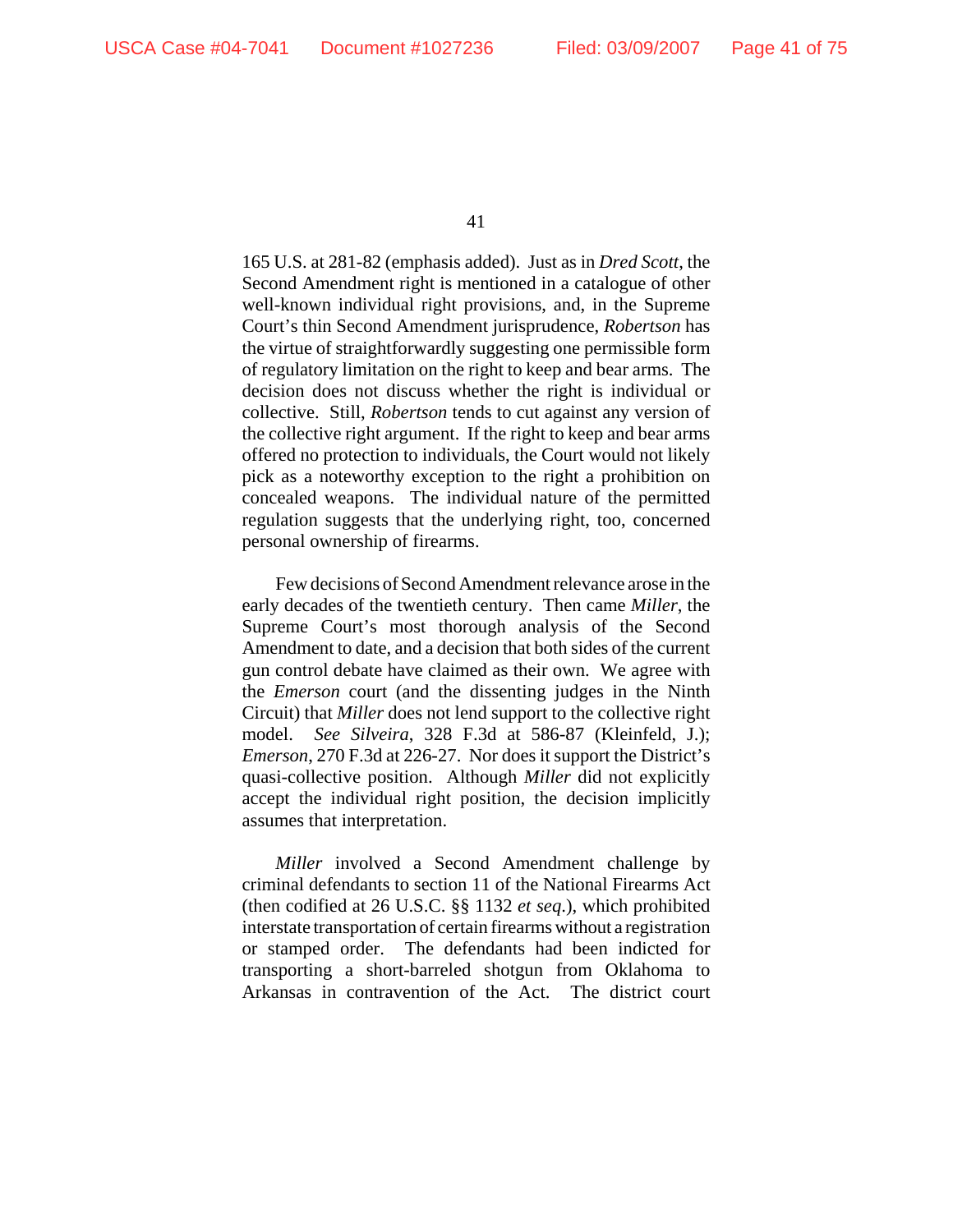165 U.S. at 281-82 (emphasis added). Just as in *Dred Scott*, the Second Amendment right is mentioned in a catalogue of other well-known individual right provisions, and, in the Supreme Court's thin Second Amendment jurisprudence, *Robertson* has the virtue of straightforwardly suggesting one permissible form of regulatory limitation on the right to keep and bear arms. The decision does not discuss whether the right is individual or collective. Still, *Robertson* tends to cut against any version of the collective right argument. If the right to keep and bear arms offered no protection to individuals, the Court would not likely pick as a noteworthy exception to the right a prohibition on concealed weapons. The individual nature of the permitted regulation suggests that the underlying right, too, concerned personal ownership of firearms.

Few decisions of Second Amendment relevance arose in the early decades of the twentieth century. Then came *Miller*, the Supreme Court's most thorough analysis of the Second Amendment to date, and a decision that both sides of the current gun control debate have claimed as their own. We agree with the *Emerson* court (and the dissenting judges in the Ninth Circuit) that *Miller* does not lend support to the collective right model. *See Silveira*, 328 F.3d at 586-87 (Kleinfeld, J.); *Emerson*, 270 F.3d at 226-27. Nor does it support the District's quasi-collective position. Although *Miller* did not explicitly accept the individual right position, the decision implicitly assumes that interpretation.

*Miller* involved a Second Amendment challenge by criminal defendants to section 11 of the National Firearms Act (then codified at 26 U.S.C. §§ 1132 *et seq*.), which prohibited interstate transportation of certain firearms without a registration or stamped order. The defendants had been indicted for transporting a short-barreled shotgun from Oklahoma to Arkansas in contravention of the Act. The district court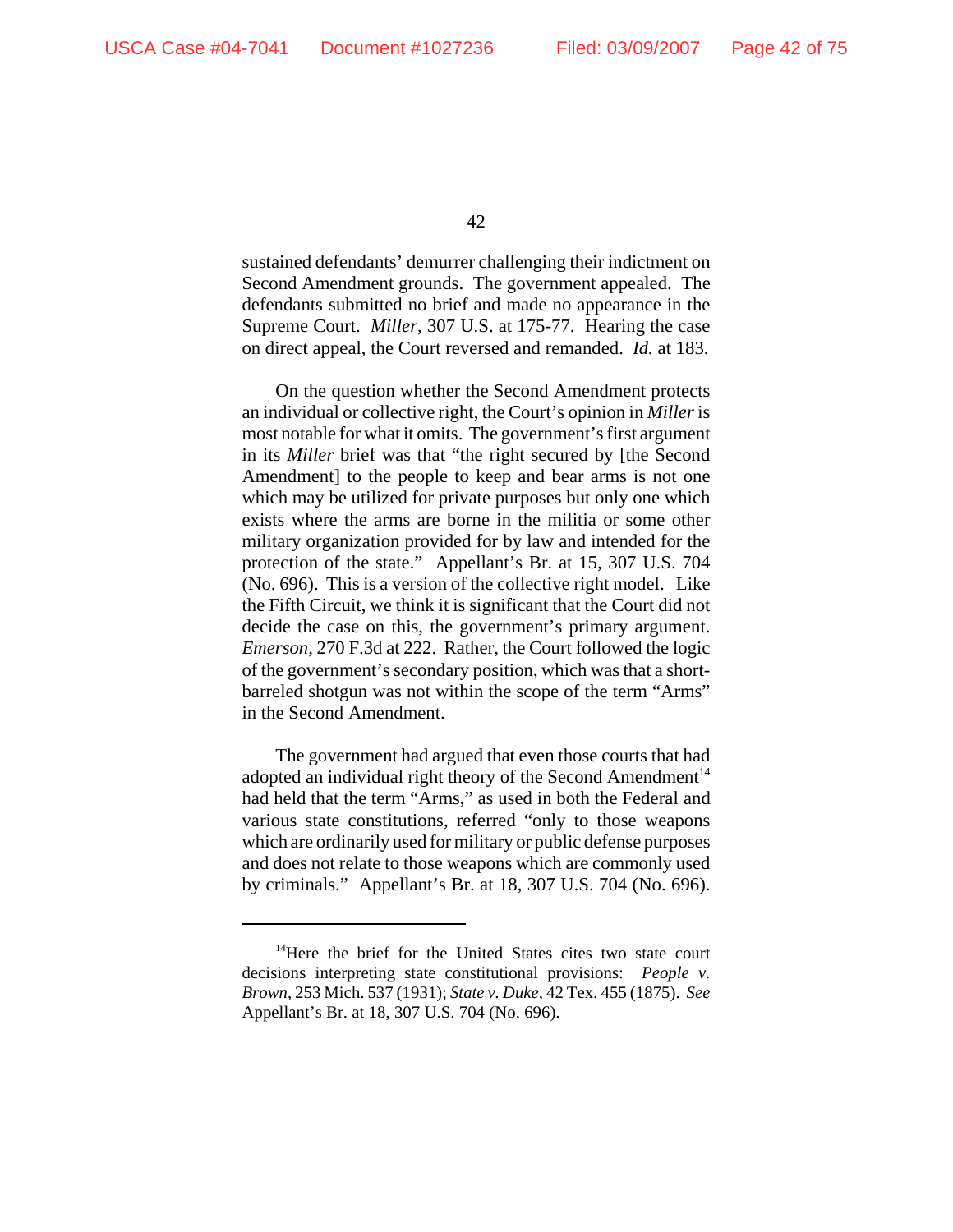sustained defendants' demurrer challenging their indictment on Second Amendment grounds. The government appealed. The defendants submitted no brief and made no appearance in the Supreme Court. *Miller*, 307 U.S. at 175-77. Hearing the case on direct appeal, the Court reversed and remanded. *Id.* at 183.

On the question whether the Second Amendment protects an individual or collective right, the Court's opinion in *Miller* is most notable for what it omits. The government's first argument in its *Miller* brief was that "the right secured by [the Second Amendment] to the people to keep and bear arms is not one which may be utilized for private purposes but only one which exists where the arms are borne in the militia or some other military organization provided for by law and intended for the protection of the state." Appellant's Br. at 15, 307 U.S. 704 (No. 696). This is a version of the collective right model. Like the Fifth Circuit, we think it is significant that the Court did not decide the case on this, the government's primary argument. *Emerson*, 270 F.3d at 222. Rather, the Court followed the logic of the government's secondary position, which was that a shortbarreled shotgun was not within the scope of the term "Arms" in the Second Amendment.

The government had argued that even those courts that had adopted an individual right theory of the Second Amendment<sup>14</sup> had held that the term "Arms," as used in both the Federal and various state constitutions, referred "only to those weapons which are ordinarily used for military or public defense purposes and does not relate to those weapons which are commonly used by criminals." Appellant's Br. at 18, 307 U.S. 704 (No. 696).

<sup>&</sup>lt;sup>14</sup>Here the brief for the United States cites two state court decisions interpreting state constitutional provisions: *People v. Brown*, 253 Mich. 537 (1931); *State v. Duke*, 42 Tex. 455 (1875). *See* Appellant's Br. at 18, 307 U.S. 704 (No. 696).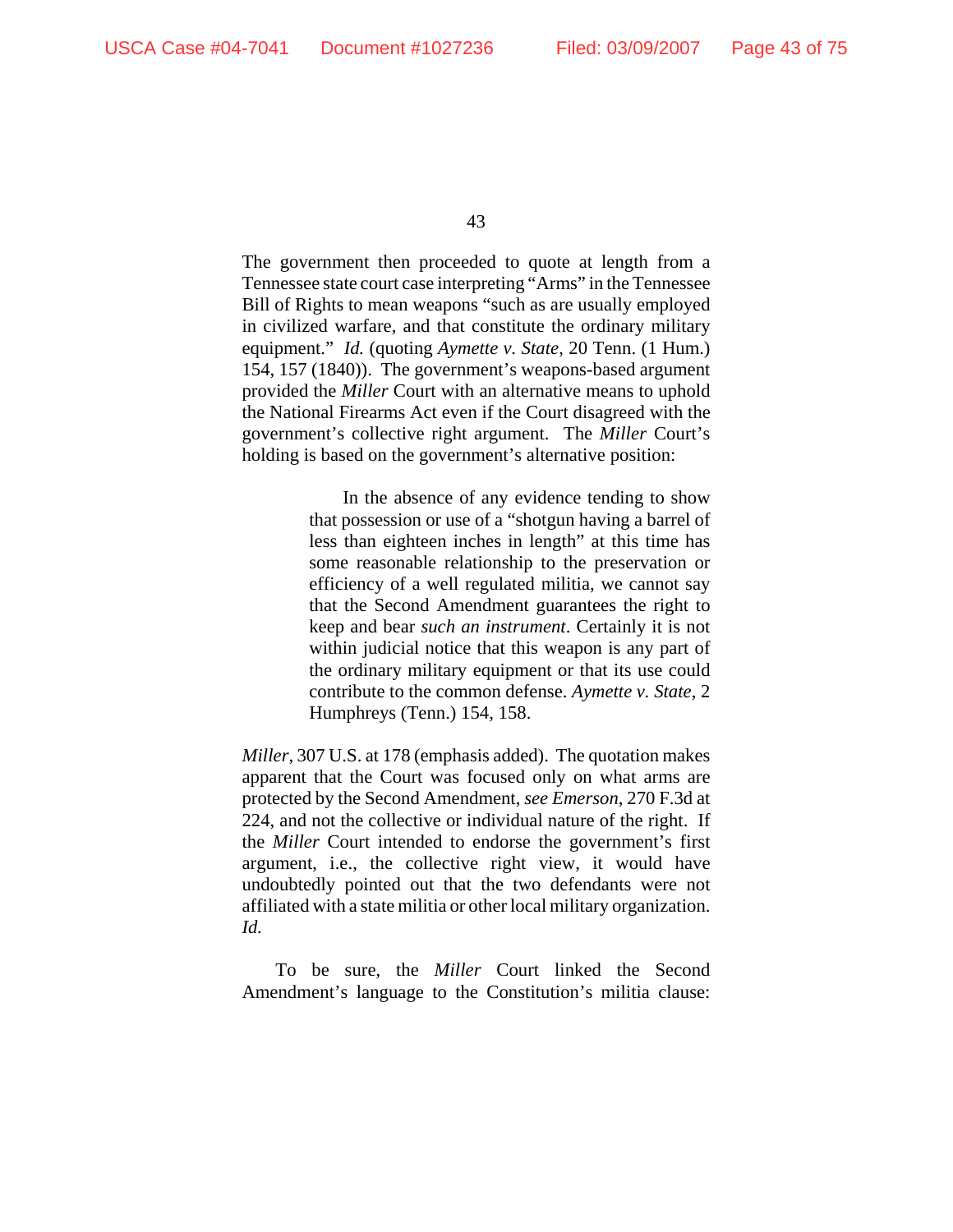The government then proceeded to quote at length from a Tennessee state court case interpreting "Arms" in the Tennessee Bill of Rights to mean weapons "such as are usually employed in civilized warfare, and that constitute the ordinary military equipment." *Id.* (quoting *Aymette v. State*, 20 Tenn. (1 Hum.) 154, 157 (1840)). The government's weapons-based argument provided the *Miller* Court with an alternative means to uphold the National Firearms Act even if the Court disagreed with the government's collective right argument. The *Miller* Court's holding is based on the government's alternative position:

> In the absence of any evidence tending to show that possession or use of a "shotgun having a barrel of less than eighteen inches in length" at this time has some reasonable relationship to the preservation or efficiency of a well regulated militia, we cannot say that the Second Amendment guarantees the right to keep and bear *such an instrument*. Certainly it is not within judicial notice that this weapon is any part of the ordinary military equipment or that its use could contribute to the common defense. *Aymette v. State*, 2 Humphreys (Tenn.) 154, 158.

*Miller*, 307 U.S. at 178 (emphasis added). The quotation makes apparent that the Court was focused only on what arms are protected by the Second Amendment, *see Emerson*, 270 F.3d at 224, and not the collective or individual nature of the right. If the *Miller* Court intended to endorse the government's first argument, i.e., the collective right view, it would have undoubtedly pointed out that the two defendants were not affiliated with a state militia or other local military organization. *Id.*

To be sure, the *Miller* Court linked the Second Amendment's language to the Constitution's militia clause: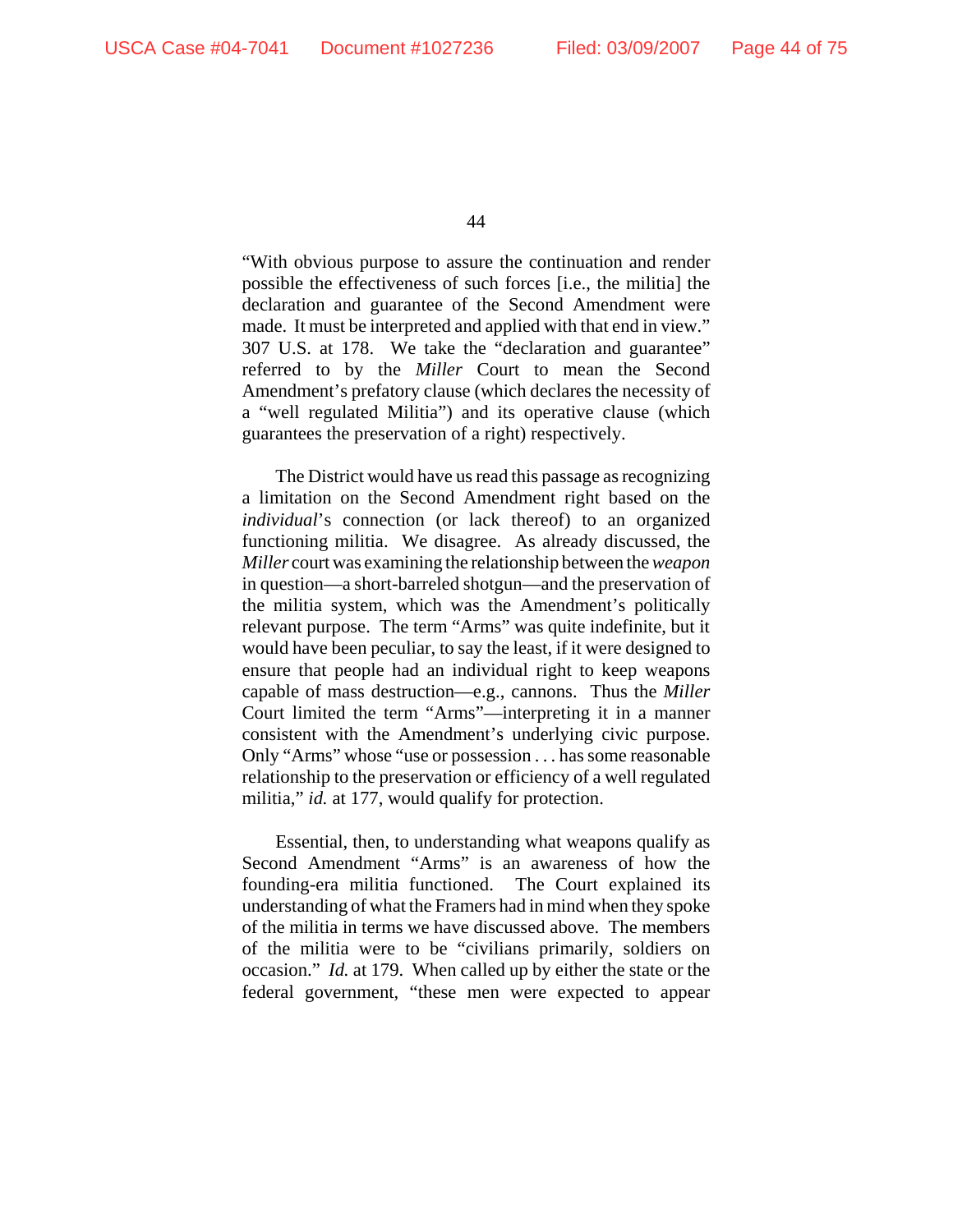"With obvious purpose to assure the continuation and render possible the effectiveness of such forces [i.e., the militia] the declaration and guarantee of the Second Amendment were made. It must be interpreted and applied with that end in view." 307 U.S. at 178. We take the "declaration and guarantee" referred to by the *Miller* Court to mean the Second Amendment's prefatory clause (which declares the necessity of a "well regulated Militia") and its operative clause (which guarantees the preservation of a right) respectively.

The District would have us read this passage as recognizing a limitation on the Second Amendment right based on the *individual*'s connection (or lack thereof) to an organized functioning militia. We disagree. As already discussed, the *Miller* court was examining the relationship between the *weapon* in question—a short-barreled shotgun—and the preservation of the militia system, which was the Amendment's politically relevant purpose. The term "Arms" was quite indefinite, but it would have been peculiar, to say the least, if it were designed to ensure that people had an individual right to keep weapons capable of mass destruction—e.g., cannons. Thus the *Miller* Court limited the term "Arms"—interpreting it in a manner consistent with the Amendment's underlying civic purpose. Only "Arms" whose "use or possession . . . has some reasonable relationship to the preservation or efficiency of a well regulated militia," *id.* at 177, would qualify for protection.

Essential, then, to understanding what weapons qualify as Second Amendment "Arms" is an awareness of how the founding-era militia functioned. The Court explained its understanding of what the Framers had in mind when they spoke of the militia in terms we have discussed above. The members of the militia were to be "civilians primarily, soldiers on occasion." *Id.* at 179. When called up by either the state or the federal government, "these men were expected to appear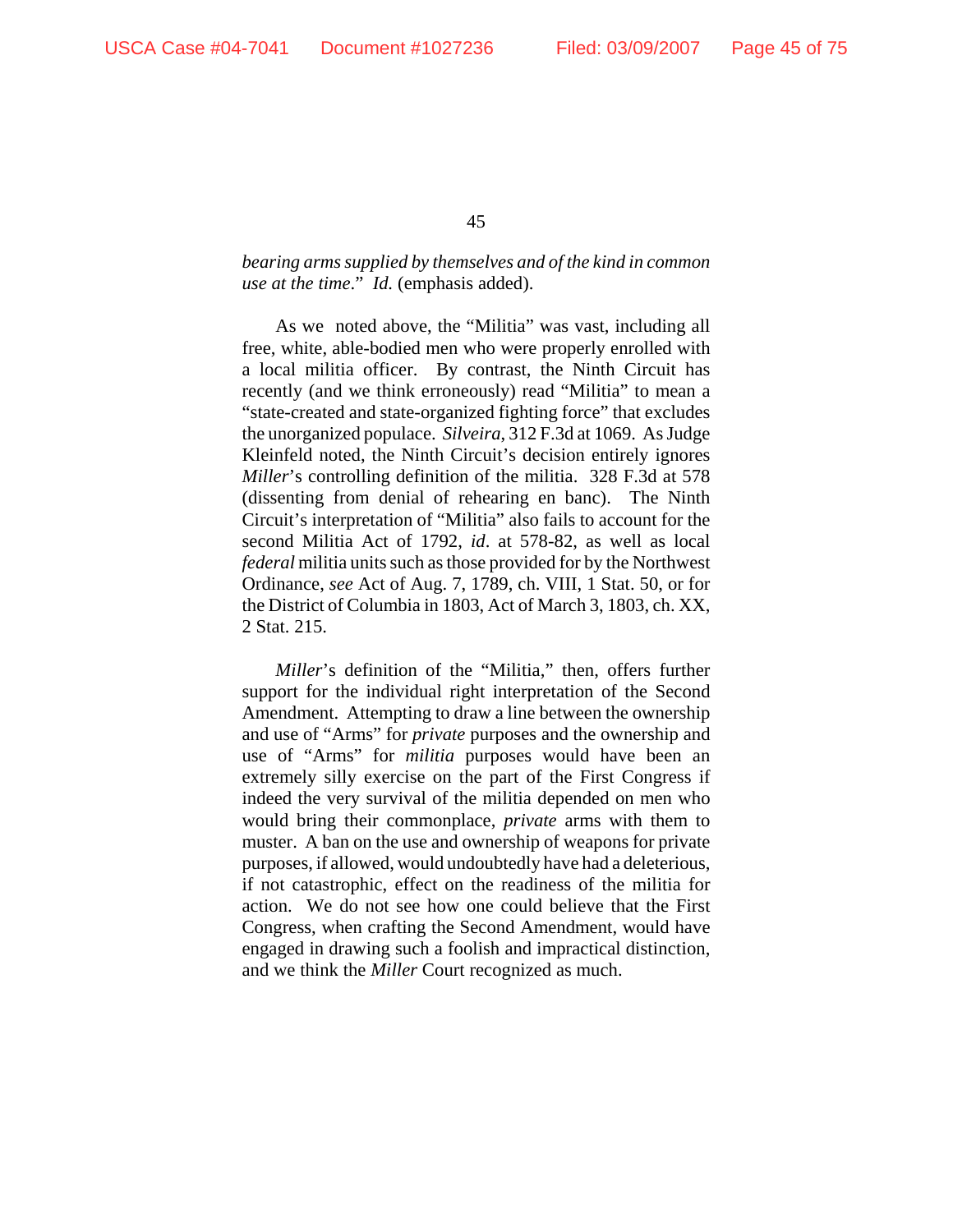### *bearing arms supplied by themselves and of the kind in common use at the time*." *Id.* (emphasis added).

As we noted above, the "Militia" was vast, including all free, white, able-bodied men who were properly enrolled with a local militia officer. By contrast, the Ninth Circuit has recently (and we think erroneously) read "Militia" to mean a "state-created and state-organized fighting force" that excludes the unorganized populace. *Silveira*, 312 F.3d at 1069. As Judge Kleinfeld noted, the Ninth Circuit's decision entirely ignores *Miller*'s controlling definition of the militia. 328 F.3d at 578 (dissenting from denial of rehearing en banc). The Ninth Circuit's interpretation of "Militia" also fails to account for the second Militia Act of 1792, *id*. at 578-82, as well as local *federal* militia units such as those provided for by the Northwest Ordinance, *see* Act of Aug. 7, 1789, ch. VIII, 1 Stat. 50, or for the District of Columbia in 1803, Act of March 3, 1803, ch. XX, 2 Stat. 215.

*Miller*'s definition of the "Militia," then, offers further support for the individual right interpretation of the Second Amendment. Attempting to draw a line between the ownership and use of "Arms" for *private* purposes and the ownership and use of "Arms" for *militia* purposes would have been an extremely silly exercise on the part of the First Congress if indeed the very survival of the militia depended on men who would bring their commonplace, *private* arms with them to muster. A ban on the use and ownership of weapons for private purposes, if allowed, would undoubtedly have had a deleterious, if not catastrophic, effect on the readiness of the militia for action. We do not see how one could believe that the First Congress, when crafting the Second Amendment, would have engaged in drawing such a foolish and impractical distinction, and we think the *Miller* Court recognized as much.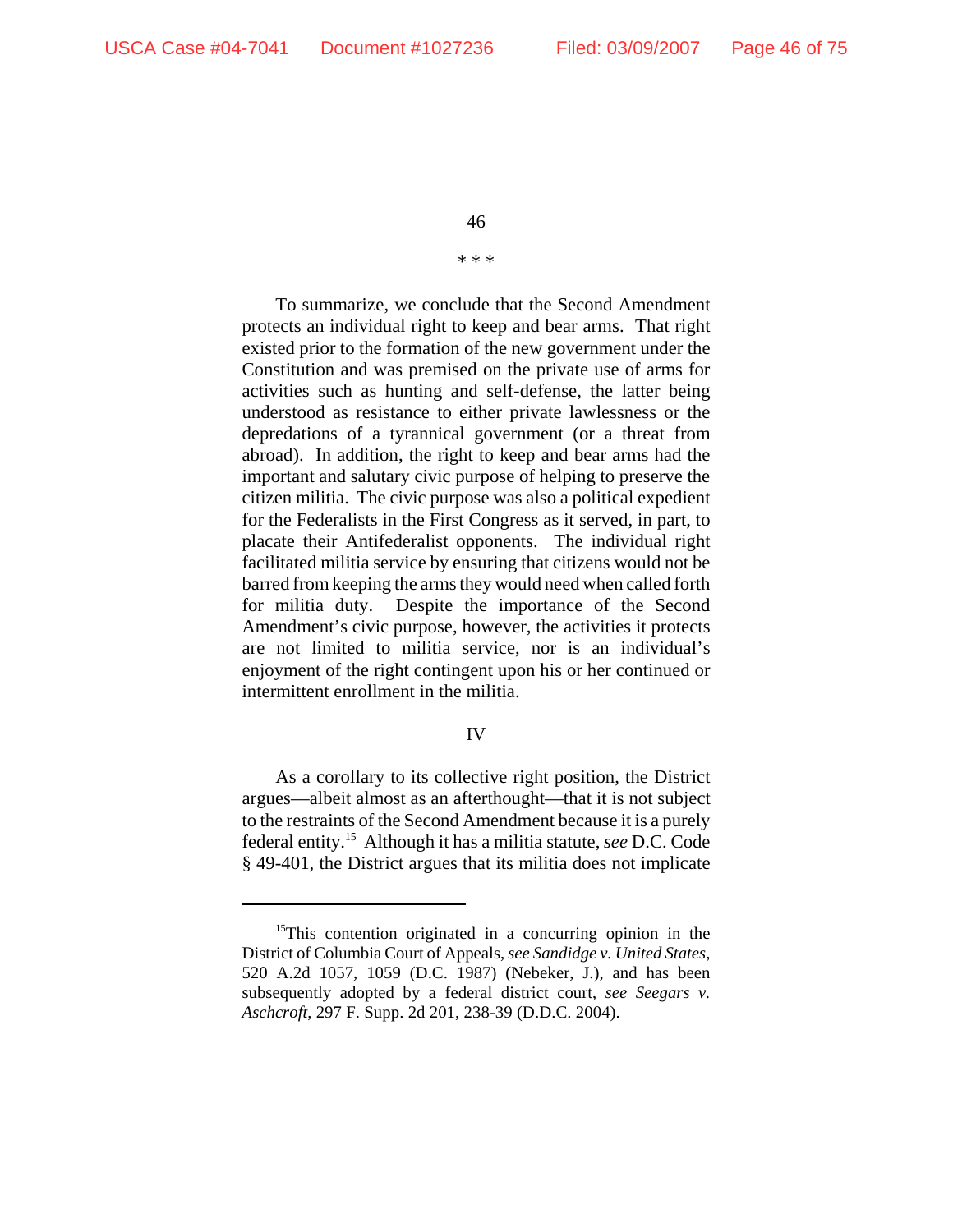\* \* \*

To summarize, we conclude that the Second Amendment protects an individual right to keep and bear arms. That right existed prior to the formation of the new government under the Constitution and was premised on the private use of arms for activities such as hunting and self-defense, the latter being understood as resistance to either private lawlessness or the depredations of a tyrannical government (or a threat from abroad). In addition, the right to keep and bear arms had the important and salutary civic purpose of helping to preserve the citizen militia. The civic purpose was also a political expedient for the Federalists in the First Congress as it served, in part, to placate their Antifederalist opponents. The individual right facilitated militia service by ensuring that citizens would not be barred from keeping the arms they would need when called forth for militia duty. Despite the importance of the Second Amendment's civic purpose, however, the activities it protects are not limited to militia service, nor is an individual's enjoyment of the right contingent upon his or her continued or intermittent enrollment in the militia.

#### IV

As a corollary to its collective right position, the District argues—albeit almost as an afterthought—that it is not subject to the restraints of the Second Amendment because it is a purely federal entity.15 Although it has a militia statute, *see* D.C. Code § 49-401, the District argues that its militia does not implicate

<sup>&</sup>lt;sup>15</sup>This contention originated in a concurring opinion in the District of Columbia Court of Appeals, *see Sandidge v. United States*, 520 A.2d 1057, 1059 (D.C. 1987) (Nebeker, J.), and has been subsequently adopted by a federal district court, *see Seegars v. Aschcroft*, 297 F. Supp. 2d 201, 238-39 (D.D.C. 2004).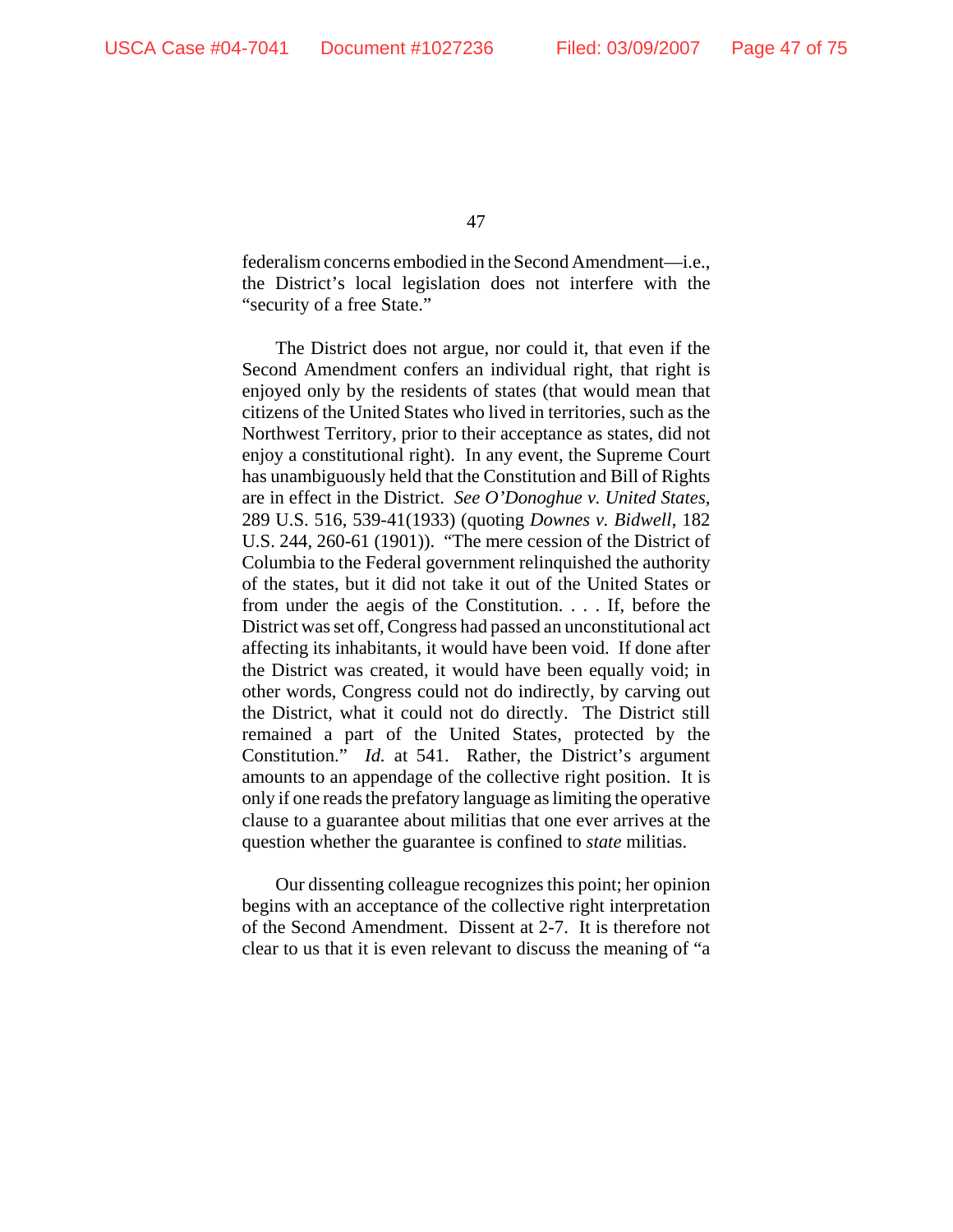federalism concerns embodied in the Second Amendment—i.e., the District's local legislation does not interfere with the "security of a free State."

The District does not argue, nor could it, that even if the Second Amendment confers an individual right, that right is enjoyed only by the residents of states (that would mean that citizens of the United States who lived in territories, such as the Northwest Territory, prior to their acceptance as states, did not enjoy a constitutional right). In any event, the Supreme Court has unambiguously held that the Constitution and Bill of Rights are in effect in the District. *See O'Donoghue v. United States*, 289 U.S. 516, 539-41(1933) (quoting *Downes v. Bidwell*, 182 U.S. 244, 260-61 (1901)). "The mere cession of the District of Columbia to the Federal government relinquished the authority of the states, but it did not take it out of the United States or from under the aegis of the Constitution. . . . If, before the District was set off, Congress had passed an unconstitutional act affecting its inhabitants, it would have been void. If done after the District was created, it would have been equally void; in other words, Congress could not do indirectly, by carving out the District, what it could not do directly. The District still remained a part of the United States, protected by the Constitution." *Id.* at 541. Rather, the District's argument amounts to an appendage of the collective right position. It is only if one reads the prefatory language as limiting the operative clause to a guarantee about militias that one ever arrives at the question whether the guarantee is confined to *state* militias.

Our dissenting colleague recognizes this point; her opinion begins with an acceptance of the collective right interpretation of the Second Amendment. Dissent at 2-7. It is therefore not clear to us that it is even relevant to discuss the meaning of "a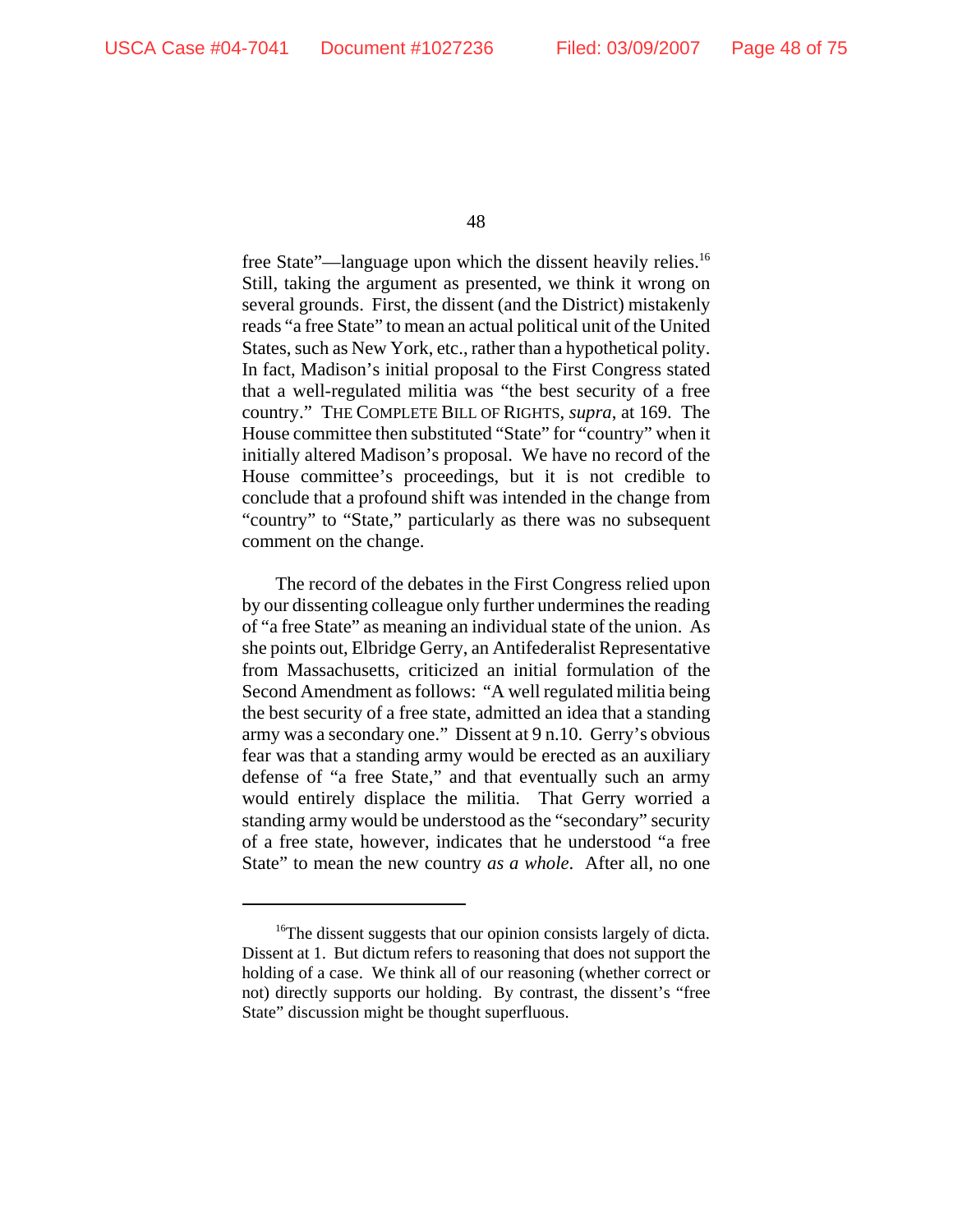free State"—language upon which the dissent heavily relies.<sup>16</sup> Still, taking the argument as presented, we think it wrong on several grounds. First, the dissent (and the District) mistakenly reads "a free State" to mean an actual political unit of the United States, such as New York, etc., rather than a hypothetical polity. In fact, Madison's initial proposal to the First Congress stated that a well-regulated militia was "the best security of a free country." THE COMPLETE BILL OF RIGHTS, *supra*, at 169. The House committee then substituted "State" for "country" when it initially altered Madison's proposal. We have no record of the House committee's proceedings, but it is not credible to conclude that a profound shift was intended in the change from "country" to "State," particularly as there was no subsequent comment on the change.

The record of the debates in the First Congress relied upon by our dissenting colleague only further undermines the reading of "a free State" as meaning an individual state of the union. As she points out, Elbridge Gerry, an Antifederalist Representative from Massachusetts, criticized an initial formulation of the Second Amendment as follows: "A well regulated militia being the best security of a free state, admitted an idea that a standing army was a secondary one." Dissent at 9 n.10. Gerry's obvious fear was that a standing army would be erected as an auxiliary defense of "a free State," and that eventually such an army would entirely displace the militia. That Gerry worried a standing army would be understood as the "secondary" security of a free state, however, indicates that he understood "a free State" to mean the new country *as a whole*. After all, no one

<sup>&</sup>lt;sup>16</sup>The dissent suggests that our opinion consists largely of dicta. Dissent at 1. But dictum refers to reasoning that does not support the holding of a case. We think all of our reasoning (whether correct or not) directly supports our holding. By contrast, the dissent's "free State" discussion might be thought superfluous.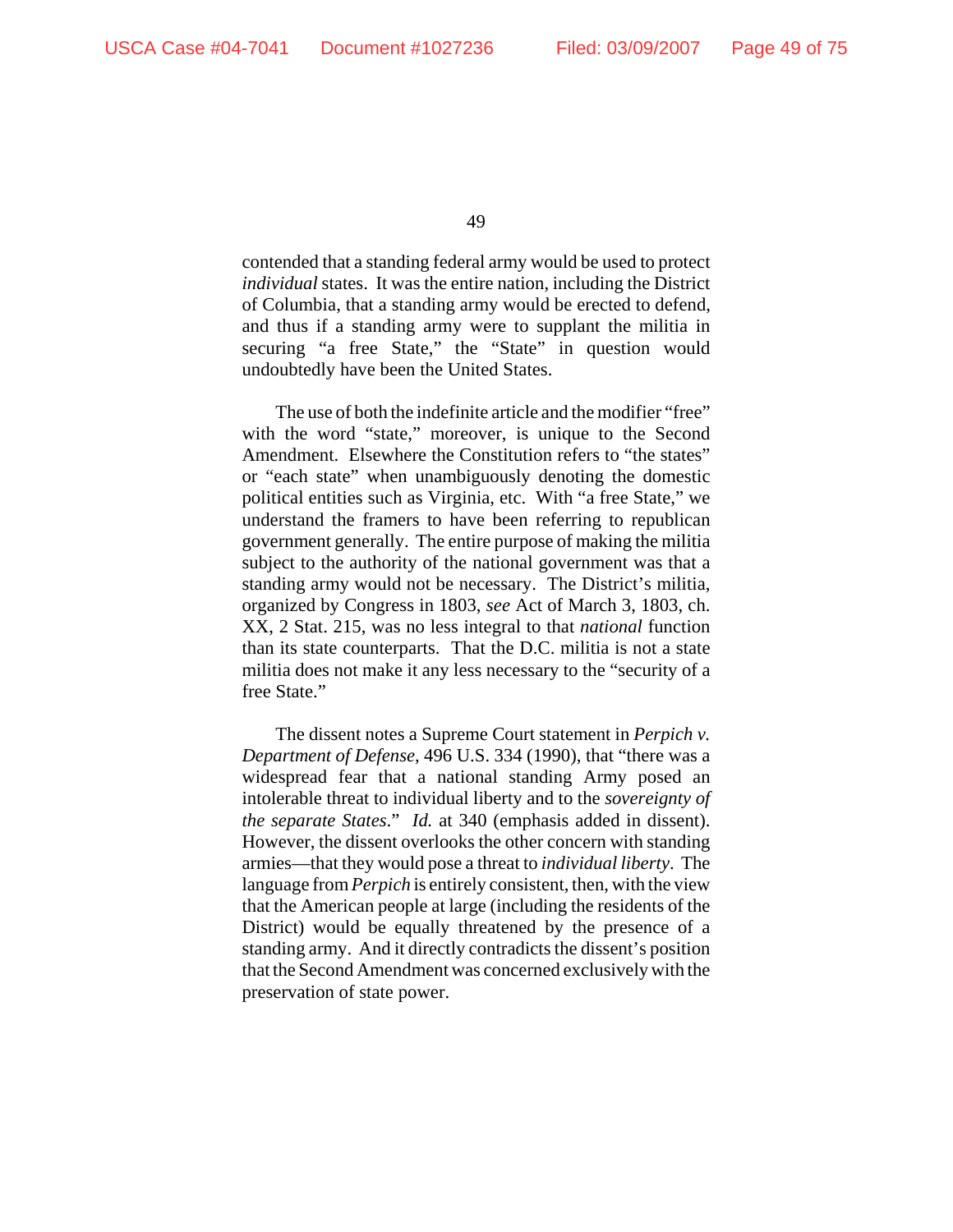contended that a standing federal army would be used to protect *individual* states. It was the entire nation, including the District of Columbia, that a standing army would be erected to defend, and thus if a standing army were to supplant the militia in securing "a free State," the "State" in question would undoubtedly have been the United States.

The use of both the indefinite article and the modifier "free" with the word "state," moreover, is unique to the Second Amendment. Elsewhere the Constitution refers to "the states" or "each state" when unambiguously denoting the domestic political entities such as Virginia, etc. With "a free State," we understand the framers to have been referring to republican government generally. The entire purpose of making the militia subject to the authority of the national government was that a standing army would not be necessary. The District's militia, organized by Congress in 1803, *see* Act of March 3, 1803, ch. XX, 2 Stat. 215, was no less integral to that *national* function than its state counterparts. That the D.C. militia is not a state militia does not make it any less necessary to the "security of a free State."

The dissent notes a Supreme Court statement in *Perpich v. Department of Defense*, 496 U.S. 334 (1990), that "there was a widespread fear that a national standing Army posed an intolerable threat to individual liberty and to the *sovereignty of the separate States*." *Id.* at 340 (emphasis added in dissent). However, the dissent overlooks the other concern with standing armies—that they would pose a threat to *individual liberty*. The language from *Perpich* is entirely consistent, then, with the view that the American people at large (including the residents of the District) would be equally threatened by the presence of a standing army. And it directly contradicts the dissent's position that the Second Amendment was concerned exclusively with the preservation of state power.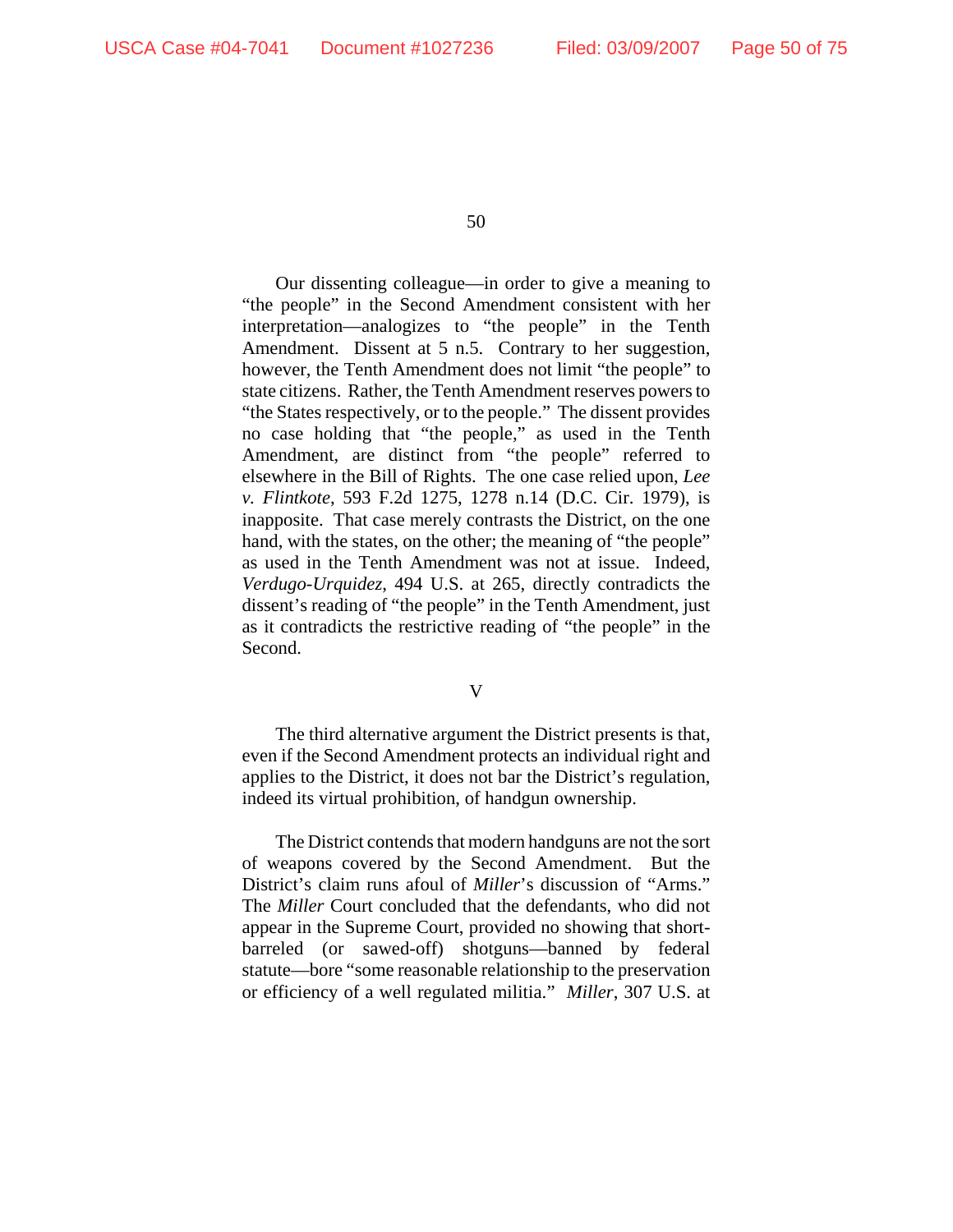Our dissenting colleague—in order to give a meaning to "the people" in the Second Amendment consistent with her interpretation—analogizes to "the people" in the Tenth Amendment. Dissent at 5 n.5. Contrary to her suggestion, however, the Tenth Amendment does not limit "the people" to state citizens. Rather, the Tenth Amendment reserves powers to "the States respectively, or to the people." The dissent provides no case holding that "the people," as used in the Tenth Amendment, are distinct from "the people" referred to elsewhere in the Bill of Rights. The one case relied upon, *Lee v. Flintkote*, 593 F.2d 1275, 1278 n.14 (D.C. Cir. 1979), is inapposite. That case merely contrasts the District, on the one hand, with the states, on the other; the meaning of "the people" as used in the Tenth Amendment was not at issue. Indeed, *Verdugo-Urquidez*, 494 U.S. at 265, directly contradicts the dissent's reading of "the people" in the Tenth Amendment, just as it contradicts the restrictive reading of "the people" in the Second.

#### V

The third alternative argument the District presents is that, even if the Second Amendment protects an individual right and applies to the District, it does not bar the District's regulation, indeed its virtual prohibition, of handgun ownership.

The District contends that modern handguns are not the sort of weapons covered by the Second Amendment. But the District's claim runs afoul of *Miller*'s discussion of "Arms." The *Miller* Court concluded that the defendants, who did not appear in the Supreme Court, provided no showing that shortbarreled (or sawed-off) shotguns—banned by federal statute—bore "some reasonable relationship to the preservation or efficiency of a well regulated militia." *Miller*, 307 U.S. at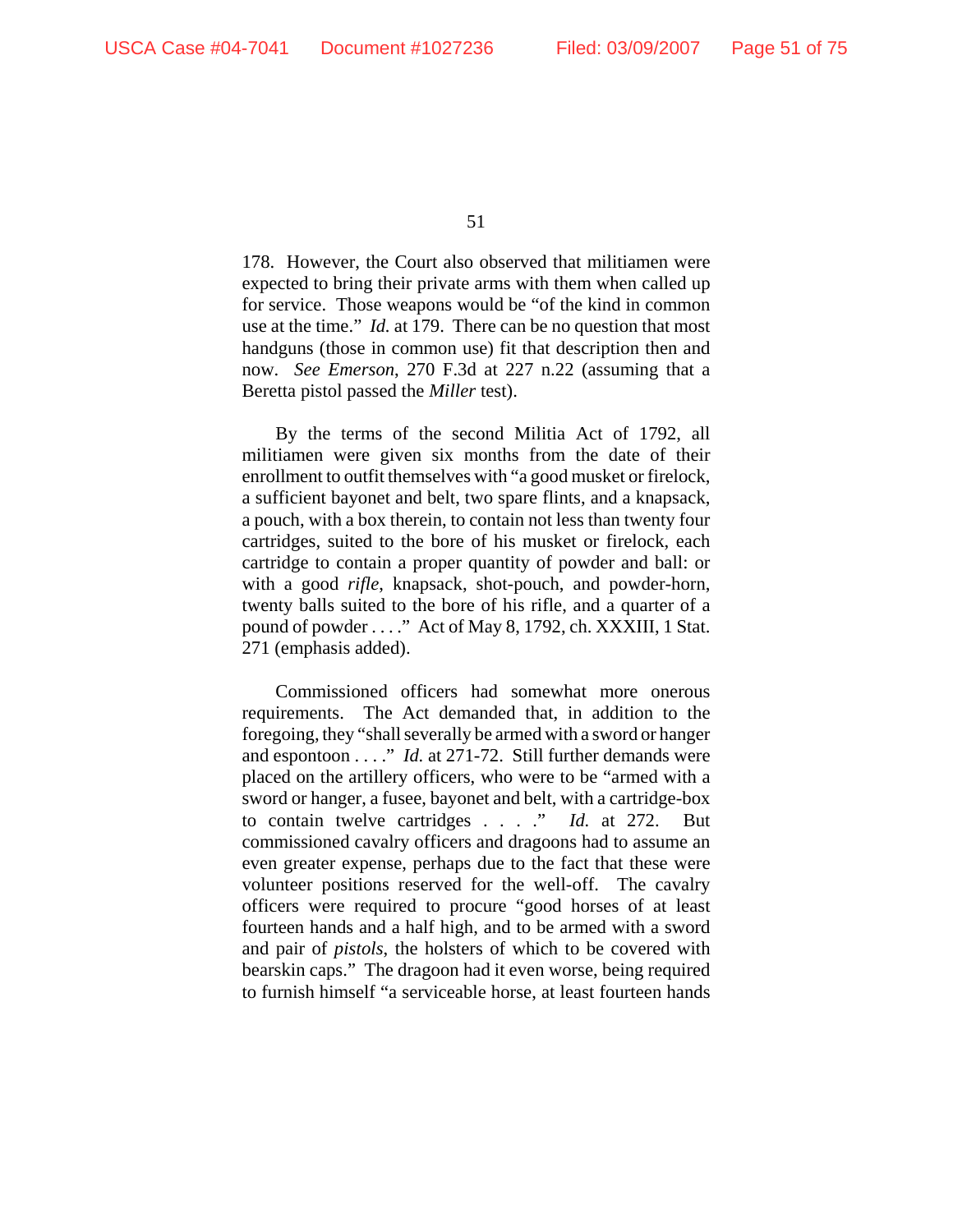178. However, the Court also observed that militiamen were expected to bring their private arms with them when called up for service. Those weapons would be "of the kind in common use at the time." *Id.* at 179. There can be no question that most handguns (those in common use) fit that description then and now. *See Emerson*, 270 F.3d at 227 n.22 (assuming that a Beretta pistol passed the *Miller* test).

By the terms of the second Militia Act of 1792, all militiamen were given six months from the date of their enrollment to outfit themselves with "a good musket or firelock, a sufficient bayonet and belt, two spare flints, and a knapsack, a pouch, with a box therein, to contain not less than twenty four cartridges, suited to the bore of his musket or firelock, each cartridge to contain a proper quantity of powder and ball: or with a good *rifle*, knapsack, shot-pouch, and powder-horn, twenty balls suited to the bore of his rifle, and a quarter of a pound of powder . . . ." Act of May 8, 1792, ch. XXXIII, 1 Stat. 271 (emphasis added).

Commissioned officers had somewhat more onerous requirements. The Act demanded that, in addition to the foregoing, they "shall severally be armed with a sword or hanger and espontoon . . . ." *Id.* at 271-72. Still further demands were placed on the artillery officers, who were to be "armed with a sword or hanger, a fusee, bayonet and belt, with a cartridge-box to contain twelve cartridges . . . ." *Id.* at 272. But commissioned cavalry officers and dragoons had to assume an even greater expense, perhaps due to the fact that these were volunteer positions reserved for the well-off. The cavalry officers were required to procure "good horses of at least fourteen hands and a half high, and to be armed with a sword and pair of *pistols*, the holsters of which to be covered with bearskin caps." The dragoon had it even worse, being required to furnish himself "a serviceable horse, at least fourteen hands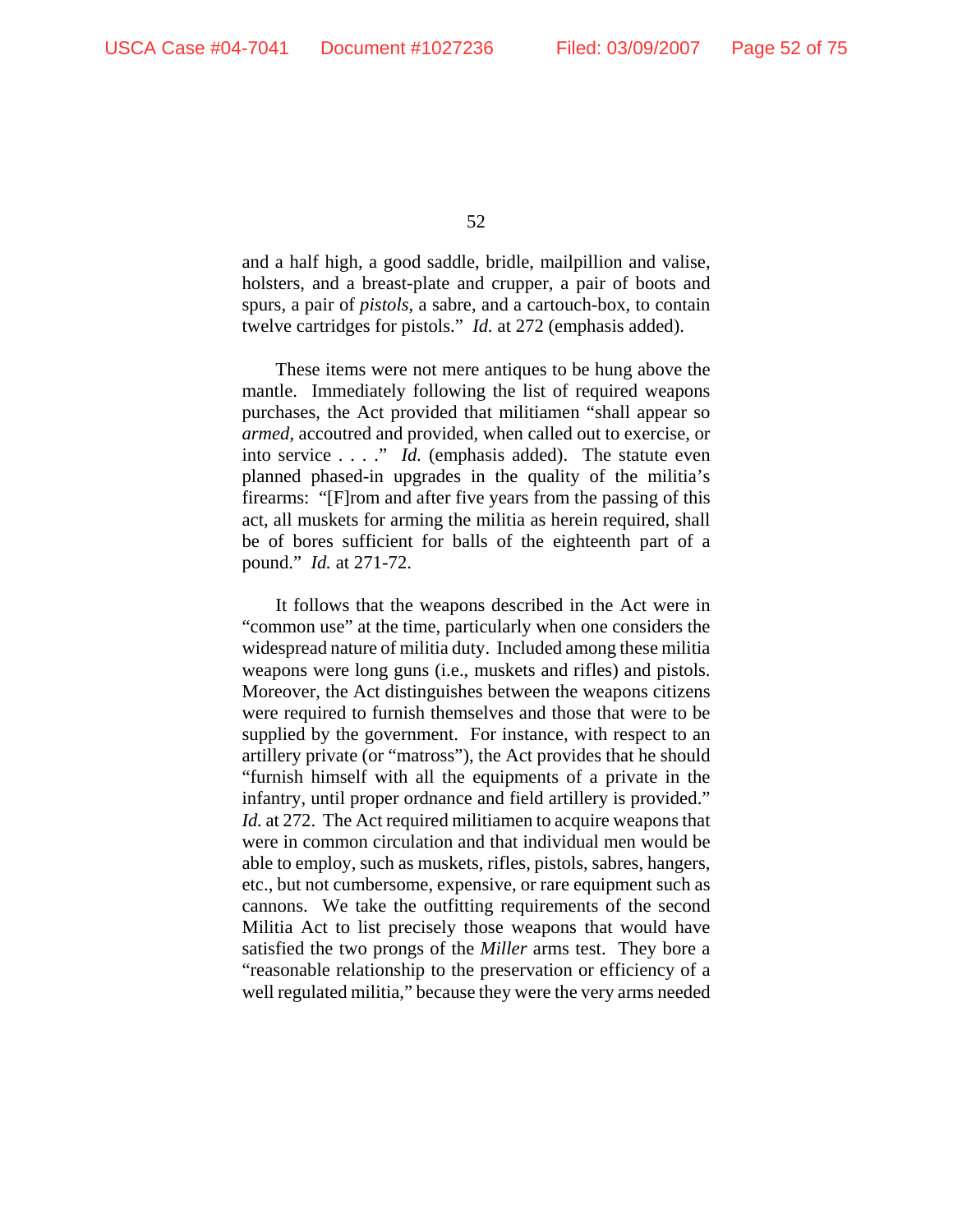and a half high, a good saddle, bridle, mailpillion and valise, holsters, and a breast-plate and crupper, a pair of boots and spurs, a pair of *pistols*, a sabre, and a cartouch-box, to contain twelve cartridges for pistols." *Id.* at 272 (emphasis added).

These items were not mere antiques to be hung above the mantle. Immediately following the list of required weapons purchases, the Act provided that militiamen "shall appear so *armed*, accoutred and provided, when called out to exercise, or into service . . . ." *Id.* (emphasis added). The statute even planned phased-in upgrades in the quality of the militia's firearms: "[F]rom and after five years from the passing of this act, all muskets for arming the militia as herein required, shall be of bores sufficient for balls of the eighteenth part of a pound." *Id.* at 271-72.

It follows that the weapons described in the Act were in "common use" at the time, particularly when one considers the widespread nature of militia duty. Included among these militia weapons were long guns (i.e., muskets and rifles) and pistols. Moreover, the Act distinguishes between the weapons citizens were required to furnish themselves and those that were to be supplied by the government. For instance, with respect to an artillery private (or "matross"), the Act provides that he should "furnish himself with all the equipments of a private in the infantry, until proper ordnance and field artillery is provided." *Id.* at 272. The Act required militiamen to acquire weapons that were in common circulation and that individual men would be able to employ, such as muskets, rifles, pistols, sabres, hangers, etc., but not cumbersome, expensive, or rare equipment such as cannons. We take the outfitting requirements of the second Militia Act to list precisely those weapons that would have satisfied the two prongs of the *Miller* arms test. They bore a "reasonable relationship to the preservation or efficiency of a well regulated militia," because they were the very arms needed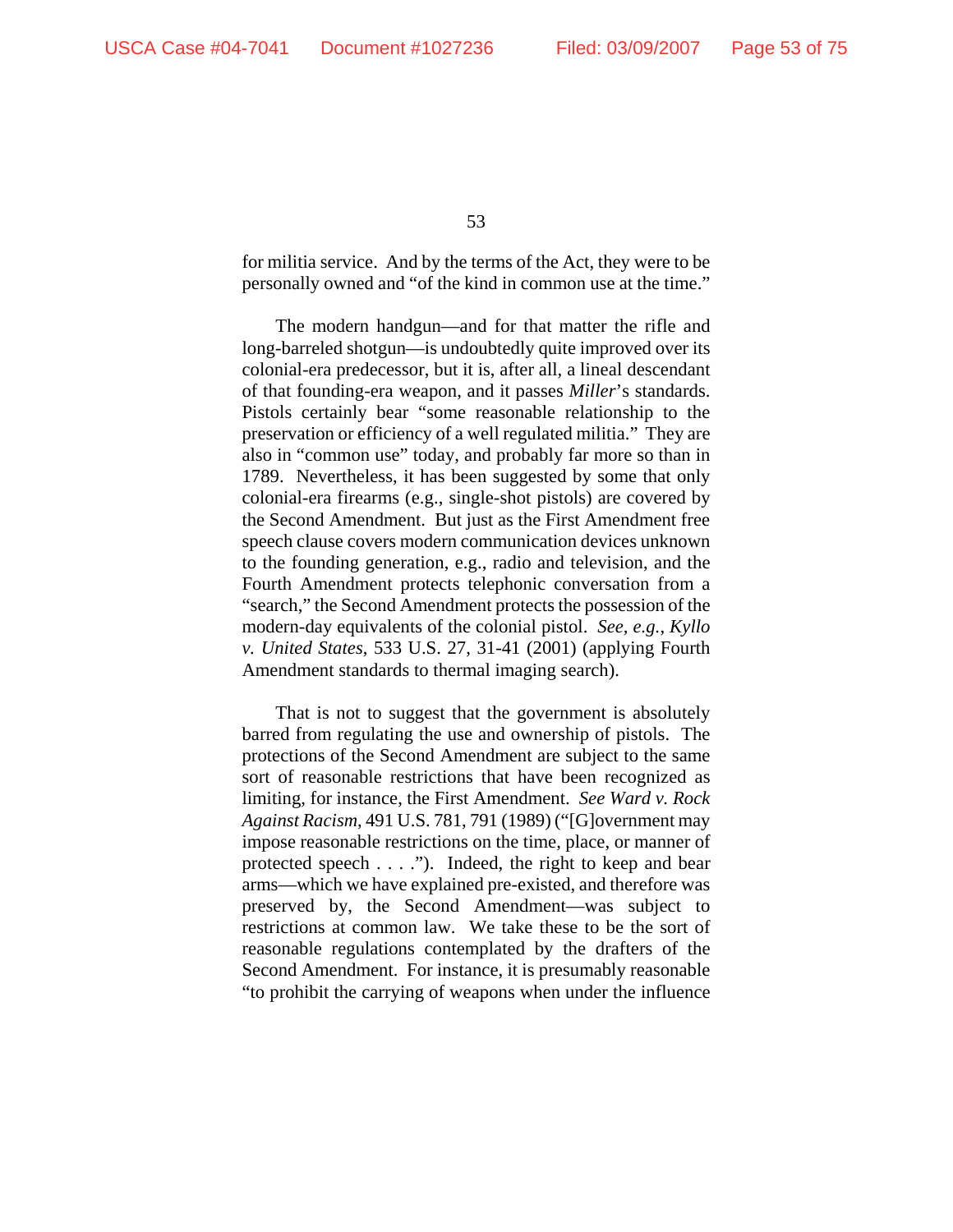for militia service. And by the terms of the Act, they were to be personally owned and "of the kind in common use at the time."

The modern handgun—and for that matter the rifle and long-barreled shotgun—is undoubtedly quite improved over its colonial-era predecessor, but it is, after all, a lineal descendant of that founding-era weapon, and it passes *Miller*'s standards. Pistols certainly bear "some reasonable relationship to the preservation or efficiency of a well regulated militia." They are also in "common use" today, and probably far more so than in 1789. Nevertheless, it has been suggested by some that only colonial-era firearms (e.g., single-shot pistols) are covered by the Second Amendment. But just as the First Amendment free speech clause covers modern communication devices unknown to the founding generation, e.g., radio and television, and the Fourth Amendment protects telephonic conversation from a "search," the Second Amendment protects the possession of the modern-day equivalents of the colonial pistol. *See, e.g.*, *Kyllo v. United States*, 533 U.S. 27, 31-41 (2001) (applying Fourth Amendment standards to thermal imaging search).

That is not to suggest that the government is absolutely barred from regulating the use and ownership of pistols. The protections of the Second Amendment are subject to the same sort of reasonable restrictions that have been recognized as limiting, for instance, the First Amendment. *See Ward v. Rock Against Racism*, 491 U.S. 781, 791 (1989) ("[G]overnment may impose reasonable restrictions on the time, place, or manner of protected speech . . . ."). Indeed, the right to keep and bear arms—which we have explained pre-existed, and therefore was preserved by, the Second Amendment—was subject to restrictions at common law. We take these to be the sort of reasonable regulations contemplated by the drafters of the Second Amendment. For instance, it is presumably reasonable "to prohibit the carrying of weapons when under the influence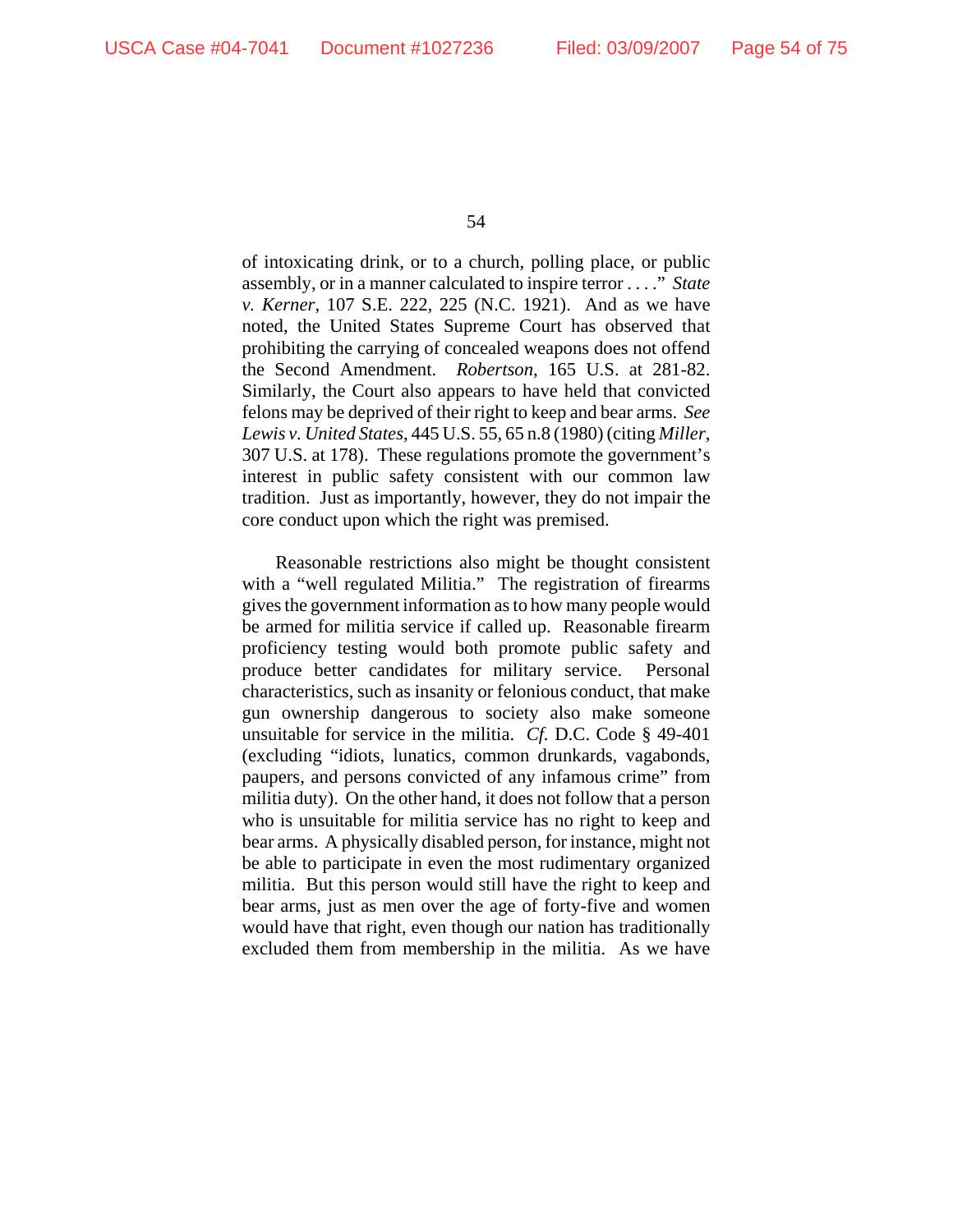of intoxicating drink, or to a church, polling place, or public assembly, or in a manner calculated to inspire terror . . . ." *State v. Kerner*, 107 S.E. 222, 225 (N.C. 1921). And as we have noted, the United States Supreme Court has observed that prohibiting the carrying of concealed weapons does not offend the Second Amendment. *Robertson*, 165 U.S. at 281-82. Similarly, the Court also appears to have held that convicted felons may be deprived of their right to keep and bear arms. *See Lewis v. United States*, 445 U.S. 55, 65 n.8 (1980) (citing *Miller*, 307 U.S. at 178). These regulations promote the government's interest in public safety consistent with our common law tradition. Just as importantly, however, they do not impair the core conduct upon which the right was premised.

Reasonable restrictions also might be thought consistent with a "well regulated Militia." The registration of firearms gives the government information as to how many people would be armed for militia service if called up. Reasonable firearm proficiency testing would both promote public safety and produce better candidates for military service. Personal characteristics, such as insanity or felonious conduct, that make gun ownership dangerous to society also make someone unsuitable for service in the militia. *Cf.* D.C. Code § 49-401 (excluding "idiots, lunatics, common drunkards, vagabonds, paupers, and persons convicted of any infamous crime" from militia duty). On the other hand, it does not follow that a person who is unsuitable for militia service has no right to keep and bear arms. A physically disabled person, for instance, might not be able to participate in even the most rudimentary organized militia. But this person would still have the right to keep and bear arms, just as men over the age of forty-five and women would have that right, even though our nation has traditionally excluded them from membership in the militia. As we have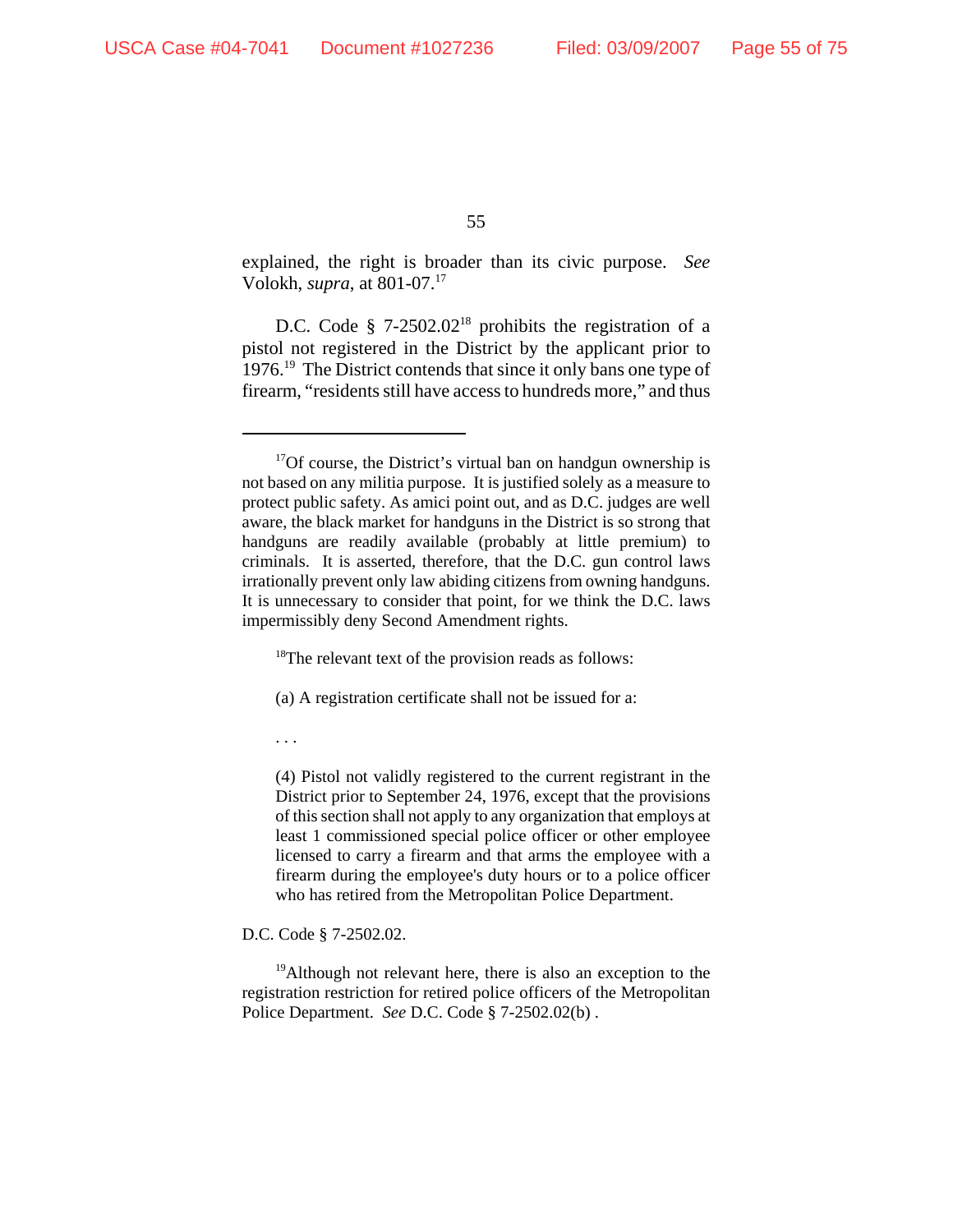explained, the right is broader than its civic purpose. *See* Volokh, *supra*, at 801-07.17

D.C. Code § 7-2502.02<sup>18</sup> prohibits the registration of a pistol not registered in the District by the applicant prior to 1976.19 The District contends that since it only bans one type of firearm, "residents still have access to hundreds more," and thus

<sup>18</sup>The relevant text of the provision reads as follows:

(a) A registration certificate shall not be issued for a:

. . .

(4) Pistol not validly registered to the current registrant in the District prior to September 24, 1976, except that the provisions of this section shall not apply to any organization that employs at least 1 commissioned special police officer or other employee licensed to carry a firearm and that arms the employee with a firearm during the employee's duty hours or to a police officer who has retired from the Metropolitan Police Department.

#### D.C. Code § 7-2502.02.

<sup>19</sup>Although not relevant here, there is also an exception to the registration restriction for retired police officers of the Metropolitan Police Department. *See* D.C. Code § 7-2502.02(b) .

 $17$ Of course, the District's virtual ban on handgun ownership is not based on any militia purpose. It is justified solely as a measure to protect public safety. As amici point out, and as D.C. judges are well aware, the black market for handguns in the District is so strong that handguns are readily available (probably at little premium) to criminals. It is asserted, therefore, that the D.C. gun control laws irrationally prevent only law abiding citizens from owning handguns. It is unnecessary to consider that point, for we think the D.C. laws impermissibly deny Second Amendment rights.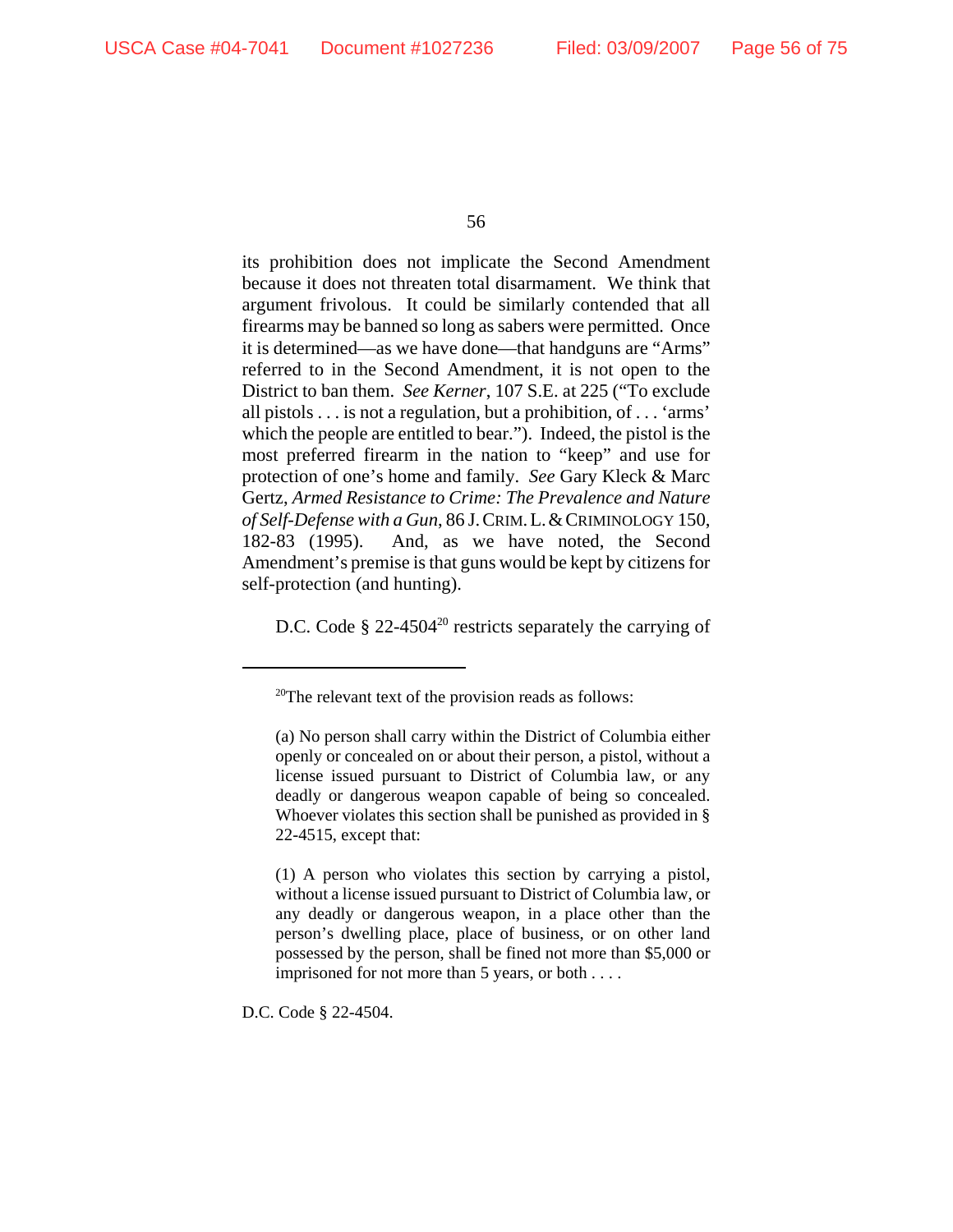its prohibition does not implicate the Second Amendment because it does not threaten total disarmament. We think that argument frivolous. It could be similarly contended that all firearms may be banned so long as sabers were permitted. Once it is determined—as we have done—that handguns are "Arms" referred to in the Second Amendment, it is not open to the District to ban them. *See Kerner*, 107 S.E. at 225 ("To exclude all pistols . . . is not a regulation, but a prohibition, of . . . 'arms' which the people are entitled to bear."). Indeed, the pistol is the most preferred firearm in the nation to "keep" and use for protection of one's home and family. *See* Gary Kleck & Marc Gertz, *Armed Resistance to Crime: The Prevalence and Nature of Self-Defense with a Gun*, 86 J.CRIM.L.&CRIMINOLOGY 150, 182-83 (1995). And, as we have noted, the Second Amendment's premise is that guns would be kept by citizens for self-protection (and hunting).

D.C. Code  $\S 22-4504^{20}$  restricts separately the carrying of

D.C. Code § 22-4504.

 $20$ The relevant text of the provision reads as follows:

<sup>(</sup>a) No person shall carry within the District of Columbia either openly or concealed on or about their person, a pistol, without a license issued pursuant to District of Columbia law, or any deadly or dangerous weapon capable of being so concealed. Whoever violates this section shall be punished as provided in § 22-4515, except that:

<sup>(1)</sup> A person who violates this section by carrying a pistol, without a license issued pursuant to District of Columbia law, or any deadly or dangerous weapon, in a place other than the person's dwelling place, place of business, or on other land possessed by the person, shall be fined not more than \$5,000 or imprisoned for not more than 5 years, or both . . . .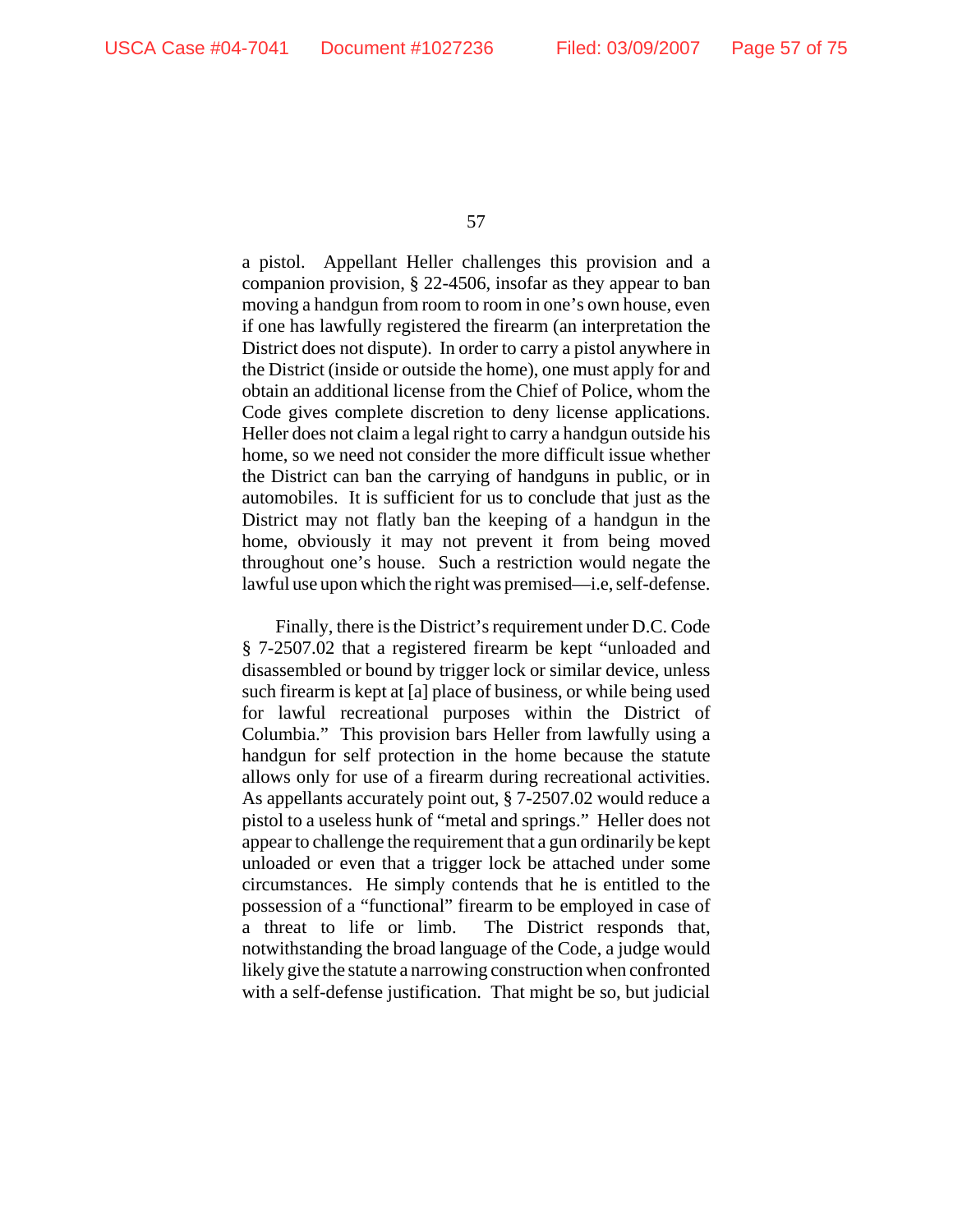a pistol. Appellant Heller challenges this provision and a companion provision, § 22-4506, insofar as they appear to ban moving a handgun from room to room in one's own house, even if one has lawfully registered the firearm (an interpretation the District does not dispute). In order to carry a pistol anywhere in the District (inside or outside the home), one must apply for and obtain an additional license from the Chief of Police, whom the Code gives complete discretion to deny license applications. Heller does not claim a legal right to carry a handgun outside his home, so we need not consider the more difficult issue whether the District can ban the carrying of handguns in public, or in automobiles. It is sufficient for us to conclude that just as the District may not flatly ban the keeping of a handgun in the home, obviously it may not prevent it from being moved throughout one's house. Such a restriction would negate the lawful use upon which the right was premised—i.e, self-defense.

Finally, there is the District's requirement under D.C. Code § 7-2507.02 that a registered firearm be kept "unloaded and disassembled or bound by trigger lock or similar device, unless such firearm is kept at [a] place of business, or while being used for lawful recreational purposes within the District of Columbia." This provision bars Heller from lawfully using a handgun for self protection in the home because the statute allows only for use of a firearm during recreational activities. As appellants accurately point out, § 7-2507.02 would reduce a pistol to a useless hunk of "metal and springs." Heller does not appear to challenge the requirement that a gun ordinarily be kept unloaded or even that a trigger lock be attached under some circumstances. He simply contends that he is entitled to the possession of a "functional" firearm to be employed in case of a threat to life or limb. The District responds that, notwithstanding the broad language of the Code, a judge would likely give the statute a narrowing construction when confronted with a self-defense justification. That might be so, but judicial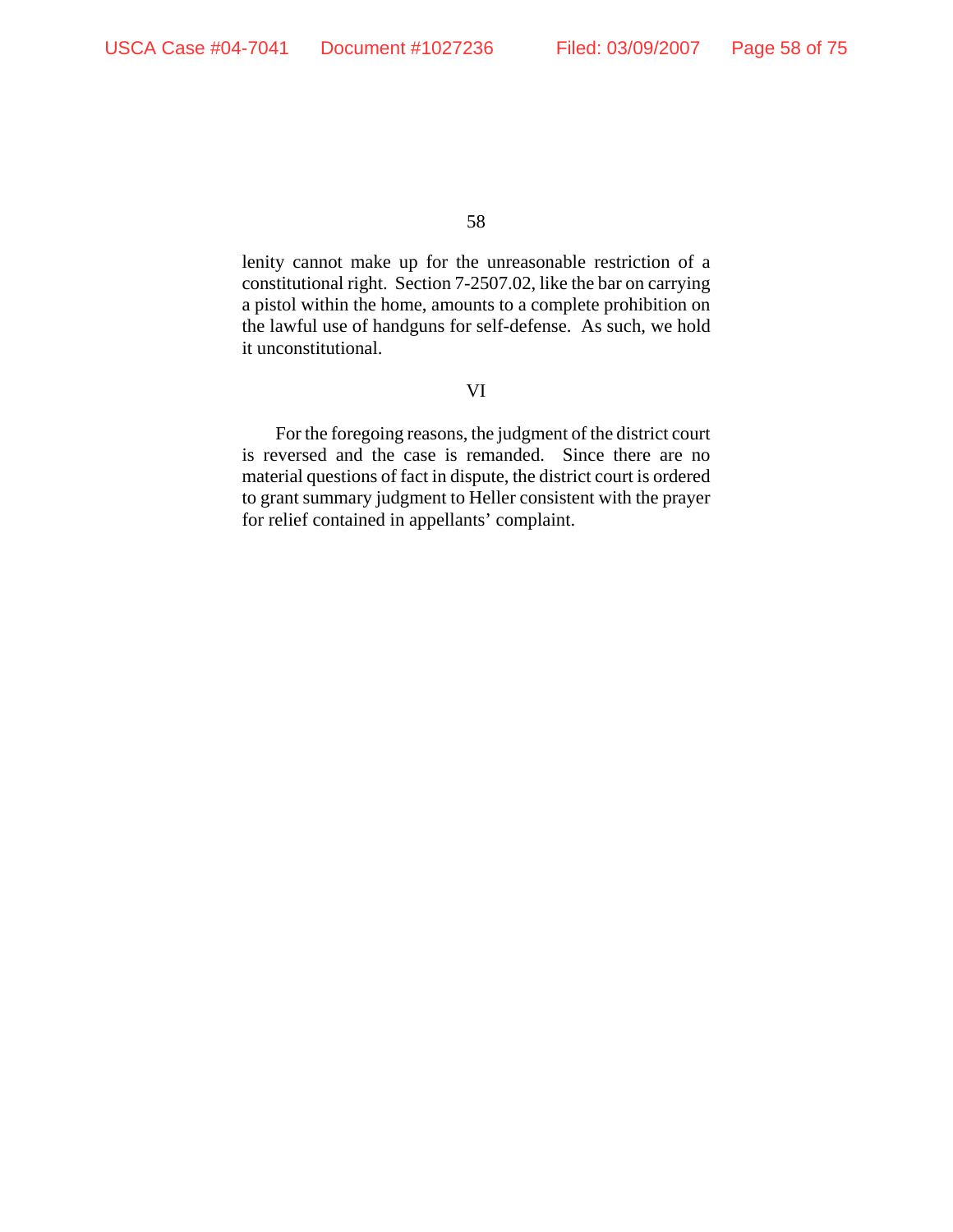lenity cannot make up for the unreasonable restriction of a constitutional right. Section 7-2507.02, like the bar on carrying a pistol within the home, amounts to a complete prohibition on the lawful use of handguns for self-defense. As such, we hold it unconstitutional.

# VI

For the foregoing reasons, the judgment of the district court is reversed and the case is remanded. Since there are no material questions of fact in dispute, the district court is ordered to grant summary judgment to Heller consistent with the prayer for relief contained in appellants' complaint.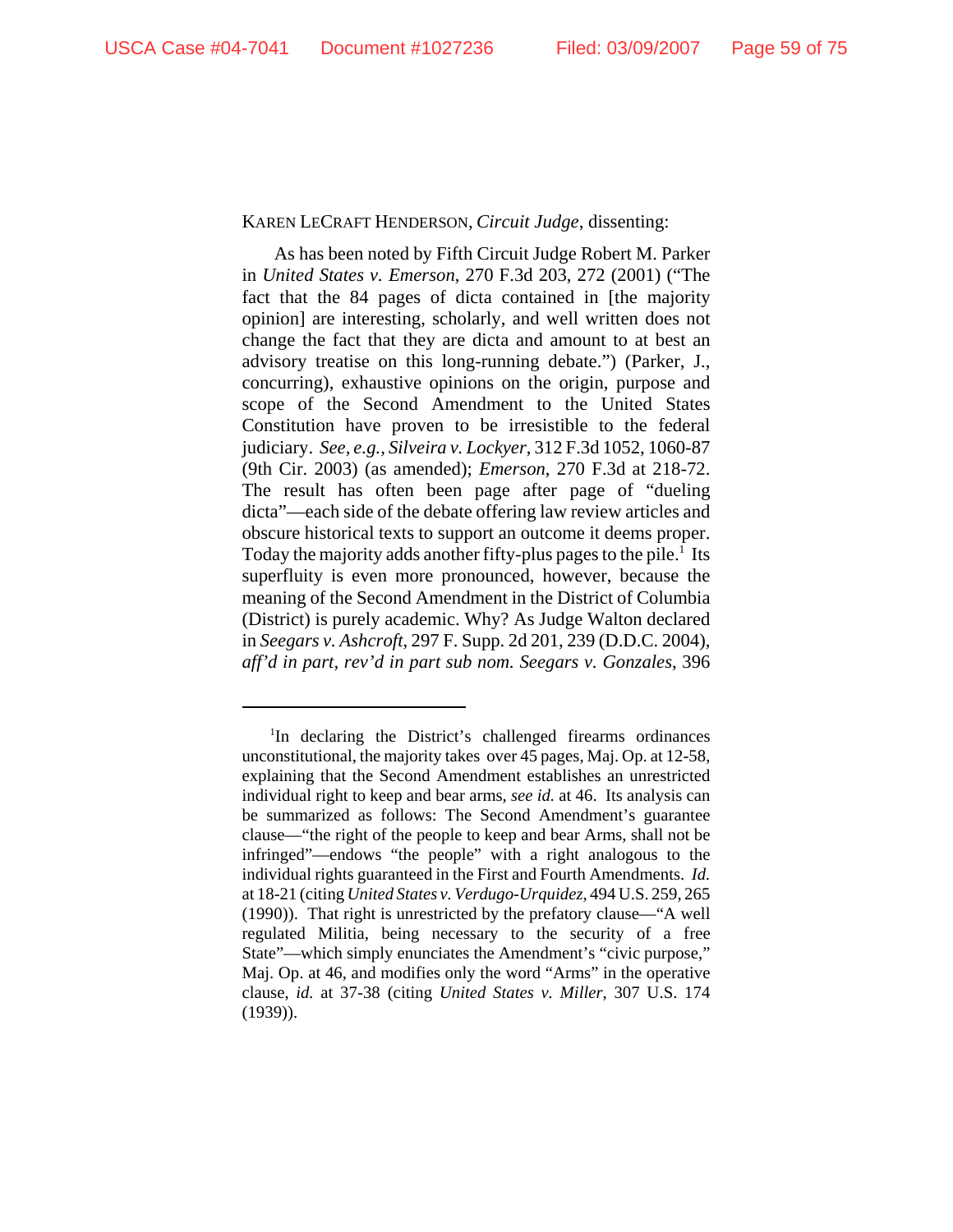KAREN LECRAFT HENDERSON, *Circuit Judge*, dissenting:

 As has been noted by Fifth Circuit Judge Robert M. Parker in *United States v. Emerson*, 270 F.3d 203, 272 (2001) ("The fact that the 84 pages of dicta contained in [the majority opinion] are interesting, scholarly, and well written does not change the fact that they are dicta and amount to at best an advisory treatise on this long-running debate.") (Parker, J., concurring), exhaustive opinions on the origin, purpose and scope of the Second Amendment to the United States Constitution have proven to be irresistible to the federal judiciary. *See, e.g., Silveira v. Lockyer*, 312 F.3d 1052, 1060-87 (9th Cir. 2003) (as amended); *Emerson*, 270 F.3d at 218-72. The result has often been page after page of "dueling dicta"—each side of the debate offering law review articles and obscure historical texts to support an outcome it deems proper. Today the majority adds another fifty-plus pages to the pile.<sup>1</sup> Its superfluity is even more pronounced, however, because the meaning of the Second Amendment in the District of Columbia (District) is purely academic. Why? As Judge Walton declared in *Seegars v. Ashcroft*, 297 F. Supp. 2d 201, 239 (D.D.C. 2004), *aff'd in part, rev'd in part sub nom. Seegars v. Gonzales*, 396

<sup>&</sup>lt;sup>1</sup>In declaring the District's challenged firearms ordinances unconstitutional, the majority takes over 45 pages, Maj. Op. at 12-58, explaining that the Second Amendment establishes an unrestricted individual right to keep and bear arms, *see id.* at 46. Its analysis can be summarized as follows: The Second Amendment's guarantee clause—"the right of the people to keep and bear Arms, shall not be infringed"—endows "the people" with a right analogous to the individual rights guaranteed in the First and Fourth Amendments. *Id.* at 18-21 (citing *United States v. Verdugo-Urquidez*, 494 U.S. 259, 265 (1990)). That right is unrestricted by the prefatory clause—"A well regulated Militia, being necessary to the security of a free State"—which simply enunciates the Amendment's "civic purpose," Maj. Op. at 46, and modifies only the word "Arms" in the operative clause, *id.* at 37-38 (citing *United States v. Miller*, 307 U.S. 174 (1939)).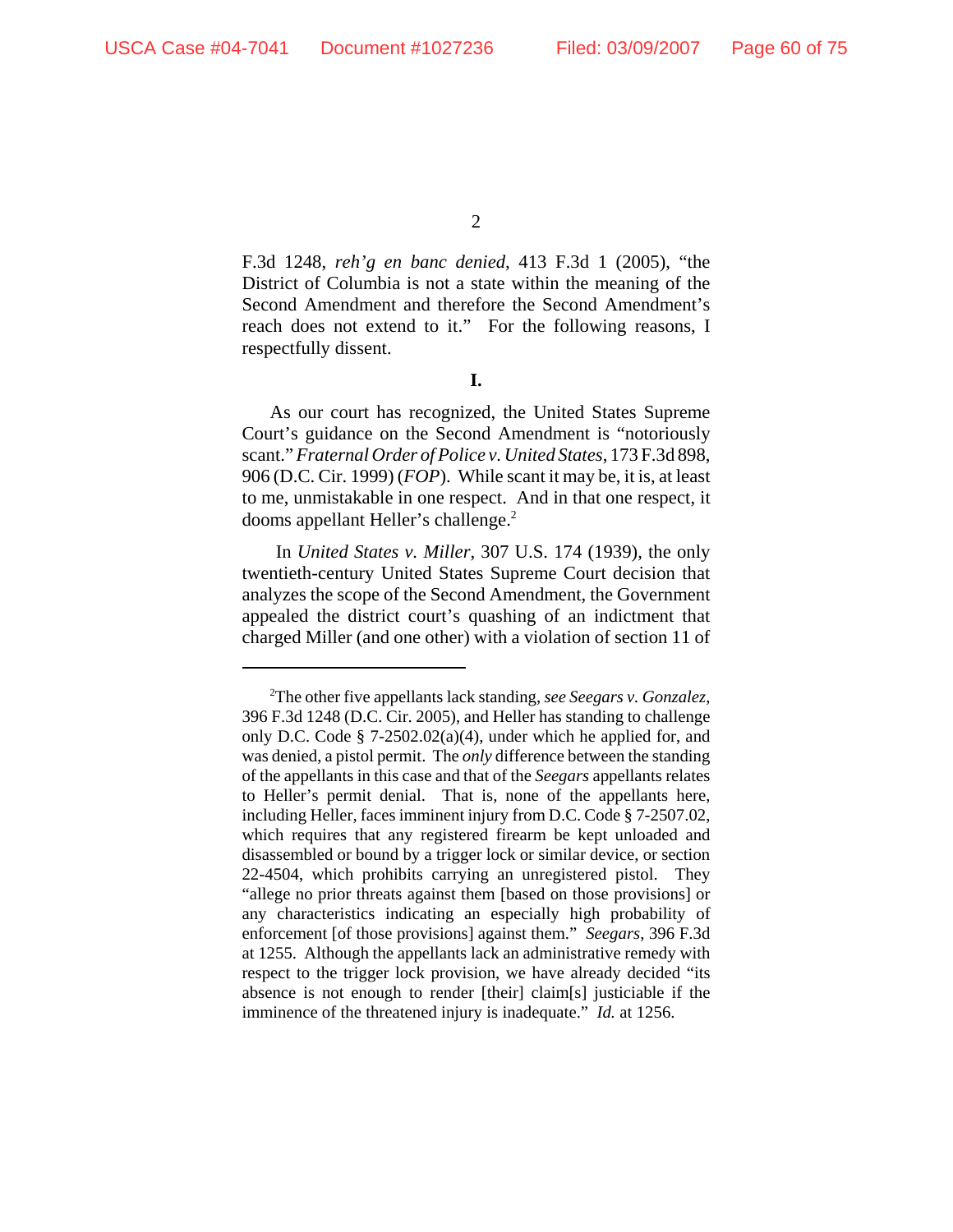F.3d 1248, *reh'g en banc denied,* 413 F.3d 1 (2005), "the District of Columbia is not a state within the meaning of the Second Amendment and therefore the Second Amendment's reach does not extend to it." For the following reasons, I respectfully dissent.

**I.**

As our court has recognized, the United States Supreme Court's guidance on the Second Amendment is "notoriously scant." *Fraternal Order of Police v. United States*, 173 F.3d 898, 906 (D.C. Cir. 1999) (*FOP*). While scant it may be, it is, at least to me, unmistakable in one respect. And in that one respect, it dooms appellant Heller's challenge.<sup>2</sup>

 In *United States v. Miller*, 307 U.S. 174 (1939), the only twentieth-century United States Supreme Court decision that analyzes the scope of the Second Amendment, the Government appealed the district court's quashing of an indictment that charged Miller (and one other) with a violation of section 11 of

<sup>2</sup> The other five appellants lack standing, *see Seegars v. Gonzalez*, 396 F.3d 1248 (D.C. Cir. 2005), and Heller has standing to challenge only D.C. Code § 7-2502.02(a)(4), under which he applied for, and was denied, a pistol permit. The *only* difference between the standing of the appellants in this case and that of the *Seegars* appellants relates to Heller's permit denial. That is, none of the appellants here, including Heller, faces imminent injury from D.C. Code § 7-2507.02, which requires that any registered firearm be kept unloaded and disassembled or bound by a trigger lock or similar device, or section 22-4504, which prohibits carrying an unregistered pistol. They "allege no prior threats against them [based on those provisions] or any characteristics indicating an especially high probability of enforcement [of those provisions] against them." *Seegars*, 396 F.3d at 1255. Although the appellants lack an administrative remedy with respect to the trigger lock provision, we have already decided "its absence is not enough to render [their] claim[s] justiciable if the imminence of the threatened injury is inadequate." *Id.* at 1256.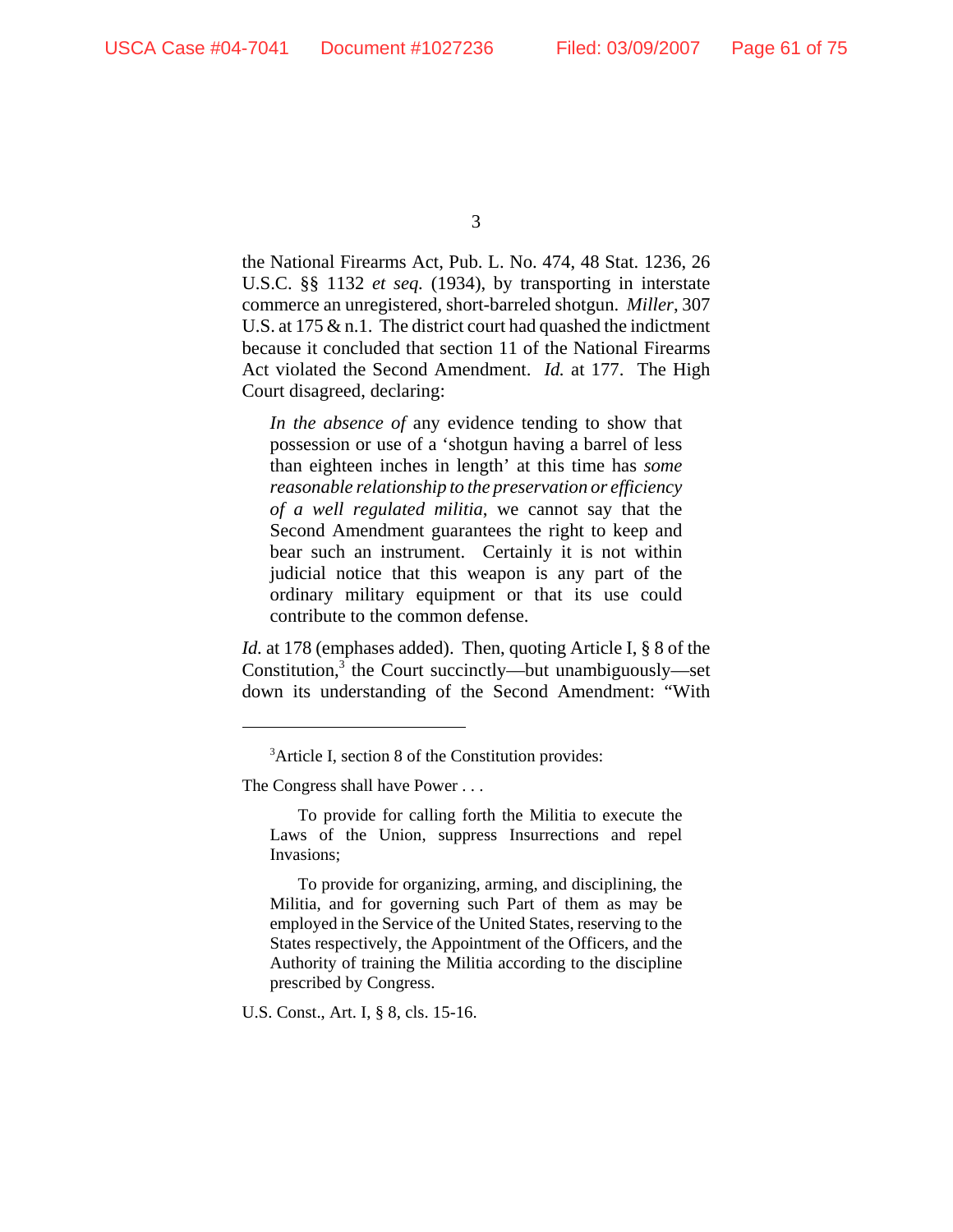the National Firearms Act, Pub. L. No. 474, 48 Stat. 1236, 26 U.S.C. §§ 1132 *et seq.* (1934), by transporting in interstate commerce an unregistered, short-barreled shotgun. *Miller*, 307 U.S. at 175 & n.1. The district court had quashed the indictment because it concluded that section 11 of the National Firearms Act violated the Second Amendment. *Id.* at 177. The High Court disagreed, declaring:

*In the absence of* any evidence tending to show that possession or use of a 'shotgun having a barrel of less than eighteen inches in length' at this time has *some reasonable relationship to the preservation or efficiency of a well regulated militia*, we cannot say that the Second Amendment guarantees the right to keep and bear such an instrument. Certainly it is not within judicial notice that this weapon is any part of the ordinary military equipment or that its use could contribute to the common defense.

*Id.* at 178 (emphases added). Then, quoting Article I, § 8 of the Constitution,<sup>3</sup> the Court succinctly—but unambiguously—set down its understanding of the Second Amendment: "With

To provide for organizing, arming, and disciplining, the Militia, and for governing such Part of them as may be employed in the Service of the United States, reserving to the States respectively, the Appointment of the Officers, and the Authority of training the Militia according to the discipline prescribed by Congress.

U.S. Const., Art. I, § 8, cls. 15-16.

<sup>&</sup>lt;sup>3</sup>Article I, section 8 of the Constitution provides:

The Congress shall have Power . . .

To provide for calling forth the Militia to execute the Laws of the Union, suppress Insurrections and repel Invasions;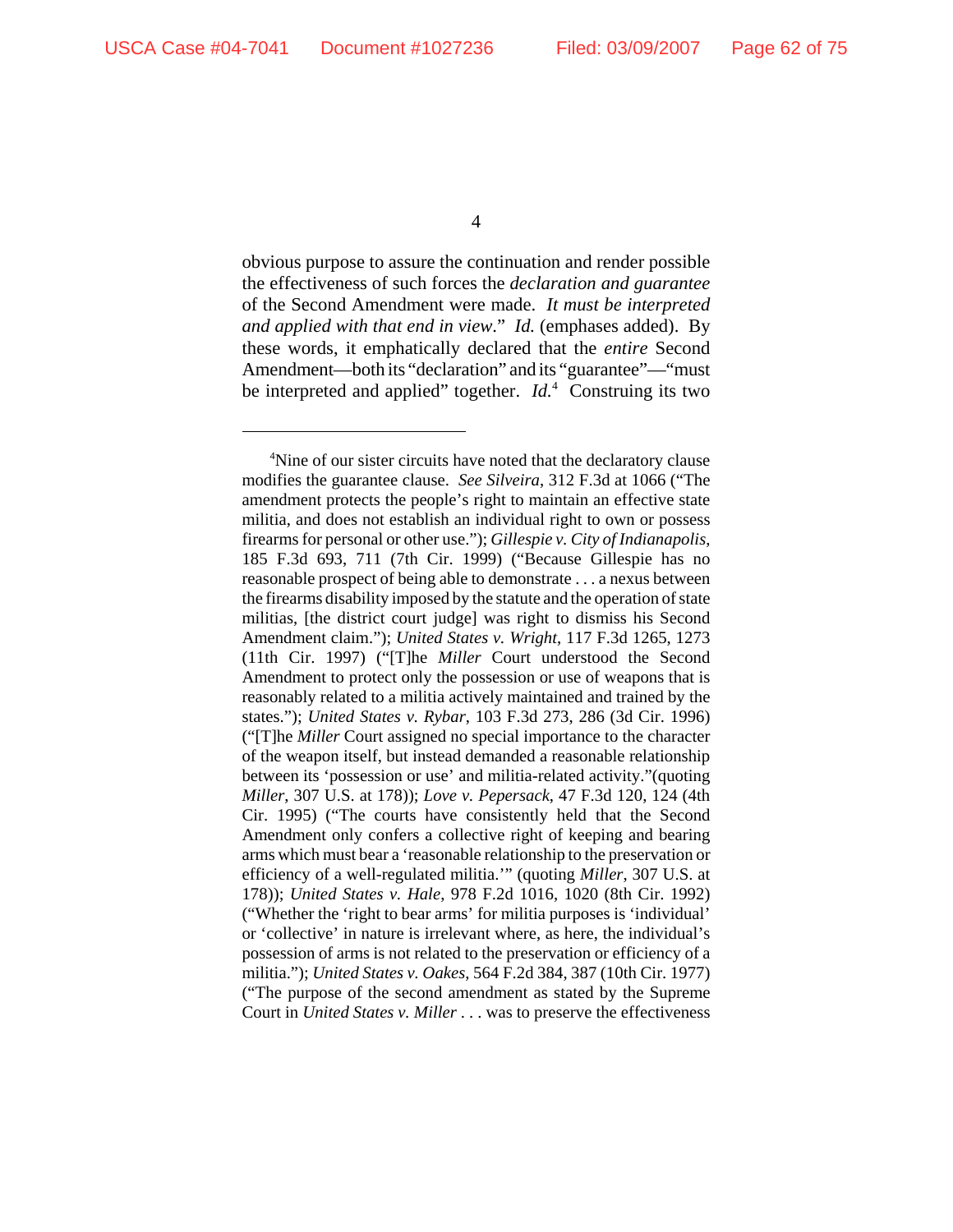obvious purpose to assure the continuation and render possible the effectiveness of such forces the *declaration and guarantee* of the Second Amendment were made. *It must be interpreted and applied with that end in view*." *Id.* (emphases added). By these words, it emphatically declared that the *entire* Second Amendment—both its "declaration" and its "guarantee"—"must be interpreted and applied" together. *Id.*<sup>4</sup> Construing its two

<sup>&</sup>lt;sup>4</sup>Nine of our sister circuits have noted that the declaratory clause modifies the guarantee clause. *See Silveira*, 312 F.3d at 1066 ("The amendment protects the people's right to maintain an effective state militia, and does not establish an individual right to own or possess firearms for personal or other use."); *Gillespie v. City of Indianapolis*, 185 F.3d 693, 711 (7th Cir. 1999) ("Because Gillespie has no reasonable prospect of being able to demonstrate . . . a nexus between the firearms disability imposed by the statute and the operation of state militias, [the district court judge] was right to dismiss his Second Amendment claim."); *United States v. Wright*, 117 F.3d 1265, 1273 (11th Cir. 1997) ("[T]he *Miller* Court understood the Second Amendment to protect only the possession or use of weapons that is reasonably related to a militia actively maintained and trained by the states."); *United States v. Rybar*, 103 F.3d 273, 286 (3d Cir. 1996) ("[T]he *Miller* Court assigned no special importance to the character of the weapon itself, but instead demanded a reasonable relationship between its 'possession or use' and militia-related activity."(quoting *Miller*, 307 U.S. at 178)); *Love v. Pepersack*, 47 F.3d 120, 124 (4th Cir. 1995) ("The courts have consistently held that the Second Amendment only confers a collective right of keeping and bearing arms which must bear a 'reasonable relationship to the preservation or efficiency of a well-regulated militia.'" (quoting *Miller*, 307 U.S. at 178)); *United States v. Hale*, 978 F.2d 1016, 1020 (8th Cir. 1992) ("Whether the 'right to bear arms' for militia purposes is 'individual' or 'collective' in nature is irrelevant where, as here, the individual's possession of arms is not related to the preservation or efficiency of a militia."); *United States v. Oakes*, 564 F.2d 384, 387 (10th Cir. 1977) ("The purpose of the second amendment as stated by the Supreme Court in *United States v. Miller* . . . was to preserve the effectiveness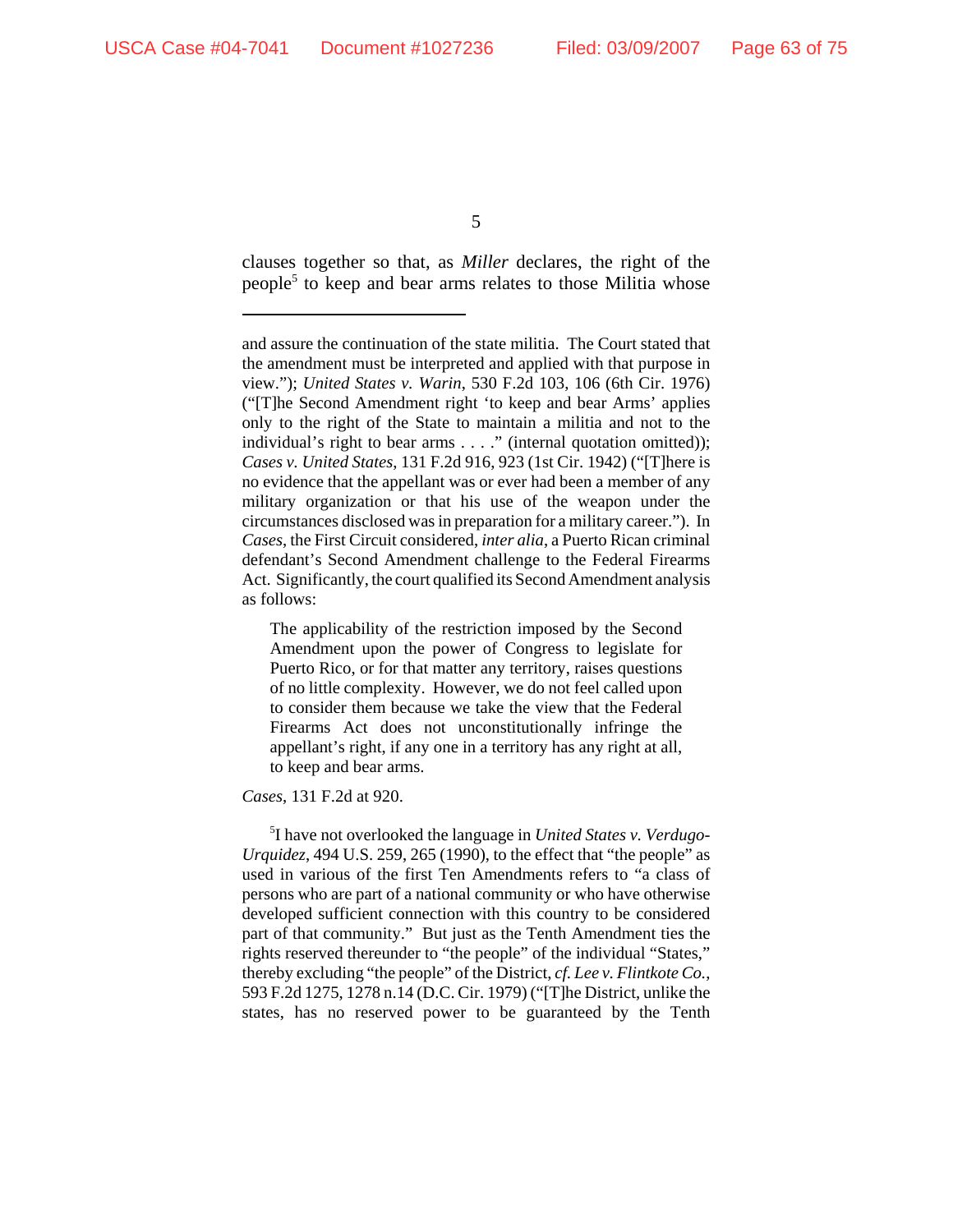clauses together so that, as *Miller* declares, the right of the people<sup>5</sup> to keep and bear arms relates to those Militia whose

The applicability of the restriction imposed by the Second Amendment upon the power of Congress to legislate for Puerto Rico, or for that matter any territory, raises questions of no little complexity. However, we do not feel called upon to consider them because we take the view that the Federal Firearms Act does not unconstitutionally infringe the appellant's right, if any one in a territory has any right at all, to keep and bear arms.

*Cases*, 131 F.2d at 920.

5 I have not overlooked the language in *United States v. Verdugo-Urquidez*, 494 U.S. 259, 265 (1990), to the effect that "the people" as used in various of the first Ten Amendments refers to "a class of persons who are part of a national community or who have otherwise developed sufficient connection with this country to be considered part of that community." But just as the Tenth Amendment ties the rights reserved thereunder to "the people" of the individual "States," thereby excluding "the people" of the District, *cf. Lee v. Flintkote Co.*, 593 F.2d 1275, 1278 n.14 (D.C. Cir. 1979) ("[T]he District, unlike the states, has no reserved power to be guaranteed by the Tenth

and assure the continuation of the state militia. The Court stated that the amendment must be interpreted and applied with that purpose in view."); *United States v. Warin*, 530 F.2d 103, 106 (6th Cir. 1976) ("[T]he Second Amendment right 'to keep and bear Arms' applies only to the right of the State to maintain a militia and not to the individual's right to bear arms . . . ." (internal quotation omitted)); *Cases v. United States*, 131 F.2d 916, 923 (1st Cir. 1942) ("[T]here is no evidence that the appellant was or ever had been a member of any military organization or that his use of the weapon under the circumstances disclosed was in preparation for a military career."). In *Cases*, the First Circuit considered, *inter alia*, a Puerto Rican criminal defendant's Second Amendment challenge to the Federal Firearms Act. Significantly, the court qualified its Second Amendment analysis as follows: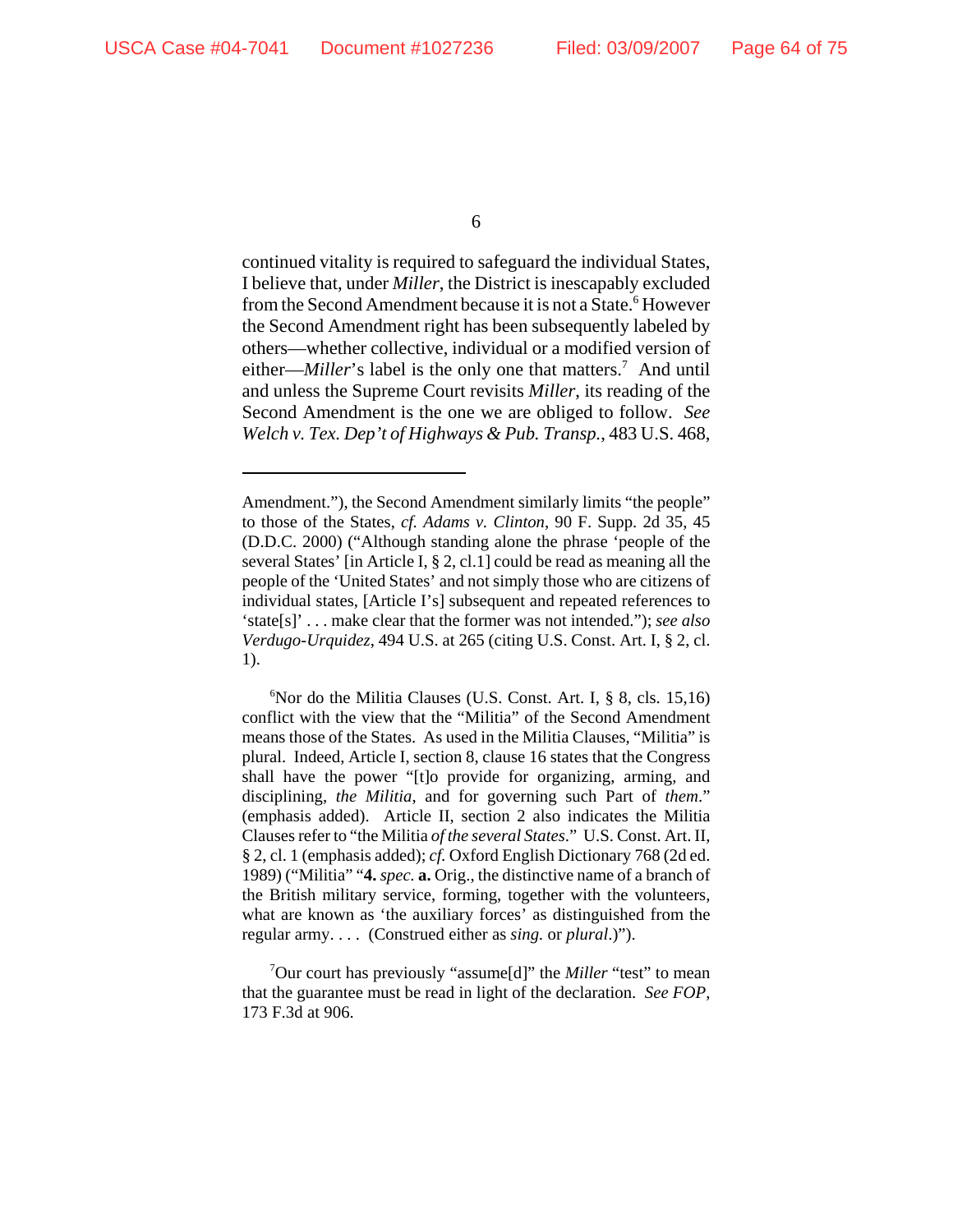continued vitality is required to safeguard the individual States, I believe that, under *Miller*, the District is inescapably excluded from the Second Amendment because it is not a State.<sup>6</sup> However the Second Amendment right has been subsequently labeled by others—whether collective, individual or a modified version of either—*Miller*'s label is the only one that matters.<sup>7</sup> And until and unless the Supreme Court revisits *Miller*, its reading of the Second Amendment is the one we are obliged to follow. *See Welch v. Tex. Dep't of Highways & Pub. Transp.*, 483 U.S. 468,

Amendment."), the Second Amendment similarly limits "the people" to those of the States, *cf. Adams v. Clinton*, 90 F. Supp. 2d 35, 45 (D.D.C. 2000) ("Although standing alone the phrase 'people of the several States' [in Article I, § 2, cl.1] could be read as meaning all the people of the 'United States' and not simply those who are citizens of individual states, [Article I's] subsequent and repeated references to 'state[s]' . . . make clear that the former was not intended."); *see also Verdugo-Urquidez*, 494 U.S. at 265 (citing U.S. Const. Art. I, § 2, cl. 1).

<sup>6</sup> Nor do the Militia Clauses (U.S. Const. Art. I, § 8, cls. 15,16) conflict with the view that the "Militia" of the Second Amendment means those of the States. As used in the Militia Clauses, "Militia" is plural. Indeed, Article I, section 8, clause 16 states that the Congress shall have the power "[t]o provide for organizing, arming, and disciplining, *the Militia*, and for governing such Part of *them*." (emphasis added). Article II, section 2 also indicates the Militia Clauses refer to "the Militia *of the several States*." U.S. Const. Art. II, § 2, cl. 1 (emphasis added); *cf.* Oxford English Dictionary 768 (2d ed. 1989) ("Militia" "**4.** *spec.* **a.** Orig., the distinctive name of a branch of the British military service, forming, together with the volunteers, what are known as 'the auxiliary forces' as distinguished from the regular army. . . . (Construed either as *sing.* or *plural*.)").

<sup>&</sup>lt;sup>7</sup>Our court has previously "assume[d]" the *Miller* "test" to mean that the guarantee must be read in light of the declaration. *See FOP*, 173 F.3d at 906.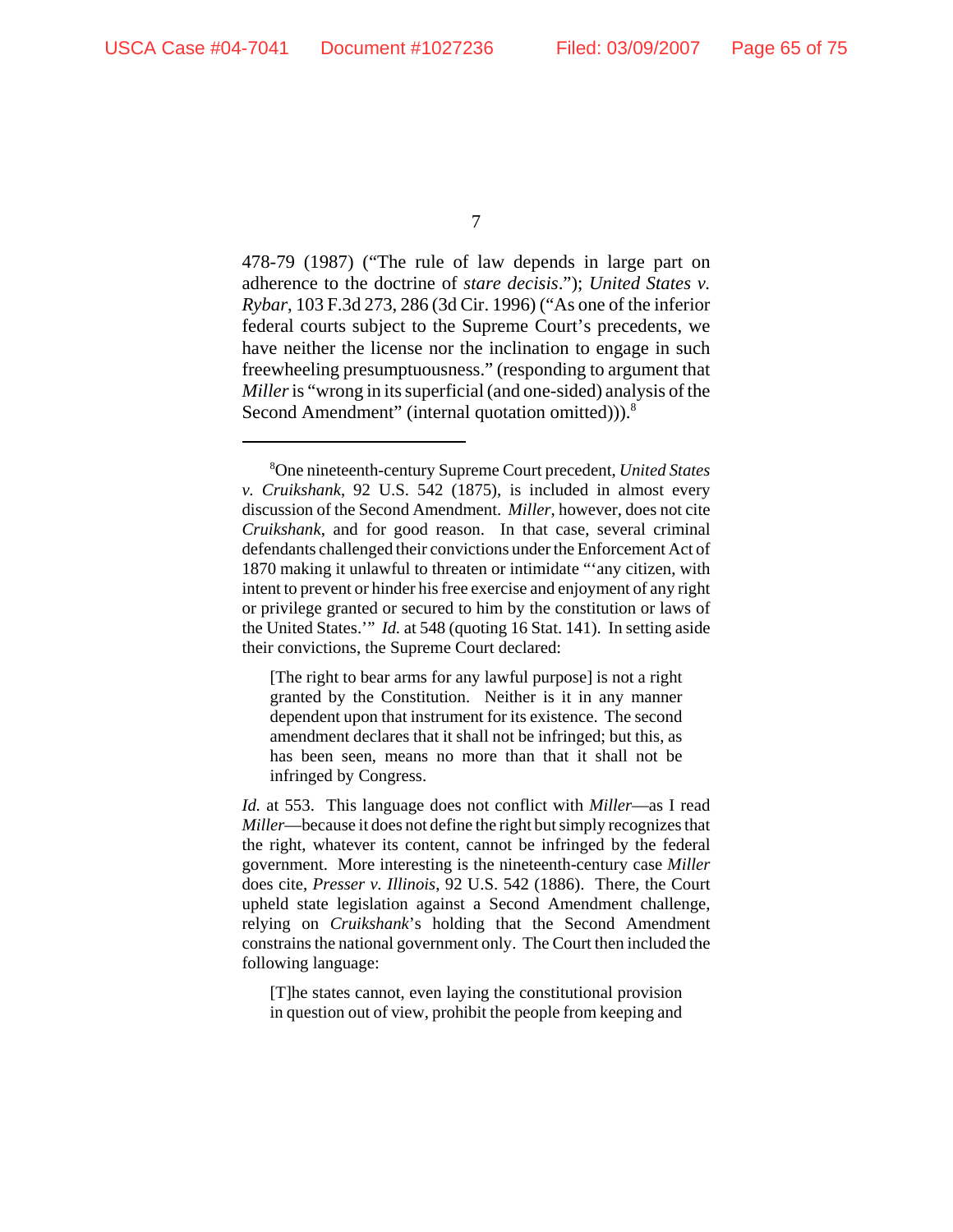478-79 (1987) ("The rule of law depends in large part on adherence to the doctrine of *stare decisis*."); *United States v. Rybar*, 103 F.3d 273, 286 (3d Cir. 1996) ("As one of the inferior federal courts subject to the Supreme Court's precedents, we have neither the license nor the inclination to engage in such freewheeling presumptuousness." (responding to argument that *Miller* is "wrong in its superficial (and one-sided) analysis of the Second Amendment" (internal quotation omitted))). $8$ 

[The right to bear arms for any lawful purpose] is not a right granted by the Constitution. Neither is it in any manner dependent upon that instrument for its existence. The second amendment declares that it shall not be infringed; but this, as has been seen, means no more than that it shall not be infringed by Congress.

[T]he states cannot, even laying the constitutional provision in question out of view, prohibit the people from keeping and

<sup>8</sup> One nineteenth-century Supreme Court precedent, *United States v. Cruikshank*, 92 U.S. 542 (1875), is included in almost every discussion of the Second Amendment. *Miller*, however, does not cite *Cruikshank*, and for good reason. In that case, several criminal defendants challenged their convictions under the Enforcement Act of 1870 making it unlawful to threaten or intimidate "'any citizen, with intent to prevent or hinder his free exercise and enjoyment of any right or privilege granted or secured to him by the constitution or laws of the United States.'" *Id.* at 548 (quoting 16 Stat. 141). In setting aside their convictions, the Supreme Court declared:

*Id.* at 553. This language does not conflict with *Miller*—as I read *Miller*—because it does not define the right but simply recognizes that the right, whatever its content, cannot be infringed by the federal government. More interesting is the nineteenth-century case *Miller* does cite, *Presser v. Illinois*, 92 U.S. 542 (1886). There, the Court upheld state legislation against a Second Amendment challenge, relying on *Cruikshank*'s holding that the Second Amendment constrains the national government only. The Court then included the following language: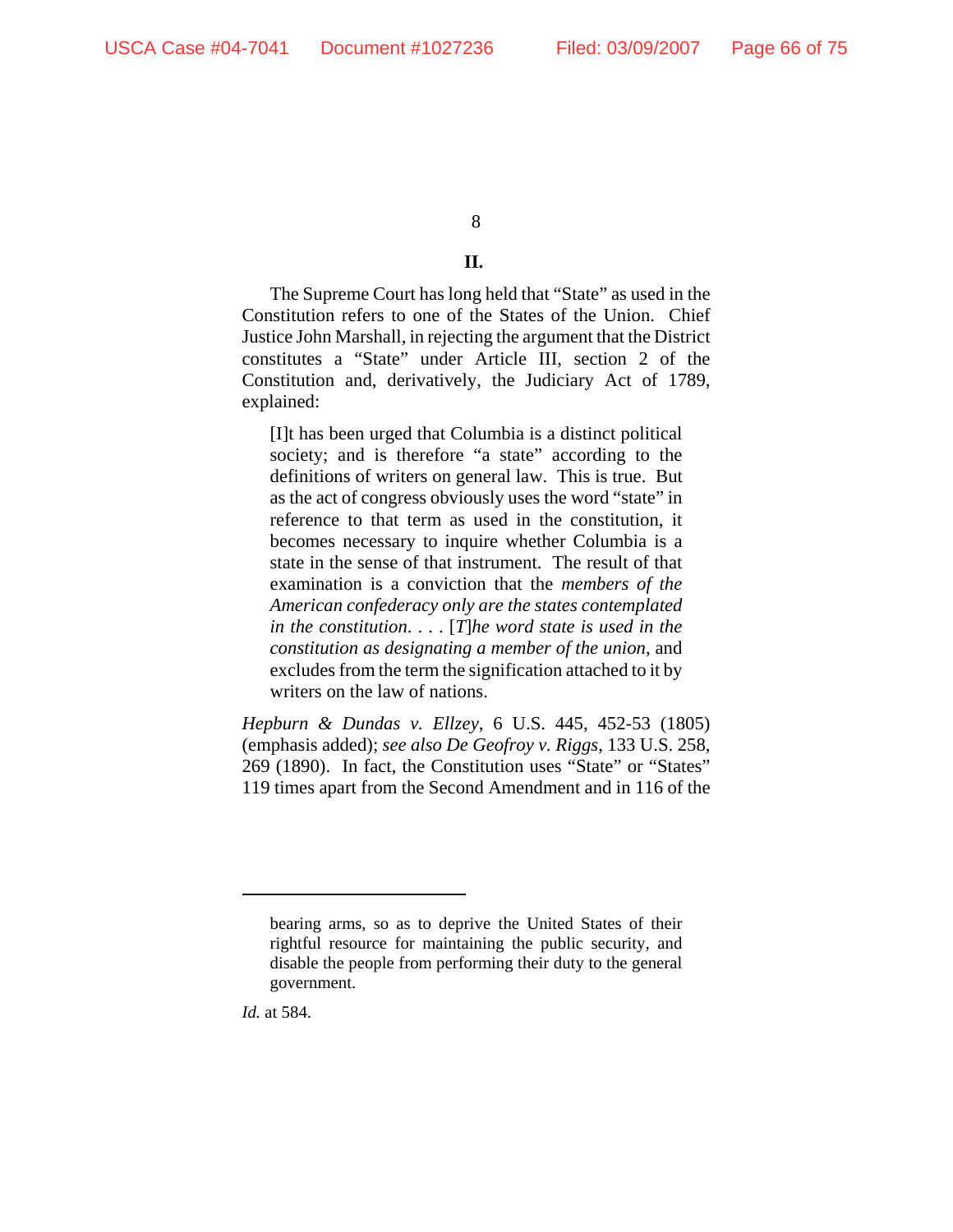## **II.**

The Supreme Court has long held that "State" as used in the Constitution refers to one of the States of the Union. Chief Justice John Marshall, in rejecting the argument that the District constitutes a "State" under Article III, section 2 of the Constitution and, derivatively, the Judiciary Act of 1789, explained:

[I]t has been urged that Columbia is a distinct political society; and is therefore "a state" according to the definitions of writers on general law. This is true. But as the act of congress obviously uses the word "state" in reference to that term as used in the constitution, it becomes necessary to inquire whether Columbia is a state in the sense of that instrument. The result of that examination is a conviction that the *members of the American confederacy only are the states contemplated in the constitution*. . . . [*T*]*he word state is used in the constitution as designating a member of the union*, and excludes from the term the signification attached to it by writers on the law of nations.

*Hepburn & Dundas v. Ellzey*, 6 U.S. 445, 452-53 (1805) (emphasis added); *see also De Geofroy v. Riggs*, 133 U.S. 258, 269 (1890). In fact, the Constitution uses "State" or "States" 119 times apart from the Second Amendment and in 116 of the

*Id.* at 584.

bearing arms, so as to deprive the United States of their rightful resource for maintaining the public security, and disable the people from performing their duty to the general government.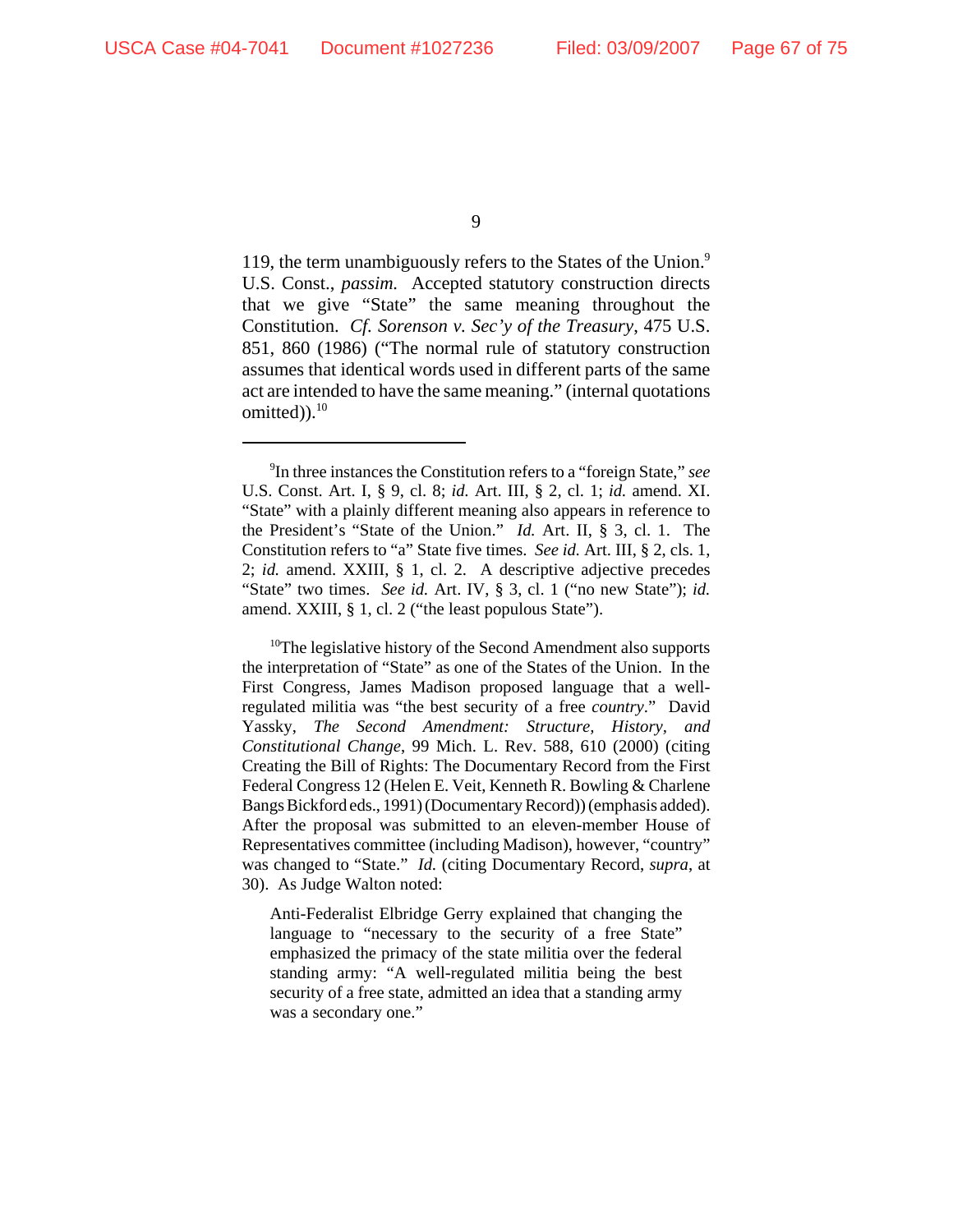119, the term unambiguously refers to the States of the Union.<sup>9</sup> U.S. Const., *passim.* Accepted statutory construction directs that we give "State" the same meaning throughout the Constitution. *Cf. Sorenson v. Sec'y of the Treasury*, 475 U.S. 851, 860 (1986) ("The normal rule of statutory construction assumes that identical words used in different parts of the same act are intended to have the same meaning." (internal quotations omitted) $^{10}$ 

<sup>9</sup> In three instances the Constitution refers to a "foreign State," *see* U.S. Const. Art. I, § 9, cl. 8; *id.* Art. III, § 2, cl. 1; *id.* amend. XI. "State" with a plainly different meaning also appears in reference to the President's "State of the Union." *Id.* Art. II, § 3, cl. 1. The Constitution refers to "a" State five times. *See id.* Art. III, § 2, cls. 1, 2; *id.* amend. XXIII, § 1, cl. 2. A descriptive adjective precedes "State" two times. *See id.* Art. IV, § 3, cl. 1 ("no new State"); *id.* amend. XXIII, § 1, cl. 2 ("the least populous State").

 $10$ The legislative history of the Second Amendment also supports the interpretation of "State" as one of the States of the Union. In the First Congress, James Madison proposed language that a wellregulated militia was "the best security of a free *country*." David Yassky, *The Second Amendment: Structure, History, and Constitutional Change*, 99 Mich. L. Rev. 588, 610 (2000) (citing Creating the Bill of Rights: The Documentary Record from the First Federal Congress 12 (Helen E. Veit, Kenneth R. Bowling & Charlene Bangs Bickford eds., 1991) (Documentary Record)) (emphasis added). After the proposal was submitted to an eleven-member House of Representatives committee (including Madison), however, "country" was changed to "State." *Id.* (citing Documentary Record, *supra*, at 30). As Judge Walton noted:

Anti-Federalist Elbridge Gerry explained that changing the language to "necessary to the security of a free State" emphasized the primacy of the state militia over the federal standing army: "A well-regulated militia being the best security of a free state, admitted an idea that a standing army was a secondary one."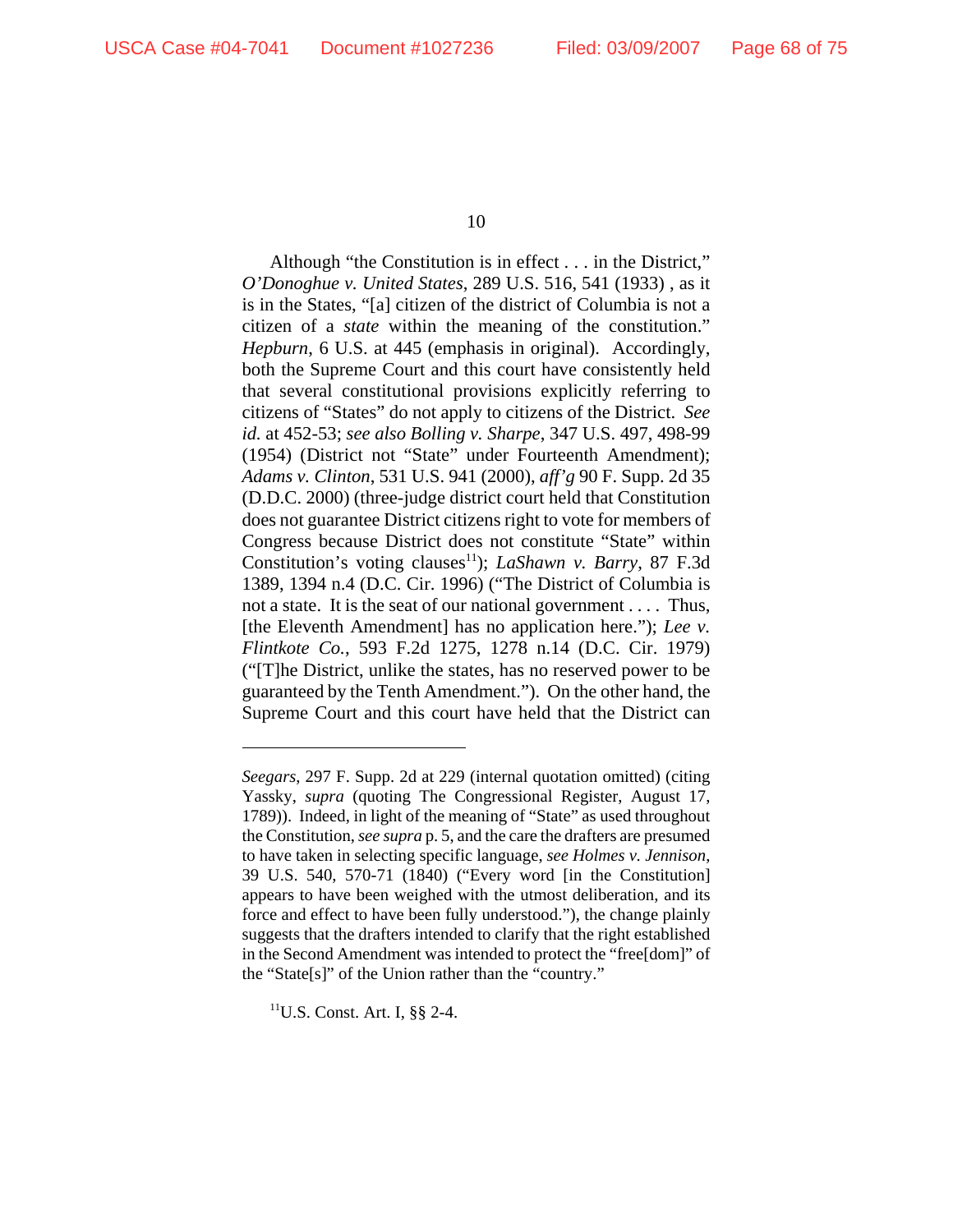Although "the Constitution is in effect . . . in the District," *O'Donoghue v. United States*, 289 U.S. 516, 541 (1933) , as it is in the States, "[a] citizen of the district of Columbia is not a citizen of a *state* within the meaning of the constitution." *Hepburn*, 6 U.S. at 445 (emphasis in original). Accordingly, both the Supreme Court and this court have consistently held that several constitutional provisions explicitly referring to citizens of "States" do not apply to citizens of the District. *See id.* at 452-53; *see also Bolling v. Sharpe*, 347 U.S. 497, 498-99 (1954) (District not "State" under Fourteenth Amendment); *Adams v. Clinton*, 531 U.S. 941 (2000), *aff'g* 90 F. Supp. 2d 35 (D.D.C. 2000) (three-judge district court held that Constitution does not guarantee District citizens right to vote for members of Congress because District does not constitute "State" within Constitution's voting clauses<sup>11</sup>); *LaShawn v. Barry*, 87 F.3d 1389, 1394 n.4 (D.C. Cir. 1996) ("The District of Columbia is not a state. It is the seat of our national government . . . . Thus, [the Eleventh Amendment] has no application here."); *Lee v. Flintkote Co.*, 593 F.2d 1275, 1278 n.14 (D.C. Cir. 1979) ("[T]he District, unlike the states, has no reserved power to be guaranteed by the Tenth Amendment."). On the other hand, the Supreme Court and this court have held that the District can

*Seegars*, 297 F. Supp. 2d at 229 (internal quotation omitted) (citing Yassky, *supra* (quoting The Congressional Register, August 17, 1789)). Indeed, in light of the meaning of "State" as used throughout the Constitution, *see supra* p. 5, and the care the drafters are presumed to have taken in selecting specific language, *see Holmes v. Jennison*, 39 U.S. 540, 570-71 (1840) ("Every word [in the Constitution] appears to have been weighed with the utmost deliberation, and its force and effect to have been fully understood."), the change plainly suggests that the drafters intended to clarify that the right established in the Second Amendment was intended to protect the "free[dom]" of the "State[s]" of the Union rather than the "country."

<sup>11</sup>U.S. Const. Art. I, §§ 2-4.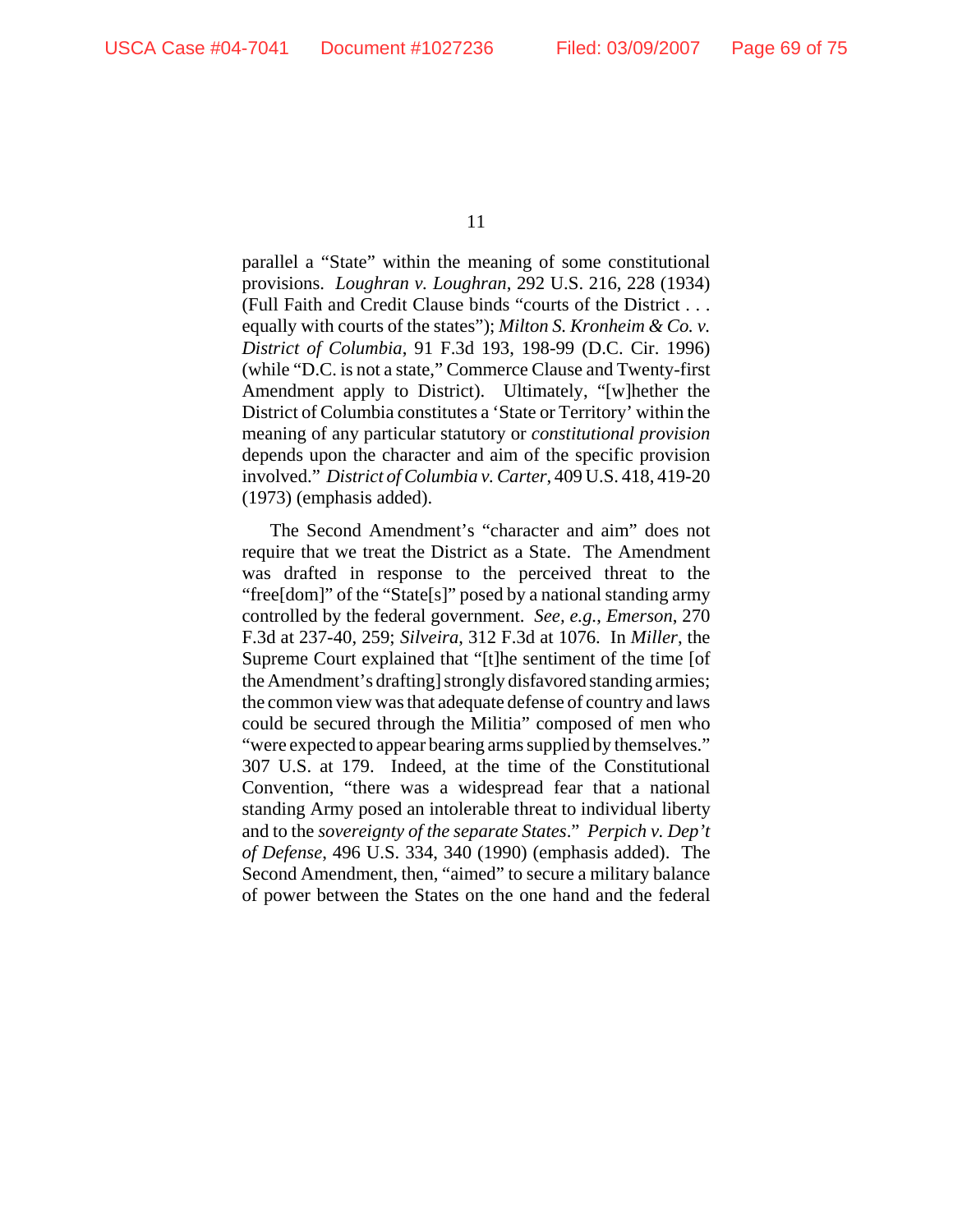parallel a "State" within the meaning of some constitutional provisions. *Loughran v. Loughran*, 292 U.S. 216, 228 (1934) (Full Faith and Credit Clause binds "courts of the District . . . equally with courts of the states"); *Milton S. Kronheim & Co. v. District of Columbia*, 91 F.3d 193, 198-99 (D.C. Cir. 1996) (while "D.C. is not a state," Commerce Clause and Twenty-first Amendment apply to District). Ultimately, "[w]hether the District of Columbia constitutes a 'State or Territory' within the meaning of any particular statutory or *constitutional provision* depends upon the character and aim of the specific provision involved." *District of Columbia v. Carter*, 409 U.S. 418, 419-20 (1973) (emphasis added).

The Second Amendment's "character and aim" does not require that we treat the District as a State. The Amendment was drafted in response to the perceived threat to the "free[dom]" of the "State[s]" posed by a national standing army controlled by the federal government. *See, e.g.*, *Emerson*, 270 F.3d at 237-40, 259; *Silveira*, 312 F.3d at 1076. In *Miller*, the Supreme Court explained that "[t]he sentiment of the time [of the Amendment's drafting] strongly disfavored standing armies; the common view was that adequate defense of country and laws could be secured through the Militia" composed of men who "were expected to appear bearing arms supplied by themselves." 307 U.S. at 179. Indeed, at the time of the Constitutional Convention, "there was a widespread fear that a national standing Army posed an intolerable threat to individual liberty and to the *sovereignty of the separate States*." *Perpich v. Dep't of Defense*, 496 U.S. 334, 340 (1990) (emphasis added). The Second Amendment, then, "aimed" to secure a military balance of power between the States on the one hand and the federal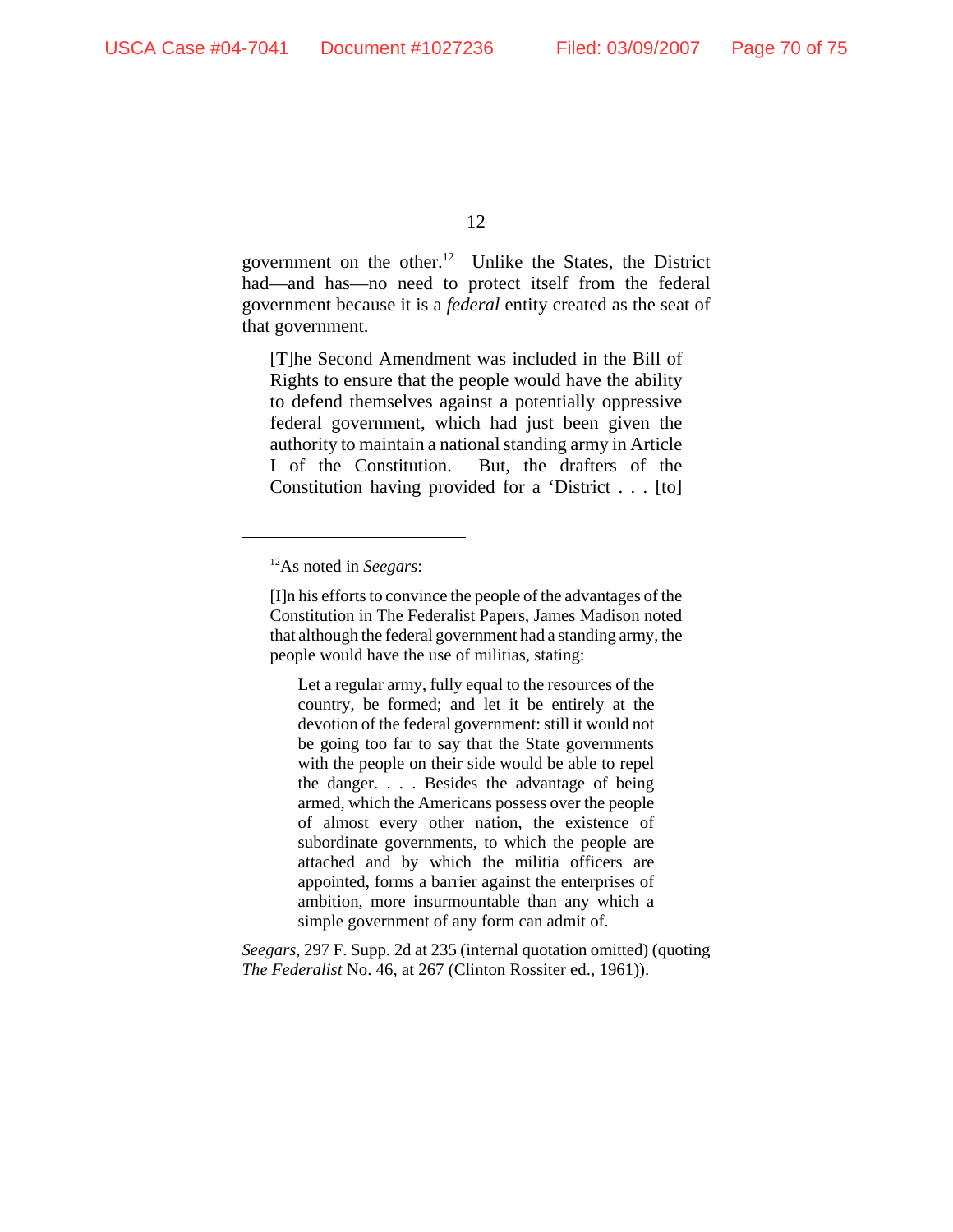government on the other.12 Unlike the States, the District had—and has—no need to protect itself from the federal government because it is a *federal* entity created as the seat of that government.

[T]he Second Amendment was included in the Bill of Rights to ensure that the people would have the ability to defend themselves against a potentially oppressive federal government, which had just been given the authority to maintain a national standing army in Article I of the Constitution. But, the drafters of the Constitution having provided for a 'District . . . [to]

Let a regular army, fully equal to the resources of the country, be formed; and let it be entirely at the devotion of the federal government: still it would not be going too far to say that the State governments with the people on their side would be able to repel the danger. . . . Besides the advantage of being armed, which the Americans possess over the people of almost every other nation, the existence of subordinate governments, to which the people are attached and by which the militia officers are appointed, forms a barrier against the enterprises of ambition, more insurmountable than any which a simple government of any form can admit of.

*Seegars*, 297 F. Supp. 2d at 235 (internal quotation omitted) (quoting *The Federalist* No. 46, at 267 (Clinton Rossiter ed., 1961)).

<sup>12</sup>As noted in *Seegars*:

<sup>[</sup>I]n his efforts to convince the people of the advantages of the Constitution in The Federalist Papers, James Madison noted that although the federal government had a standing army, the people would have the use of militias, stating: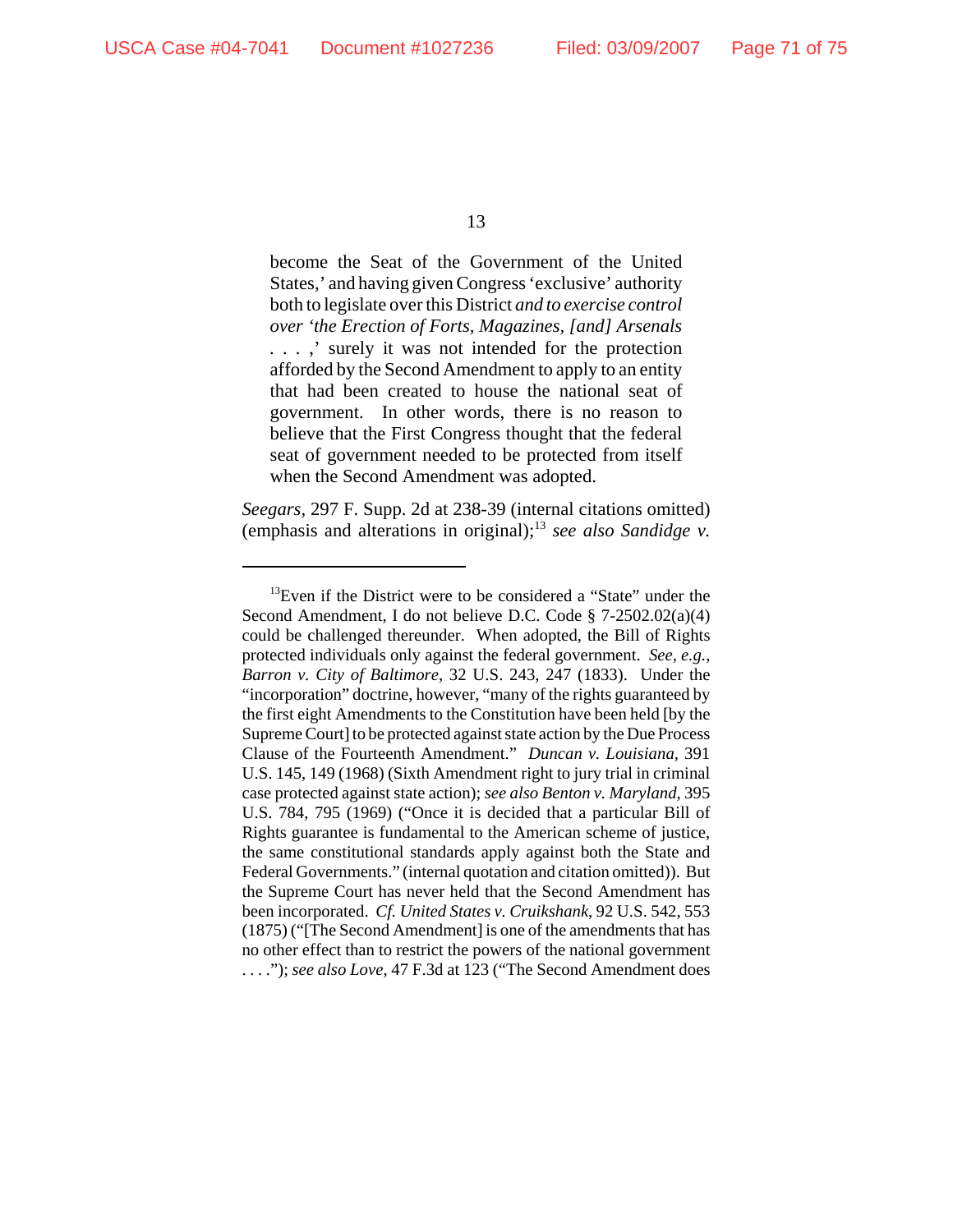become the Seat of the Government of the United States,' and having given Congress 'exclusive' authority both to legislate over this District *and to exercise control over 'the Erection of Forts, Magazines, [and] Arsenals . . .* ,' surely it was not intended for the protection afforded by the Second Amendment to apply to an entity that had been created to house the national seat of government. In other words, there is no reason to believe that the First Congress thought that the federal seat of government needed to be protected from itself when the Second Amendment was adopted.

*Seegars*, 297 F. Supp. 2d at 238-39 (internal citations omitted) (emphasis and alterations in original);13 *see also Sandidge v.*

<sup>&</sup>lt;sup>13</sup>Even if the District were to be considered a "State" under the Second Amendment, I do not believe D.C. Code § 7-2502.02(a)(4) could be challenged thereunder. When adopted, the Bill of Rights protected individuals only against the federal government. *See, e.g.*, *Barron v. City of Baltimore*, 32 U.S. 243, 247 (1833). Under the "incorporation" doctrine, however, "many of the rights guaranteed by the first eight Amendments to the Constitution have been held [by the Supreme Court] to be protected against state action by the Due Process Clause of the Fourteenth Amendment." *Duncan v. Louisiana*, 391 U.S. 145, 149 (1968) (Sixth Amendment right to jury trial in criminal case protected against state action); *see also Benton v. Maryland*, 395 U.S. 784, 795 (1969) ("Once it is decided that a particular Bill of Rights guarantee is fundamental to the American scheme of justice, the same constitutional standards apply against both the State and Federal Governments." (internal quotation and citation omitted)). But the Supreme Court has never held that the Second Amendment has been incorporated. *Cf. United States v. Cruikshank*, 92 U.S. 542, 553 (1875) ("[The Second Amendment] is one of the amendments that has no other effect than to restrict the powers of the national government . . . ."); *see also Love*, 47 F.3d at 123 ("The Second Amendment does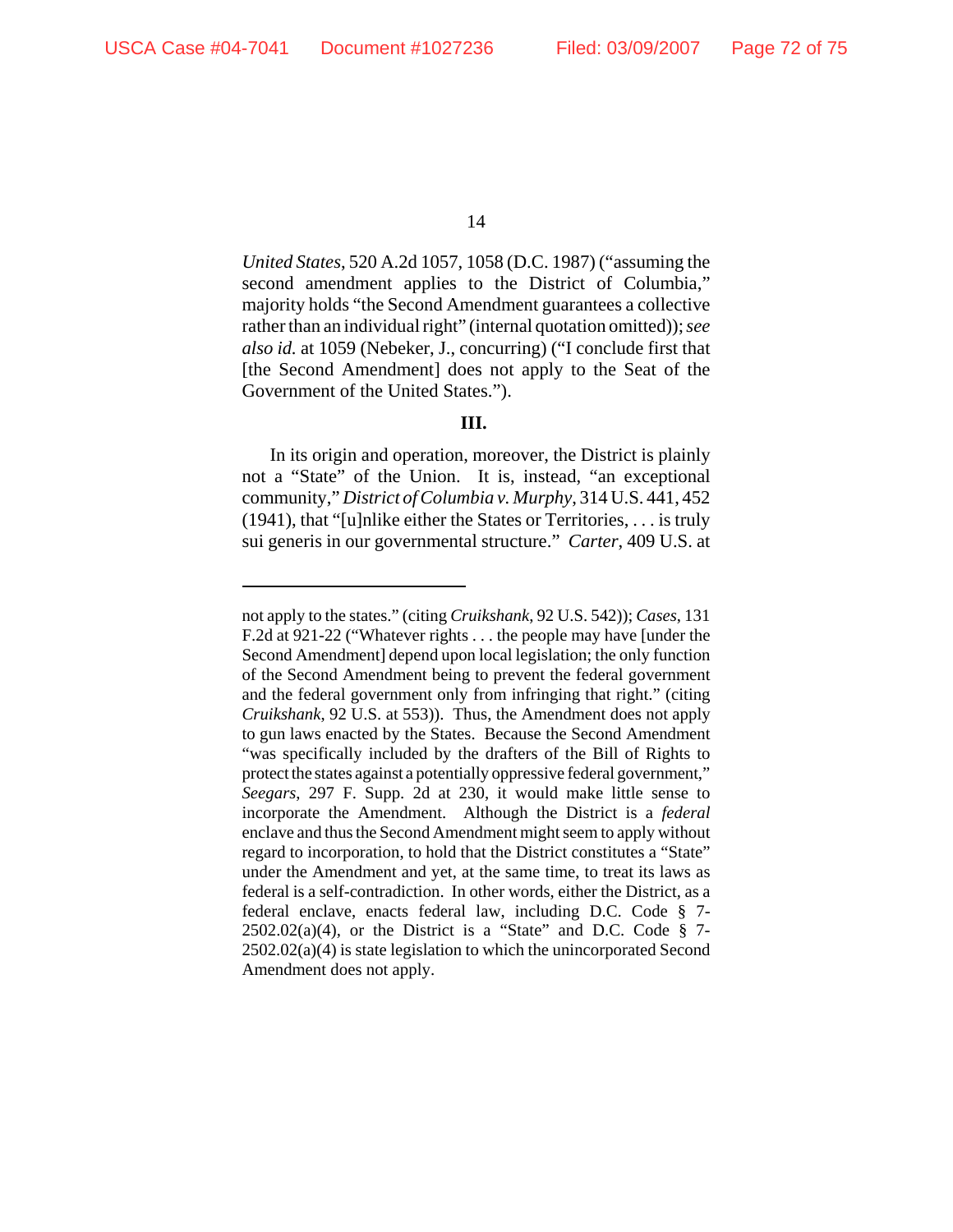*United States*, 520 A.2d 1057, 1058 (D.C. 1987) ("assuming the second amendment applies to the District of Columbia," majority holds "the Second Amendment guarantees a collective rather than an individual right" (internal quotation omitted)); *see also id.* at 1059 (Nebeker, J., concurring) ("I conclude first that [the Second Amendment] does not apply to the Seat of the Government of the United States.").

# **III.**

In its origin and operation, moreover, the District is plainly not a "State" of the Union. It is, instead, "an exceptional community," *District of Columbia v. Murphy*, 314 U.S. 441, 452 (1941), that "[u]nlike either the States or Territories, . . . is truly sui generis in our governmental structure." *Carter*, 409 U.S. at

not apply to the states." (citing *Cruikshank*, 92 U.S. 542)); *Cases*, 131 F.2d at 921-22 ("Whatever rights . . . the people may have [under the Second Amendment] depend upon local legislation; the only function of the Second Amendment being to prevent the federal government and the federal government only from infringing that right." (citing *Cruikshank*, 92 U.S. at 553)). Thus, the Amendment does not apply to gun laws enacted by the States. Because the Second Amendment "was specifically included by the drafters of the Bill of Rights to protect the states against a potentially oppressive federal government," *Seegars*, 297 F. Supp. 2d at 230, it would make little sense to incorporate the Amendment. Although the District is a *federal* enclave and thus the Second Amendment might seem to apply without regard to incorporation, to hold that the District constitutes a "State" under the Amendment and yet, at the same time, to treat its laws as federal is a self-contradiction. In other words, either the District, as a federal enclave, enacts federal law, including D.C. Code § 7-  $2502.02(a)(4)$ , or the District is a "State" and D.C. Code § 7-2502.02(a)(4) is state legislation to which the unincorporated Second Amendment does not apply.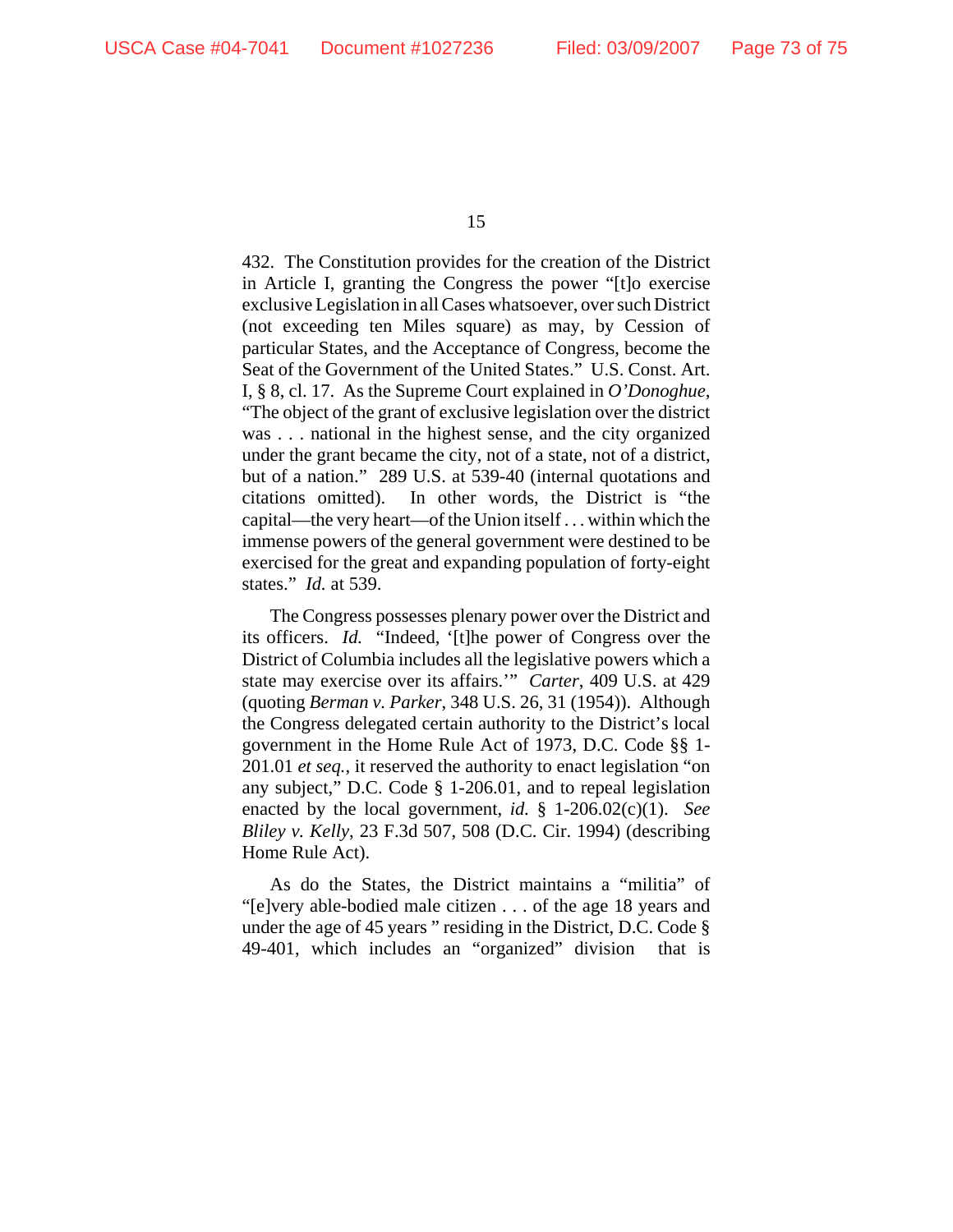15

432. The Constitution provides for the creation of the District in Article I, granting the Congress the power "[t]o exercise exclusive Legislation in all Cases whatsoever, over such District (not exceeding ten Miles square) as may, by Cession of particular States, and the Acceptance of Congress, become the Seat of the Government of the United States." U.S. Const. Art. I, § 8, cl. 17. As the Supreme Court explained in *O'Donoghue*, "The object of the grant of exclusive legislation over the district was . . . national in the highest sense, and the city organized under the grant became the city, not of a state, not of a district, but of a nation." 289 U.S. at 539-40 (internal quotations and citations omitted). In other words, the District is "the capital—the very heart—of the Union itself . . . within which the immense powers of the general government were destined to be exercised for the great and expanding population of forty-eight states." *Id.* at 539.

The Congress possesses plenary power over the District and its officers. *Id.* "Indeed, '[t]he power of Congress over the District of Columbia includes all the legislative powers which a state may exercise over its affairs.'" *Carter*, 409 U.S. at 429 (quoting *Berman v. Parker*, 348 U.S. 26, 31 (1954)). Although the Congress delegated certain authority to the District's local government in the Home Rule Act of 1973, D.C. Code §§ 1- 201.01 *et seq.*, it reserved the authority to enact legislation "on any subject," D.C. Code § 1-206.01, and to repeal legislation enacted by the local government, *id.* § 1-206.02(c)(1). *See Bliley v. Kelly*, 23 F.3d 507, 508 (D.C. Cir. 1994) (describing Home Rule Act).

As do the States, the District maintains a "militia" of "[e]very able-bodied male citizen . . . of the age 18 years and under the age of 45 years " residing in the District, D.C. Code § 49-401, which includes an "organized" division that is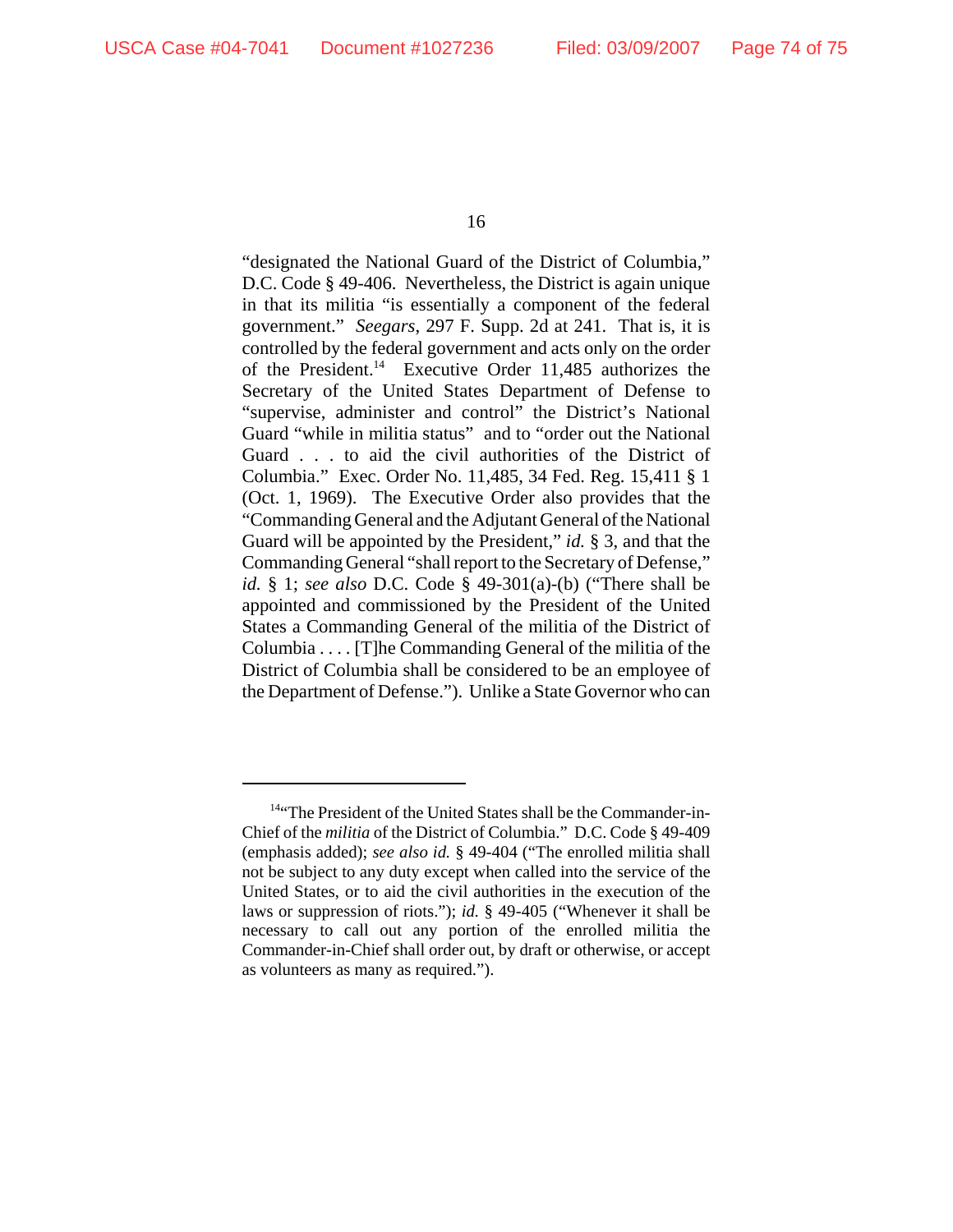16

"designated the National Guard of the District of Columbia," D.C. Code § 49-406. Nevertheless, the District is again unique in that its militia "is essentially a component of the federal government." *Seegars*, 297 F. Supp. 2d at 241. That is, it is controlled by the federal government and acts only on the order of the President.14 Executive Order 11,485 authorizes the Secretary of the United States Department of Defense to "supervise, administer and control" the District's National Guard "while in militia status" and to "order out the National Guard . . . to aid the civil authorities of the District of Columbia." Exec. Order No. 11,485, 34 Fed. Reg. 15,411 § 1 (Oct. 1, 1969).The Executive Order also provides that the "Commanding General and the Adjutant General of the National Guard will be appointed by the President," *id.* § 3, and that the Commanding General "shall report to the Secretary of Defense," *id.* § 1; *see also* D.C. Code § 49-301(a)-(b) ("There shall be appointed and commissioned by the President of the United States a Commanding General of the militia of the District of Columbia . . . . [T]he Commanding General of the militia of the District of Columbia shall be considered to be an employee of the Department of Defense."). Unlike a State Governor who can

<sup>&</sup>lt;sup>14"</sup>The President of the United States shall be the Commander-in-Chief of the *militia* of the District of Columbia." D.C. Code § 49-409 (emphasis added); *see also id.* § 49-404 ("The enrolled militia shall not be subject to any duty except when called into the service of the United States, or to aid the civil authorities in the execution of the laws or suppression of riots."); *id.* § 49-405 ("Whenever it shall be necessary to call out any portion of the enrolled militia the Commander-in-Chief shall order out, by draft or otherwise, or accept as volunteers as many as required.").